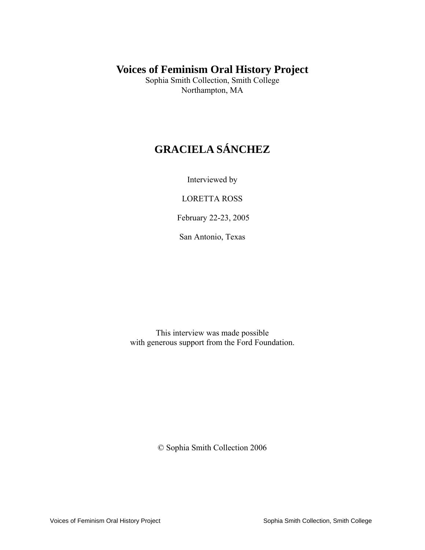## **Voices of Feminism Oral History Project**

Sophia Smith Collection, Smith College Northampton, MA

# **GRACIELA SÁNCHEZ**

Interviewed by

LORETTA ROSS

February 22-23, 2005

San Antonio, Texas

This interview was made possible with generous support from the Ford Foundation.

© Sophia Smith Collection 2006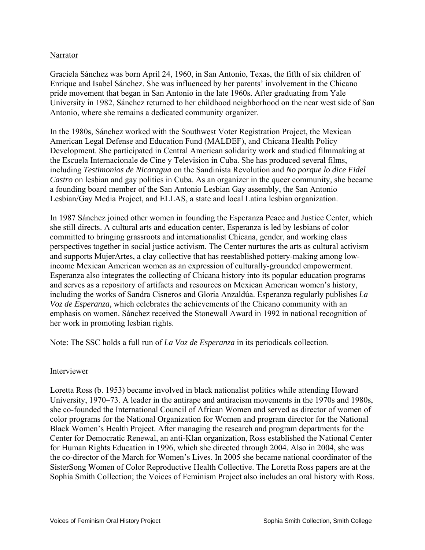### Narrator

Graciela Sánchez was born April 24, 1960, in San Antonio, Texas, the fifth of six children of Enrique and Isabel Sánchez. She was influenced by her parents' involvement in the Chicano pride movement that began in San Antonio in the late 1960s. After graduating from Yale University in 1982, Sánchez returned to her childhood neighborhood on the near west side of San Antonio, where she remains a dedicated community organizer.

In the 1980s, Sánchez worked with the Southwest Voter Registration Project, the Mexican American Legal Defense and Education Fund (MALDEF), and Chicana Health Policy Development. She participated in Central American solidarity work and studied filmmaking at the Escuela Internacionale de Cine y Television in Cuba. She has produced several films, including *Testimonios de Nicaragua* on the Sandinista Revolution and *No porque lo dice Fidel Castro* on lesbian and gay politics in Cuba. As an organizer in the queer community, she became a founding board member of the San Antonio Lesbian Gay assembly, the San Antonio Lesbian/Gay Media Project, and ELLAS, a state and local Latina lesbian organization.

In 1987 Sánchez joined other women in founding the Esperanza Peace and Justice Center, which she still directs. A cultural arts and education center, Esperanza is led by lesbians of color committed to bringing grassroots and internationalist Chicana, gender, and working class perspectives together in social justice activism. The Center nurtures the arts as cultural activism and supports MujerArtes, a clay collective that has reestablished pottery-making among lowincome Mexican American women as an expression of culturally-grounded empowerment. Esperanza also integrates the collecting of Chicana history into its popular education programs and serves as a repository of artifacts and resources on Mexican American women's history, including the works of Sandra Cisneros and Gloria Anzaldúa. Esperanza regularly publishes *La Voz de Esperanza,* which celebrates the achievements of the Chicano community with an emphasis on women. Sánchez received the Stonewall Award in 1992 in national recognition of her work in promoting lesbian rights.

Note: The SSC holds a full run of *La Voz de Esperanza* in its periodicals collection.

#### Interviewer

Loretta Ross (b. 1953) became involved in black nationalist politics while attending Howard University, 1970–73. A leader in the antirape and antiracism movements in the 1970s and 1980s, she co-founded the International Council of African Women and served as director of women of color programs for the National Organization for Women and program director for the National Black Women's Health Project. After managing the research and program departments for the Center for Democratic Renewal, an anti-Klan organization, Ross established the National Center for Human Rights Education in 1996, which she directed through 2004. Also in 2004, she was the co-director of the March for Women's Lives. In 2005 she became national coordinator of the SisterSong Women of Color Reproductive Health Collective. The Loretta Ross papers are at the Sophia Smith Collection; the Voices of Feminism Project also includes an oral history with Ross.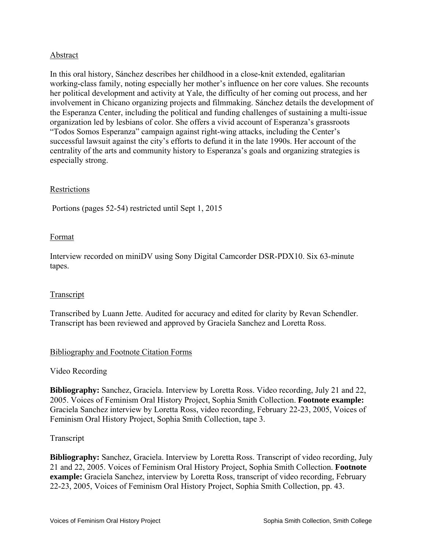### Abstract

In this oral history, Sánchez describes her childhood in a close-knit extended, egalitarian working-class family, noting especially her mother's influence on her core values. She recounts her political development and activity at Yale, the difficulty of her coming out process, and her involvement in Chicano organizing projects and filmmaking. Sánchez details the development of the Esperanza Center, including the political and funding challenges of sustaining a multi-issue organization led by lesbians of color. She offers a vivid account of Esperanza's grassroots "Todos Somos Esperanza" campaign against right-wing attacks, including the Center's successful lawsuit against the city's efforts to defund it in the late 1990s. Her account of the centrality of the arts and community history to Esperanza's goals and organizing strategies is especially strong.

### Restrictions

Portions (pages 52-54) restricted until Sept 1, 2015

#### Format

Interview recorded on miniDV using Sony Digital Camcorder DSR-PDX10. Six 63-minute tapes.

#### Transcript

Transcribed by Luann Jette. Audited for accuracy and edited for clarity by Revan Schendler. Transcript has been reviewed and approved by Graciela Sanchez and Loretta Ross.

#### Bibliography and Footnote Citation Forms

#### Video Recording

**Bibliography:** Sanchez, Graciela. Interview by Loretta Ross. Video recording, July 21 and 22, 2005. Voices of Feminism Oral History Project, Sophia Smith Collection. **Footnote example:** Graciela Sanchez interview by Loretta Ross, video recording, February 22-23, 2005, Voices of Feminism Oral History Project, Sophia Smith Collection, tape 3.

#### Transcript

**Bibliography:** Sanchez, Graciela. Interview by Loretta Ross. Transcript of video recording, July 21 and 22, 2005. Voices of Feminism Oral History Project, Sophia Smith Collection. **Footnote example:** Graciela Sanchez, interview by Loretta Ross, transcript of video recording, February 22-23, 2005, Voices of Feminism Oral History Project, Sophia Smith Collection, pp. 43.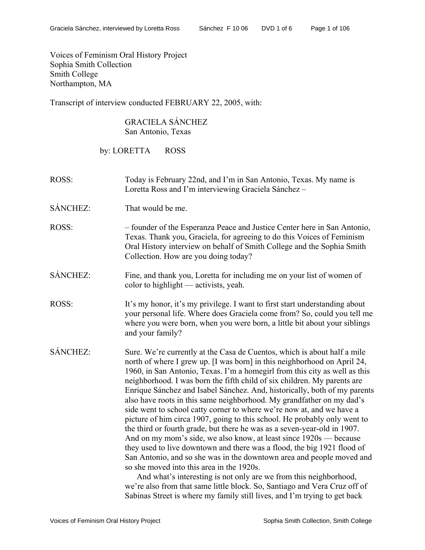Voices of Feminism Oral History Project Sophia Smith Collection Smith College Northampton, MA

Transcript of interview conducted FEBRUARY 22, 2005, with:

### GRACIELA SÁNCHEZ San Antonio, Texas

by: LORETTA ROSS

- ROSS: Today is February 22nd, and I'm in San Antonio, Texas. My name is Loretta Ross and I'm interviewing Graciela Sánchez –
- SÁNCHEZ: That would be me.
- ROSS: founder of the Esperanza Peace and Justice Center here in San Antonio, Texas. Thank you, Graciela, for agreeing to do this Voices of Feminism Oral History interview on behalf of Smith College and the Sophia Smith Collection. How are you doing today?
- SÁNCHEZ: Fine, and thank you, Loretta for including me on your list of women of color to highlight — activists, yeah.
- ROSS: It's my honor, it's my privilege. I want to first start understanding about your personal life. Where does Graciela come from? So, could you tell me where you were born, when you were born, a little bit about your siblings and your family?
- SÁNCHEZ: Sure. We're currently at the Casa de Cuentos, which is about half a mile north of where I grew up. [I was born] in this neighborhood on April 24, 1960, in San Antonio, Texas. I'm a homegirl from this city as well as this neighborhood. I was born the fifth child of six children. My parents are Enrique Sánchez and Isabel Sánchez. And, historically, both of my parents also have roots in this same neighborhood. My grandfather on my dad's side went to school catty corner to where we're now at, and we have a picture of him circa 1907, going to this school. He probably only went to the third or fourth grade, but there he was as a seven-year-old in 1907. And on my mom's side, we also know, at least since 1920s — because they used to live downtown and there was a flood, the big 1921 flood of San Antonio, and so she was in the downtown area and people moved and so she moved into this area in the 1920s.

And what's interesting is not only are we from this neighborhood, we're also from that same little block. So, Santiago and Vera Cruz off of Sabinas Street is where my family still lives, and I'm trying to get back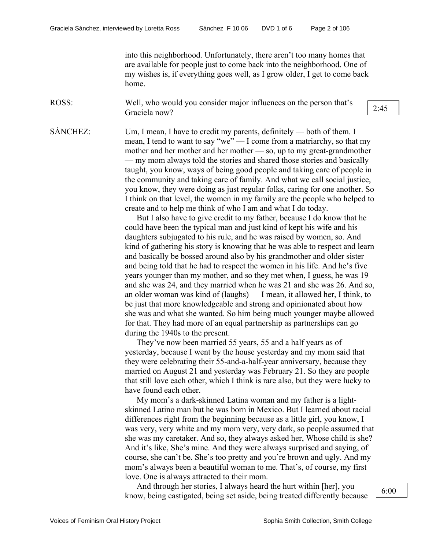into this neighborhood. Unfortunately, there aren't too many homes that are available for people just to come back into the neighborhood. One of my wishes is, if everything goes well, as I grow older, I get to come back home.

ROSS: Well, who would you consider major influences on the person that's Graciela now?

SÁNCHEZ: Um, I mean, I have to credit my parents, definitely — both of them. I mean, I tend to want to say "we" — I come from a matriarchy, so that my mother and her mother and her mother — so, up to my great-grandmother — my mom always told the stories and shared those stories and basically taught, you know, ways of being good people and taking care of people in the community and taking care of family. And what we call social justice, you know, they were doing as just regular folks, caring for one another. So I think on that level, the women in my family are the people who helped to create and to help me think of who I am and what I do today.

> But I also have to give credit to my father, because I do know that he could have been the typical man and just kind of kept his wife and his daughters subjugated to his rule, and he was raised by women, so. And kind of gathering his story is knowing that he was able to respect and learn and basically be bossed around also by his grandmother and older sister and being told that he had to respect the women in his life. And he's five years younger than my mother, and so they met when, I guess, he was 19 and she was 24, and they married when he was 21 and she was 26. And so, an older woman was kind of (laughs) — I mean, it allowed her, I think, to be just that more knowledgeable and strong and opinionated about how she was and what she wanted. So him being much younger maybe allowed for that. They had more of an equal partnership as partnerships can go during the 1940s to the present.

They've now been married 55 years, 55 and a half years as of yesterday, because I went by the house yesterday and my mom said that they were celebrating their 55-and-a-half-year anniversary, because they married on August 21 and yesterday was February 21. So they are people that still love each other, which I think is rare also, but they were lucky to have found each other.

My mom's a dark-skinned Latina woman and my father is a lightskinned Latino man but he was born in Mexico. But I learned about racial differences right from the beginning because as a little girl, you know, I was very, very white and my mom very, very dark, so people assumed that she was my caretaker. And so, they always asked her, Whose child is she? And it's like, She's mine. And they were always surprised and saying, of course, she can't be. She's too pretty and you're brown and ugly. And my mom's always been a beautiful woman to me. That's, of course, my first love. One is always attracted to their mom.

And through her stories, I always heard the hurt within [her], you know, being castigated, being set aside, being treated differently because  $\begin{bmatrix} 6.00 \\ 6.00 \end{bmatrix}$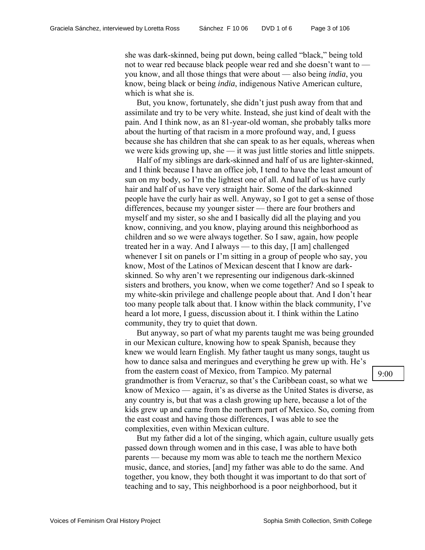she was dark-skinned, being put down, being called "black," being told not to wear red because black people wear red and she doesn't want to you know, and all those things that were about — also being *india*, you know, being black or being *india*, indigenous Native American culture, which is what she is.

But, you know, fortunately, she didn't just push away from that and assimilate and try to be very white. Instead, she just kind of dealt with the pain. And I think now, as an 81-year-old woman, she probably talks more about the hurting of that racism in a more profound way, and, I guess because she has children that she can speak to as her equals, whereas when we were kids growing up, she — it was just little stories and little snippets.

Half of my siblings are dark-skinned and half of us are lighter-skinned, and I think because I have an office job, I tend to have the least amount of sun on my body, so I'm the lightest one of all. And half of us have curly hair and half of us have very straight hair. Some of the dark-skinned people have the curly hair as well. Anyway, so I got to get a sense of those differences, because my younger sister — there are four brothers and myself and my sister, so she and I basically did all the playing and you know, conniving, and you know, playing around this neighborhood as children and so we were always together. So I saw, again, how people treated her in a way. And I always — to this day, [I am] challenged whenever I sit on panels or I'm sitting in a group of people who say, you know, Most of the Latinos of Mexican descent that I know are darkskinned. So why aren't we representing our indigenous dark-skinned sisters and brothers, you know, when we come together? And so I speak to my white-skin privilege and challenge people about that. And I don't hear too many people talk about that. I know within the black community, I've heard a lot more, I guess, discussion about it. I think within the Latino community, they try to quiet that down.

But anyway, so part of what my parents taught me was being grounded in our Mexican culture, knowing how to speak Spanish, because they knew we would learn English. My father taught us many songs, taught us how to dance salsa and meringues and everything he grew up with. He's from the eastern coast of Mexico, from Tampico. My paternal grandmother is from Veracruz, so that's the Caribbean coast, so what we know of Mexico — again, it's as diverse as the United States is diverse, as any country is, but that was a clash growing up here, because a lot of the kids grew up and came from the northern part of Mexico. So, coming from the east coast and having those differences, I was able to see the complexities, even within Mexican culture.

But my father did a lot of the singing, which again, culture usually gets passed down through women and in this case, I was able to have both parents — because my mom was able to teach me the northern Mexico music, dance, and stories, [and] my father was able to do the same. And together, you know, they both thought it was important to do that sort of teaching and to say, This neighborhood is a poor neighborhood, but it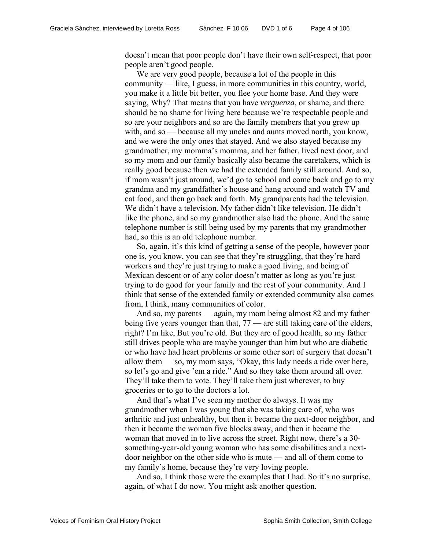doesn't mean that poor people don't have their own self-respect, that poor people aren't good people.

We are very good people, because a lot of the people in this community — like, I guess, in more communities in this country, world, you make it a little bit better, you flee your home base. And they were saying, Why? That means that you have *verguenza*, or shame, and there should be no shame for living here because we're respectable people and so are your neighbors and so are the family members that you grew up with, and so — because all my uncles and aunts moved north, you know, and we were the only ones that stayed. And we also stayed because my grandmother, my momma's momma, and her father, lived next door, and so my mom and our family basically also became the caretakers, which is really good because then we had the extended family still around. And so, if mom wasn't just around, we'd go to school and come back and go to my grandma and my grandfather's house and hang around and watch TV and eat food, and then go back and forth. My grandparents had the television. We didn't have a television. My father didn't like television. He didn't like the phone, and so my grandmother also had the phone. And the same telephone number is still being used by my parents that my grandmother had, so this is an old telephone number.

So, again, it's this kind of getting a sense of the people, however poor one is, you know, you can see that they're struggling, that they're hard workers and they're just trying to make a good living, and being of Mexican descent or of any color doesn't matter as long as you're just trying to do good for your family and the rest of your community. And I think that sense of the extended family or extended community also comes from, I think, many communities of color.

And so, my parents — again, my mom being almost 82 and my father being five years younger than that, 77 — are still taking care of the elders, right? I'm like, But you're old. But they are of good health, so my father still drives people who are maybe younger than him but who are diabetic or who have had heart problems or some other sort of surgery that doesn't allow them — so, my mom says, "Okay, this lady needs a ride over here, so let's go and give 'em a ride." And so they take them around all over. They'll take them to vote. They'll take them just wherever, to buy groceries or to go to the doctors a lot.

And that's what I've seen my mother do always. It was my grandmother when I was young that she was taking care of, who was arthritic and just unhealthy, but then it became the next-door neighbor, and then it became the woman five blocks away, and then it became the woman that moved in to live across the street. Right now, there's a 30 something-year-old young woman who has some disabilities and a nextdoor neighbor on the other side who is mute — and all of them come to my family's home, because they're very loving people.

And so, I think those were the examples that I had. So it's no surprise, again, of what I do now. You might ask another question.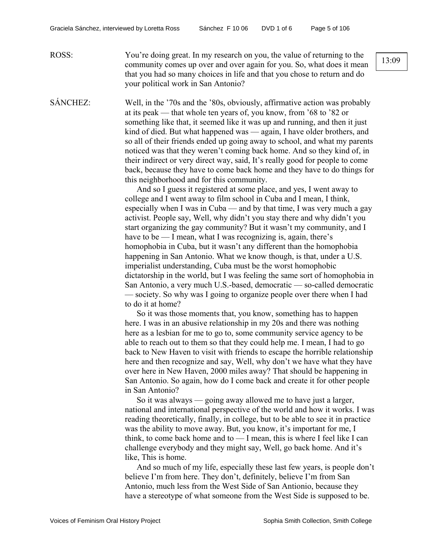ROSS: You're doing great. In my research on you, the value of returning to the community comes up over and over again for you. So, what does it mean that you had so many choices in life and that you chose to return and do your political work in San Antonio?

SÁNCHEZ: Well, in the '70s and the '80s, obviously, affirmative action was probably at its peak — that whole ten years of, you know, from '68 to '82 or something like that, it seemed like it was up and running, and then it just kind of died. But what happened was — again, I have older brothers, and so all of their friends ended up going away to school, and what my parents noticed was that they weren't coming back home. And so they kind of, in their indirect or very direct way, said, It's really good for people to come back, because they have to come back home and they have to do things for this neighborhood and for this community.

> And so I guess it registered at some place, and yes, I went away to college and I went away to film school in Cuba and I mean, I think, especially when I was in Cuba — and by that time, I was very much a gay activist. People say, Well, why didn't you stay there and why didn't you start organizing the gay community? But it wasn't my community, and I have to be — I mean, what I was recognizing is, again, there's homophobia in Cuba, but it wasn't any different than the homophobia happening in San Antonio. What we know though, is that, under a U.S. imperialist understanding, Cuba must be the worst homophobic dictatorship in the world, but I was feeling the same sort of homophobia in San Antonio, a very much U.S.-based, democratic — so-called democratic — society. So why was I going to organize people over there when I had to do it at home?

> So it was those moments that, you know, something has to happen here. I was in an abusive relationship in my 20s and there was nothing here as a lesbian for me to go to, some community service agency to be able to reach out to them so that they could help me. I mean, I had to go back to New Haven to visit with friends to escape the horrible relationship here and then recognize and say, Well, why don't we have what they have over here in New Haven, 2000 miles away? That should be happening in San Antonio. So again, how do I come back and create it for other people in San Antonio?

> So it was always — going away allowed me to have just a larger, national and international perspective of the world and how it works. I was reading theoretically, finally, in college, but to be able to see it in practice was the ability to move away. But, you know, it's important for me, I think, to come back home and to  $-$  I mean, this is where I feel like I can challenge everybody and they might say, Well, go back home. And it's like, This is home.

> And so much of my life, especially these last few years, is people don't believe I'm from here. They don't, definitely, believe I'm from San Antonio, much less from the West Side of San Antionio, because they have a stereotype of what someone from the West Side is supposed to be.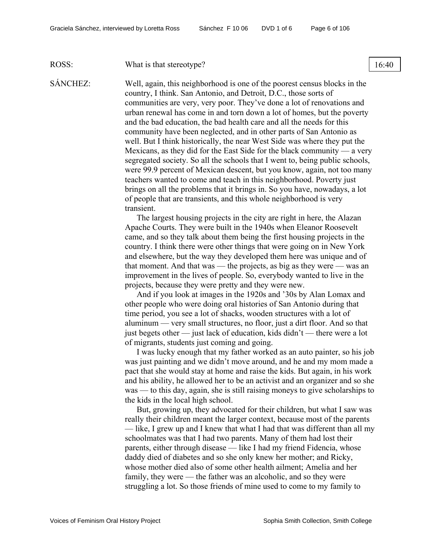#### ROSS: What is that stereotype? 16:40

SÁNCHEZ: Well, again, this neighborhood is one of the poorest census blocks in the country, I think. San Antonio, and Detroit, D.C., those sorts of communities are very, very poor. They've done a lot of renovations and urban renewal has come in and torn down a lot of homes, but the poverty and the bad education, the bad health care and all the needs for this community have been neglected, and in other parts of San Antonio as well. But I think historically, the near West Side was where they put the Mexicans, as they did for the East Side for the black community — a very segregated society. So all the schools that I went to, being public schools, were 99.9 percent of Mexican descent, but you know, again, not too many teachers wanted to come and teach in this neighborhood. Poverty just brings on all the problems that it brings in. So you have, nowadays, a lot of people that are transients, and this whole neighborhood is very transient.

> The largest housing projects in the city are right in here, the Alazan Apache Courts. They were built in the 1940s when Eleanor Roosevelt came, and so they talk about them being the first housing projects in the country. I think there were other things that were going on in New York and elsewhere, but the way they developed them here was unique and of that moment. And that was — the projects, as big as they were — was an improvement in the lives of people. So, everybody wanted to live in the projects, because they were pretty and they were new.

> And if you look at images in the 1920s and '30s by Alan Lomax and other people who were doing oral histories of San Antonio during that time period, you see a lot of shacks, wooden structures with a lot of aluminum — very small structures, no floor, just a dirt floor. And so that just begets other — just lack of education, kids didn't — there were a lot of migrants, students just coming and going.

I was lucky enough that my father worked as an auto painter, so his job was just painting and we didn't move around, and he and my mom made a pact that she would stay at home and raise the kids. But again, in his work and his ability, he allowed her to be an activist and an organizer and so she was — to this day, again, she is still raising moneys to give scholarships to the kids in the local high school.

But, growing up, they advocated for their children, but what I saw was really their children meant the larger context, because most of the parents — like, I grew up and I knew that what I had that was different than all my schoolmates was that I had two parents. Many of them had lost their parents, either through disease — like I had my friend Fidencia, whose daddy died of diabetes and so she only knew her mother; and Ricky, whose mother died also of some other health ailment; Amelia and her family, they were — the father was an alcoholic, and so they were struggling a lot. So those friends of mine used to come to my family to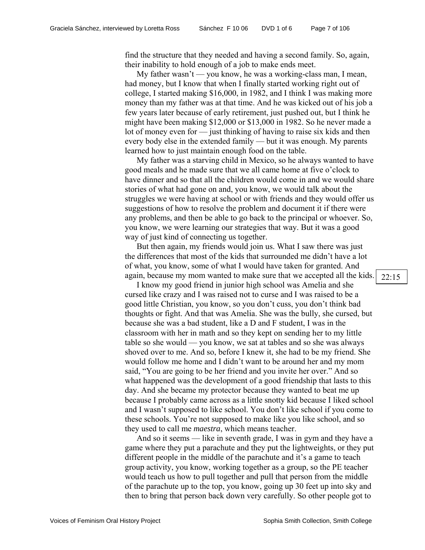find the structure that they needed and having a second family. So, again, their inability to hold enough of a job to make ends meet.

My father wasn't — you know, he was a working-class man, I mean, had money, but I know that when I finally started working right out of college, I started making \$16,000, in 1982, and I think I was making more money than my father was at that time. And he was kicked out of his job a few years later because of early retirement, just pushed out, but I think he might have been making \$12,000 or \$13,000 in 1982. So he never made a lot of money even for — just thinking of having to raise six kids and then every body else in the extended family — but it was enough. My parents learned how to just maintain enough food on the table.

My father was a starving child in Mexico, so he always wanted to have good meals and he made sure that we all came home at five o'clock to have dinner and so that all the children would come in and we would share stories of what had gone on and, you know, we would talk about the struggles we were having at school or with friends and they would offer us suggestions of how to resolve the problem and document it if there were any problems, and then be able to go back to the principal or whoever. So, you know, we were learning our strategies that way. But it was a good way of just kind of connecting us together.

But then again, my friends would join us. What I saw there was just the differences that most of the kids that surrounded me didn't have a lot of what, you know, some of what I would have taken for granted. And again, because my mom wanted to make sure that we accepted all the kids.

I know my good friend in junior high school was Amelia and she cursed like crazy and I was raised not to curse and I was raised to be a good little Christian, you know, so you don't cuss, you don't think bad thoughts or fight. And that was Amelia. She was the bully, she cursed, but because she was a bad student, like a D and F student, I was in the classroom with her in math and so they kept on sending her to my little table so she would — you know, we sat at tables and so she was always shoved over to me. And so, before I knew it, she had to be my friend. She would follow me home and I didn't want to be around her and my mom said, "You are going to be her friend and you invite her over." And so what happened was the development of a good friendship that lasts to this day. And she became my protector because they wanted to beat me up because I probably came across as a little snotty kid because I liked school and I wasn't supposed to like school. You don't like school if you come to these schools. You're not supposed to make like you like school, and so they used to call me *maestra*, which means teacher.

And so it seems — like in seventh grade, I was in gym and they have a game where they put a parachute and they put the lightweights, or they put different people in the middle of the parachute and it's a game to teach group activity, you know, working together as a group, so the PE teacher would teach us how to pull together and pull that person from the middle of the parachute up to the top, you know, going up 30 feet up into sky and then to bring that person back down very carefully. So other people got to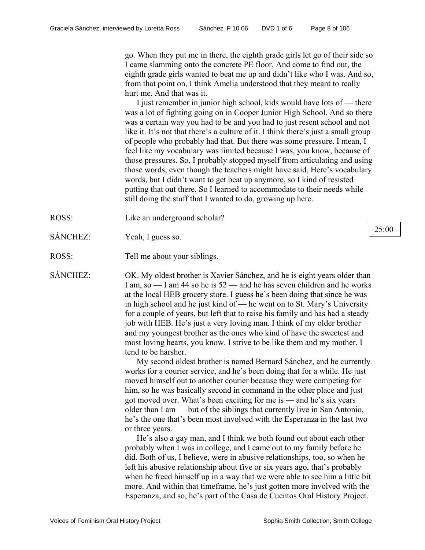go. When they put me in there, the eighth grade girls let go of their side so I came slamming onto the concrete PE floor. And come to find out, the eighth grade girls wanted to beat me up and didn't like who I was. And so, from that point on, I think Amelia understood that they meant to really hurt me. And that was it.

I just remember in junior high school, kids would have lots of — there was a lot of fighting going on in Cooper Junior High School. And so there was a certain way you had to be and you had to just resent school and not like it. It's not that there's a culture of it. I think there's just a small group of people who probably had that. But there was some pressure. I mean, I feel like my vocabulary was limited because I was, you know, because of those pressures. So, I probably stopped myself from articulating and using those words, even though the teachers might have said, Here's vocabulary words, but I didn't want to get beat up anymore, so I kind of resisted putting that out there. So I learned to accommodate to their needs while still doing the stuff that I wanted to do, growing up here.

- ROSS: Like an underground scholar?
- SÁNCHEZ: Yeah, I guess so.
- ROSS: Tell me about your siblings.

SÁNCHEZ: OK. My oldest brother is Xavier Sánchez, and he is eight years older than I am, so — I am 44 so he is 52 — and he has seven children and he works at the local HEB grocery store. I guess he's been doing that since he was in high school and he just kind of — he went on to St. Mary's University for a couple of years, but left that to raise his family and has had a steady job with HEB. He's just a very loving man. I think of my older brother and my youngest brother as the ones who kind of have the sweetest and most loving hearts, you know. I strive to be like them and my mother. I tend to be harsher.

> My second oldest brother is named Bernard Sánchez, and he currently works for a courier service, and he's been doing that for a while. He just moved himself out to another courier because they were competing for him, so he was basically second in command in the other place and just got moved over. What's been exciting for me is — and he's six years older than I am — but of the siblings that currently live in San Antonio, he's the one that's been most involved with the Esperanza in the last two or three years.

> He's also a gay man, and I think we both found out about each other probably when I was in college, and I came out to my family before he did. Both of us, I believe, were in abusive relationships, too, so when he left his abusive relationship about five or six years ago, that's probably when he freed himself up in a way that we were able to see him a little bit more. And within that timeframe, he's just gotten more involved with the Esperanza, and so, he's part of the Casa de Cuentos Oral History Project.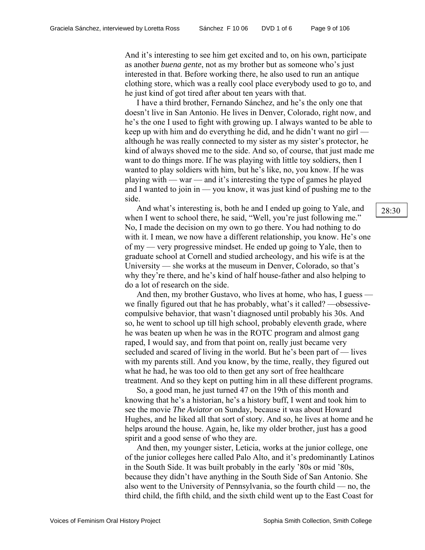And it's interesting to see him get excited and to, on his own, participate as another *buena gente*, not as my brother but as someone who's just interested in that. Before working there, he also used to run an antique clothing store, which was a really cool place everybody used to go to, and he just kind of got tired after about ten years with that.

I have a third brother, Fernando Sánchez, and he's the only one that doesn't live in San Antonio. He lives in Denver, Colorado, right now, and he's the one I used to fight with growing up. I always wanted to be able to keep up with him and do everything he did, and he didn't want no girl although he was really connected to my sister as my sister's protector, he kind of always shoved me to the side. And so, of course, that just made me want to do things more. If he was playing with little toy soldiers, then I wanted to play soldiers with him, but he's like, no, you know. If he was playing with — war — and it's interesting the type of games he played and I wanted to join in — you know, it was just kind of pushing me to the side.

And what's interesting is, both he and I ended up going to Yale, and  $\begin{array}{c|c} \begin{array}{c} 28:30 \end{array} \end{array}$ when I went to school there, he said, "Well, you're just following me." No, I made the decision on my own to go there. You had nothing to do with it. I mean, we now have a different relationship, you know. He's one of my — very progressive mindset. He ended up going to Yale, then to graduate school at Cornell and studied archeology, and his wife is at the University — she works at the museum in Denver, Colorado, so that's why they're there, and he's kind of half house-father and also helping to do a lot of research on the side.

And then, my brother Gustavo, who lives at home, who has, I guess we finally figured out that he has probably, what's it called? —obsessivecompulsive behavior, that wasn't diagnosed until probably his 30s. And so, he went to school up till high school, probably eleventh grade, where he was beaten up when he was in the ROTC program and almost gang raped, I would say, and from that point on, really just became very secluded and scared of living in the world. But he's been part of — lives with my parents still. And you know, by the time, really, they figured out what he had, he was too old to then get any sort of free healthcare treatment. And so they kept on putting him in all these different programs.

So, a good man, he just turned 47 on the 19th of this month and knowing that he's a historian, he's a history buff, I went and took him to see the movie *The Aviator* on Sunday, because it was about Howard Hughes, and he liked all that sort of story. And so, he lives at home and he helps around the house. Again, he, like my older brother, just has a good spirit and a good sense of who they are.

And then, my younger sister, Leticia, works at the junior college, one of the junior colleges here called Palo Alto, and it's predominantly Latinos in the South Side. It was built probably in the early '80s or mid '80s, because they didn't have anything in the South Side of San Antonio. She also went to the University of Pennsylvania, so the fourth child — no, the third child, the fifth child, and the sixth child went up to the East Coast for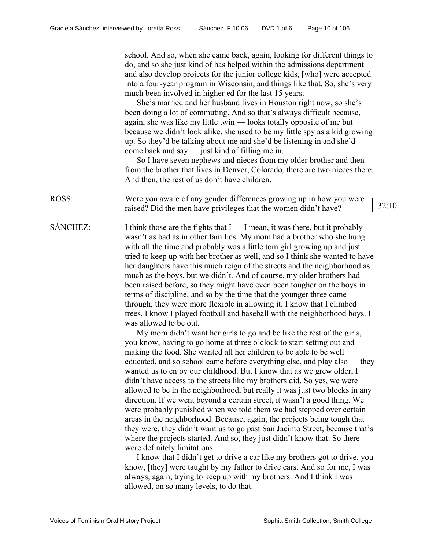school. And so, when she came back, again, looking for different things to do, and so she just kind of has helped within the admissions department and also develop projects for the junior college kids, [who] were accepted into a four-year program in Wisconsin, and things like that. So, she's very much been involved in higher ed for the last 15 years.

She's married and her husband lives in Houston right now, so she's been doing a lot of commuting. And so that's always difficult because, again, she was like my little twin — looks totally opposite of me but because we didn't look alike, she used to be my little spy as a kid growing up. So they'd be talking about me and she'd be listening in and she'd come back and say — just kind of filling me in.

So I have seven nephews and nieces from my older brother and then from the brother that lives in Denver, Colorado, there are two nieces there. And then, the rest of us don't have children.

ROSS: Were you aware of any gender differences growing up in how you were raised? Did the men have privileges that the women didn't have? 32:10

SÁNCHEZ: I think those are the fights that  $I - I$  mean, it was there, but it probably wasn't as bad as in other families. My mom had a brother who she hung with all the time and probably was a little tom girl growing up and just tried to keep up with her brother as well, and so I think she wanted to have her daughters have this much reign of the streets and the neighborhood as much as the boys, but we didn't. And of course, my older brothers had been raised before, so they might have even been tougher on the boys in terms of discipline, and so by the time that the younger three came through, they were more flexible in allowing it. I know that I climbed trees. I know I played football and baseball with the neighborhood boys. I was allowed to be out.

> My mom didn't want her girls to go and be like the rest of the girls, you know, having to go home at three o'clock to start setting out and making the food. She wanted all her children to be able to be well educated, and so school came before everything else, and play also — they wanted us to enjoy our childhood. But I know that as we grew older, I didn't have access to the streets like my brothers did. So yes, we were allowed to be in the neighborhood, but really it was just two blocks in any direction. If we went beyond a certain street, it wasn't a good thing. We were probably punished when we told them we had stepped over certain areas in the neighborhood. Because, again, the projects being tough that they were, they didn't want us to go past San Jacinto Street, because that's where the projects started. And so, they just didn't know that. So there were definitely limitations.

> I know that I didn't get to drive a car like my brothers got to drive, you know, [they] were taught by my father to drive cars. And so for me, I was always, again, trying to keep up with my brothers. And I think I was allowed, on so many levels, to do that.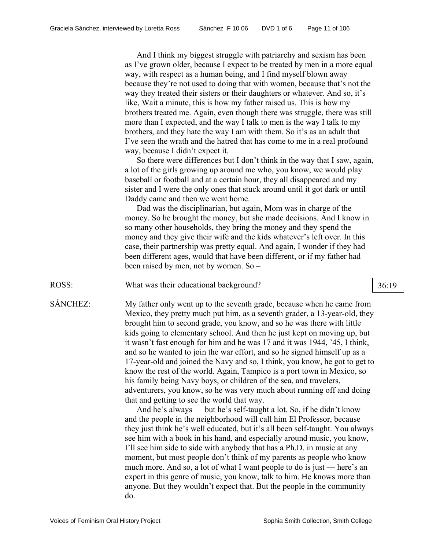And I think my biggest struggle with patriarchy and sexism has been as I've grown older, because I expect to be treated by men in a more equal way, with respect as a human being, and I find myself blown away because they're not used to doing that with women, because that's not the way they treated their sisters or their daughters or whatever. And so, it's like, Wait a minute, this is how my father raised us. This is how my brothers treated me. Again, even though there was struggle, there was still more than I expected, and the way I talk to men is the way I talk to my brothers, and they hate the way I am with them. So it's as an adult that I've seen the wrath and the hatred that has come to me in a real profound way, because I didn't expect it.

So there were differences but I don't think in the way that I saw, again, a lot of the girls growing up around me who, you know, we would play baseball or football and at a certain hour, they all disappeared and my sister and I were the only ones that stuck around until it got dark or until Daddy came and then we went home.

Dad was the disciplinarian, but again, Mom was in charge of the money. So he brought the money, but she made decisions. And I know in so many other households, they bring the money and they spend the money and they give their wife and the kids whatever's left over. In this case, their partnership was pretty equal. And again, I wonder if they had been different ages, would that have been different, or if my father had been raised by men, not by women. So –

ROSS: What was their educational background? 36:19

SÁNCHEZ: My father only went up to the seventh grade, because when he came from Mexico, they pretty much put him, as a seventh grader, a 13-year-old, they brought him to second grade, you know, and so he was there with little kids going to elementary school. And then he just kept on moving up, but it wasn't fast enough for him and he was 17 and it was 1944, '45, I think, and so he wanted to join the war effort, and so he signed himself up as a 17-year-old and joined the Navy and so, I think, you know, he got to get to know the rest of the world. Again, Tampico is a port town in Mexico, so his family being Navy boys, or children of the sea, and travelers, adventurers, you know, so he was very much about running off and doing that and getting to see the world that way.

> And he's always — but he's self-taught a lot. So, if he didn't know and the people in the neighborhood will call him El Professor, because they just think he's well educated, but it's all been self-taught. You always see him with a book in his hand, and especially around music, you know, I'll see him side to side with anybody that has a Ph.D. in music at any moment, but most people don't think of my parents as people who know much more. And so, a lot of what I want people to do is just — here's an expert in this genre of music, you know, talk to him. He knows more than anyone. But they wouldn't expect that. But the people in the community do.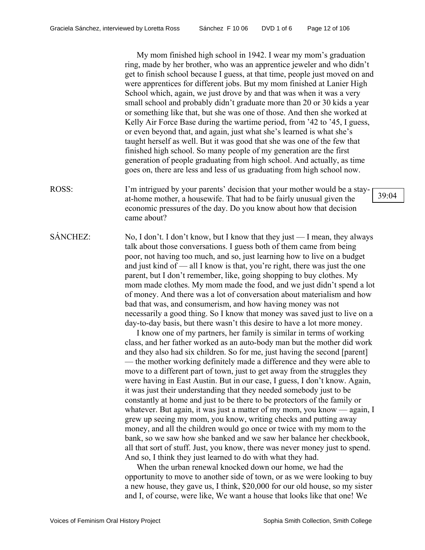My mom finished high school in 1942. I wear my mom's graduation ring, made by her brother, who was an apprentice jeweler and who didn't get to finish school because I guess, at that time, people just moved on and were apprentices for different jobs. But my mom finished at Lanier High School which, again, we just drove by and that was when it was a very small school and probably didn't graduate more than 20 or 30 kids a year or something like that, but she was one of those. And then she worked at Kelly Air Force Base during the wartime period, from '42 to '45, I guess, or even beyond that, and again, just what she's learned is what she's taught herself as well. But it was good that she was one of the few that finished high school. So many people of my generation are the first generation of people graduating from high school. And actually, as time goes on, there are less and less of us graduating from high school now.

- ROSS: I'm intrigued by your parents' decision that your mother would be a stayat-home mother, a housewife. That had to be fairly unusual given the economic pressures of the day. Do you know about how that decision came about?
- SÁNCHEZ: No, I don't. I don't know, but I know that they just I mean, they always talk about those conversations. I guess both of them came from being poor, not having too much, and so, just learning how to live on a budget and just kind of — all I know is that, you're right, there was just the one parent, but I don't remember, like, going shopping to buy clothes. My mom made clothes. My mom made the food, and we just didn't spend a lot of money. And there was a lot of conversation about materialism and how bad that was, and consumerism, and how having money was not necessarily a good thing. So I know that money was saved just to live on a day-to-day basis, but there wasn't this desire to have a lot more money.

I know one of my partners, her family is similar in terms of working class, and her father worked as an auto-body man but the mother did work and they also had six children. So for me, just having the second [parent] — the mother working definitely made a difference and they were able to move to a different part of town, just to get away from the struggles they were having in East Austin. But in our case, I guess, I don't know. Again, it was just their understanding that they needed somebody just to be constantly at home and just to be there to be protectors of the family or whatever. But again, it was just a matter of my mom, you know — again, I grew up seeing my mom, you know, writing checks and putting away money, and all the children would go once or twice with my mom to the bank, so we saw how she banked and we saw her balance her checkbook, all that sort of stuff. Just, you know, there was never money just to spend. And so, I think they just learned to do with what they had.

When the urban renewal knocked down our home, we had the opportunity to move to another side of town, or as we were looking to buy a new house, they gave us, I think, \$20,000 for our old house, so my sister and I, of course, were like, We want a house that looks like that one! We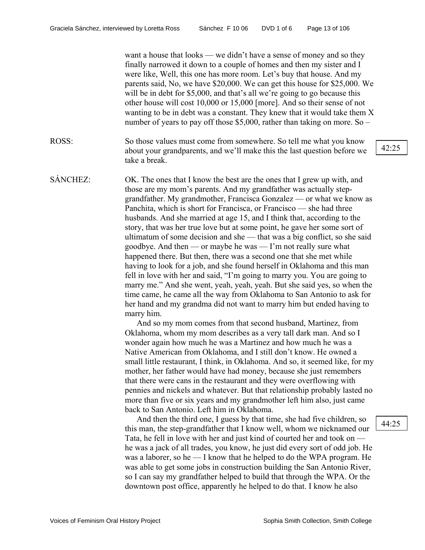want a house that looks — we didn't have a sense of money and so they finally narrowed it down to a couple of homes and then my sister and I were like, Well, this one has more room. Let's buy that house. And my parents said, No, we have \$20,000. We can get this house for \$25,000. We will be in debt for \$5,000, and that's all we're going to go because this other house will cost 10,000 or 15,000 [more]. And so their sense of not wanting to be in debt was a constant. They knew that it would take them X number of years to pay off those \$5,000, rather than taking on more. So –

- ROSS: So those values must come from somewhere. So tell me what you know about your grandparents, and we'll make this the last question before we take a break.
- SÁNCHEZ: OK. The ones that I know the best are the ones that I grew up with, and those are my mom's parents. And my grandfather was actually stepgrandfather. My grandmother, Francisca Gonzalez — or what we know as Panchita, which is short for Francisca, or Francisco — she had three husbands. And she married at age 15, and I think that, according to the story, that was her true love but at some point, he gave her some sort of ultimatum of some decision and she — that was a big conflict, so she said goodbye. And then — or maybe he was — I'm not really sure what happened there. But then, there was a second one that she met while having to look for a job, and she found herself in Oklahoma and this man fell in love with her and said, "I'm going to marry you. You are going to marry me." And she went, yeah, yeah, yeah. But she said yes, so when the time came, he came all the way from Oklahoma to San Antonio to ask for her hand and my grandma did not want to marry him but ended having to marry him.

And so my mom comes from that second husband, Martinez, from Oklahoma, whom my mom describes as a very tall dark man. And so I wonder again how much he was a Martinez and how much he was a Native American from Oklahoma, and I still don't know. He owned a small little restaurant, I think, in Oklahoma. And so, it seemed like, for my mother, her father would have had money, because she just remembers that there were cans in the restaurant and they were overflowing with pennies and nickels and whatever. But that relationship probably lasted no more than five or six years and my grandmother left him also, just came back to San Antonio. Left him in Oklahoma.

And then the third one, I guess by that time, she had five children, so this man, the step-grandfather that I know well, whom we nicknamed our Tata, he fell in love with her and just kind of courted her and took on he was a jack of all trades, you know, he just did every sort of odd job. He was a laborer, so he — I know that he helped to do the WPA program. He was able to get some jobs in construction building the San Antonio River, so I can say my grandfather helped to build that through the WPA. Or the downtown post office, apparently he helped to do that. I know he also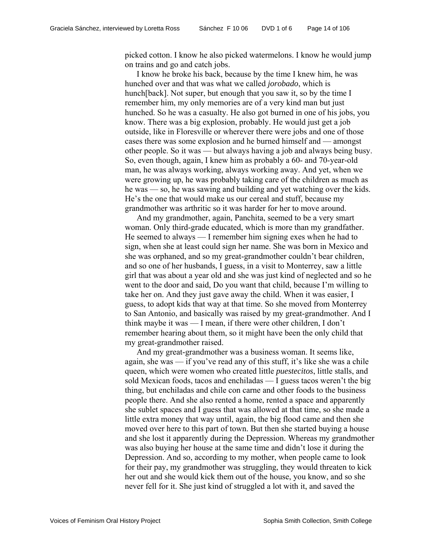picked cotton. I know he also picked watermelons. I know he would jump on trains and go and catch jobs.

I know he broke his back, because by the time I knew him, he was hunched over and that was what we called *jorobado*, which is hunch[back]. Not super, but enough that you saw it, so by the time I remember him, my only memories are of a very kind man but just hunched. So he was a casualty. He also got burned in one of his jobs, you know. There was a big explosion, probably. He would just get a job outside, like in Floresville or wherever there were jobs and one of those cases there was some explosion and he burned himself and — amongst other people. So it was — but always having a job and always being busy. So, even though, again, I knew him as probably a 60- and 70-year-old man, he was always working, always working away. And yet, when we were growing up, he was probably taking care of the children as much as he was — so, he was sawing and building and yet watching over the kids. He's the one that would make us our cereal and stuff, because my grandmother was arthritic so it was harder for her to move around.

And my grandmother, again, Panchita, seemed to be a very smart woman. Only third-grade educated, which is more than my grandfather. He seemed to always — I remember him signing exes when he had to sign, when she at least could sign her name. She was born in Mexico and she was orphaned, and so my great-grandmother couldn't bear children, and so one of her husbands, I guess, in a visit to Monterrey, saw a little girl that was about a year old and she was just kind of neglected and so he went to the door and said, Do you want that child, because I'm willing to take her on. And they just gave away the child. When it was easier, I guess, to adopt kids that way at that time. So she moved from Monterrey to San Antonio, and basically was raised by my great-grandmother. And I think maybe it was — I mean, if there were other children, I don't remember hearing about them, so it might have been the only child that my great-grandmother raised.

And my great-grandmother was a business woman. It seems like, again, she was — if you've read any of this stuff, it's like she was a chile queen, which were women who created little *puestecitos*, little stalls, and sold Mexican foods, tacos and enchiladas — I guess tacos weren't the big thing, but enchiladas and chile con carne and other foods to the business people there. And she also rented a home, rented a space and apparently she sublet spaces and I guess that was allowed at that time, so she made a little extra money that way until, again, the big flood came and then she moved over here to this part of town. But then she started buying a house and she lost it apparently during the Depression. Whereas my grandmother was also buying her house at the same time and didn't lose it during the Depression. And so, according to my mother, when people came to look for their pay, my grandmother was struggling, they would threaten to kick her out and she would kick them out of the house, you know, and so she never fell for it. She just kind of struggled a lot with it, and saved the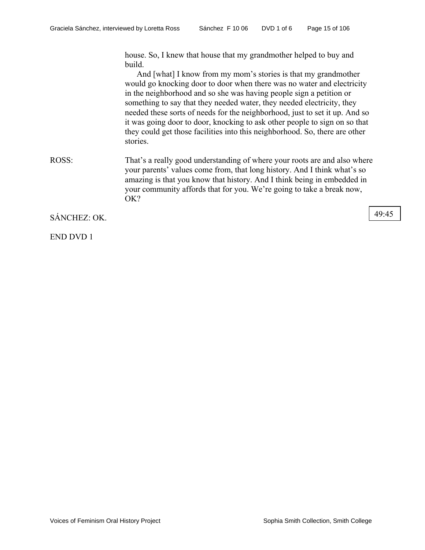house. So, I knew that house that my grandmother helped to buy and build.

And [what] I know from my mom's stories is that my grandmother would go knocking door to door when there was no water and electricity in the neighborhood and so she was having people sign a petition or something to say that they needed water, they needed electricity, they needed these sorts of needs for the neighborhood, just to set it up. And so it was going door to door, knocking to ask other people to sign on so that they could get those facilities into this neighborhood. So, there are other stories.

ROSS: That's a really good understanding of where your roots are and also where your parents' values come from, that long history. And I think what's so amazing is that you know that history. And I think being in embedded in your community affords that for you. We're going to take a break now, OK?

SÁNCHEZ: OK. 49:45

END DVD 1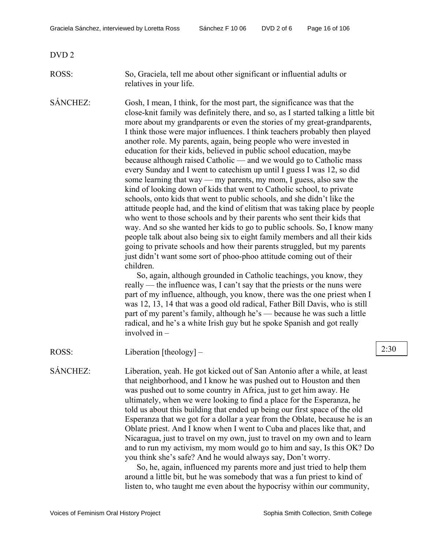DVD 2

#### ROSS: So, Graciela, tell me about other significant or influential adults or relatives in your life.

SÁNCHEZ: Gosh, I mean, I think, for the most part, the significance was that the close-knit family was definitely there, and so, as I started talking a little bit more about my grandparents or even the stories of my great-grandparents, I think those were major influences. I think teachers probably then played another role. My parents, again, being people who were invested in education for their kids, believed in public school education, maybe because although raised Catholic — and we would go to Catholic mass every Sunday and I went to catechism up until I guess I was 12, so did some learning that way — my parents, my mom, I guess, also saw the kind of looking down of kids that went to Catholic school, to private schools, onto kids that went to public schools, and she didn't like the attitude people had, and the kind of elitism that was taking place by people who went to those schools and by their parents who sent their kids that way. And so she wanted her kids to go to public schools. So, I know many people talk about also being six to eight family members and all their kids going to private schools and how their parents struggled, but my parents just didn't want some sort of phoo-phoo attitude coming out of their children.

> So, again, although grounded in Catholic teachings, you know, they really — the influence was, I can't say that the priests or the nuns were part of my influence, although, you know, there was the one priest when I was 12, 13, 14 that was a good old radical, Father Bill Davis, who is still part of my parent's family, although he's — because he was such a little radical, and he's a white Irish guy but he spoke Spanish and got really involved in –

ROSS: Liberation [theology] – 2:30

SÁNCHEZ: Liberation, yeah. He got kicked out of San Antonio after a while, at least that neighborhood, and I know he was pushed out to Houston and then was pushed out to some country in Africa, just to get him away. He ultimately, when we were looking to find a place for the Esperanza, he told us about this building that ended up being our first space of the old Esperanza that we got for a dollar a year from the Oblate, because he is an Oblate priest. And I know when I went to Cuba and places like that, and Nicaragua, just to travel on my own, just to travel on my own and to learn and to run my activism, my mom would go to him and say, Is this OK? Do you think she's safe? And he would always say, Don't worry.

> So, he, again, influenced my parents more and just tried to help them around a little bit, but he was somebody that was a fun priest to kind of listen to, who taught me even about the hypocrisy within our community,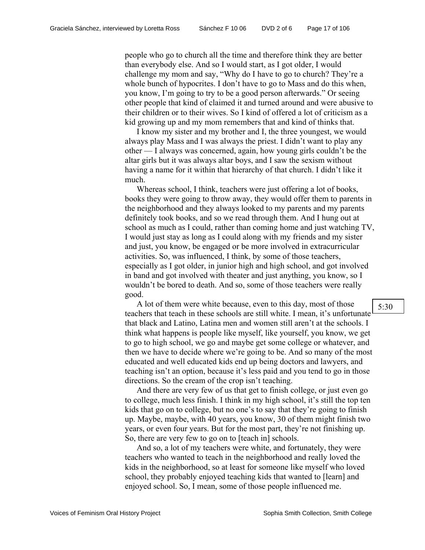people who go to church all the time and therefore think they are better than everybody else. And so I would start, as I got older, I would challenge my mom and say, "Why do I have to go to church? They're a whole bunch of hypocrites. I don't have to go to Mass and do this when, you know, I'm going to try to be a good person afterwards." Or seeing other people that kind of claimed it and turned around and were abusive to their children or to their wives. So I kind of offered a lot of criticism as a kid growing up and my mom remembers that and kind of thinks that.

I know my sister and my brother and I, the three youngest, we would always play Mass and I was always the priest. I didn't want to play any other — I always was concerned, again, how young girls couldn't be the altar girls but it was always altar boys, and I saw the sexism without having a name for it within that hierarchy of that church. I didn't like it much.

Whereas school, I think, teachers were just offering a lot of books, books they were going to throw away, they would offer them to parents in the neighborhood and they always looked to my parents and my parents definitely took books, and so we read through them. And I hung out at school as much as I could, rather than coming home and just watching TV, I would just stay as long as I could along with my friends and my sister and just, you know, be engaged or be more involved in extracurricular activities. So, was influenced, I think, by some of those teachers, especially as I got older, in junior high and high school, and got involved in band and got involved with theater and just anything, you know, so I wouldn't be bored to death. And so, some of those teachers were really good.

A lot of them were white because, even to this day, most of those teachers that teach in these schools are still white. I mean, it's unfortunate that black and Latino, Latina men and women still aren't at the schools. I think what happens is people like myself, like yourself, you know, we get to go to high school, we go and maybe get some college or whatever, and then we have to decide where we're going to be. And so many of the most educated and well educated kids end up being doctors and lawyers, and teaching isn't an option, because it's less paid and you tend to go in those directions. So the cream of the crop isn't teaching.

And there are very few of us that get to finish college, or just even go to college, much less finish. I think in my high school, it's still the top ten kids that go on to college, but no one's to say that they're going to finish up. Maybe, maybe, with 40 years, you know, 30 of them might finish two years, or even four years. But for the most part, they're not finishing up. So, there are very few to go on to [teach in] schools.

And so, a lot of my teachers were white, and fortunately, they were teachers who wanted to teach in the neighborhood and really loved the kids in the neighborhood, so at least for someone like myself who loved school, they probably enjoyed teaching kids that wanted to [learn] and enjoyed school. So, I mean, some of those people influenced me.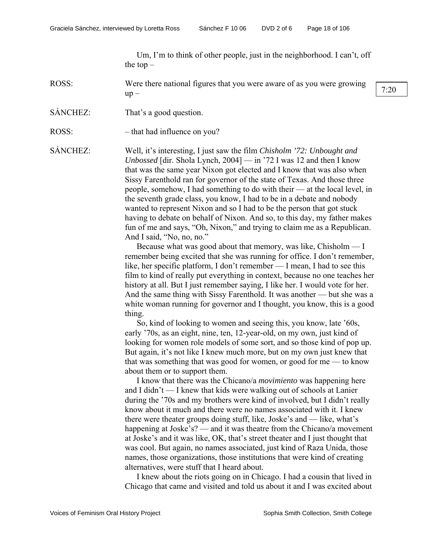Um, I'm to think of other people, just in the neighborhood. I can't, off the top  $-$ 

ROSS: Were there national figures that you were aware of as you were growing which is a signed that you were awarded as you were growing  $7:20$ 

- SÁNCHEZ: That's a good question.
- ROSS: that had influence on you?

SÁNCHEZ: Well, it's interesting, I just saw the film *Chisholm '72: Unbought and Unbossed* [dir. Shola Lynch, 2004] — in '72 I was 12 and then I know that was the same year Nixon got elected and I know that was also when Sissy Farenthold ran for governor of the state of Texas. And those three people, somehow, I had something to do with their — at the local level, in the seventh grade class, you know, I had to be in a debate and nobody wanted to represent Nixon and so I had to be the person that got stuck having to debate on behalf of Nixon. And so, to this day, my father makes fun of me and says, "Oh, Nixon," and trying to claim me as a Republican. And I said, "No, no, no."

> Because what was good about that memory, was like, Chisholm — I remember being excited that she was running for office. I don't remember, like, her specific platform, I don't remember — I mean, I had to see this film to kind of really put everything in context, because no one teaches her history at all. But I just remember saying, I like her. I would vote for her. And the same thing with Sissy Farenthold. It was another — but she was a white woman running for governor and I thought, you know, this is a good thing.

So, kind of looking to women and seeing this, you know, late '60s, early '70s, as an eight, nine, ten, 12-year-old, on my own, just kind of looking for women role models of some sort, and so those kind of pop up. But again, it's not like I knew much more, but on my own just knew that that was something that was good for women, or good for me — to know about them or to support them.

I know that there was the Chicano/a *movimiento* was happening here and I didn't — I knew that kids were walking out of schools at Lanier during the '70s and my brothers were kind of involved, but I didn't really know about it much and there were no names associated with it. I knew there were theater groups doing stuff, like, Joske's and — like, what's happening at Joske's? — and it was theatre from the Chicano/a movement at Joske's and it was like, OK, that's street theater and I just thought that was cool. But again, no names associated, just kind of Raza Unida, those names, those organizations, those institutions that were kind of creating alternatives, were stuff that I heard about.

I knew about the riots going on in Chicago. I had a cousin that lived in Chicago that came and visited and told us about it and I was excited about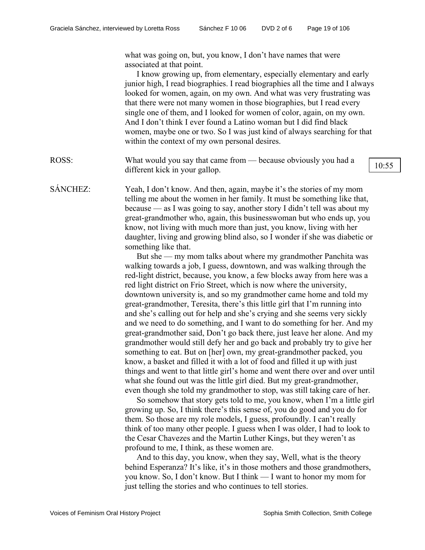what was going on, but, you know, I don't have names that were associated at that point.

I know growing up, from elementary, especially elementary and early junior high, I read biographies. I read biographies all the time and I always looked for women, again, on my own. And what was very frustrating was that there were not many women in those biographies, but I read every single one of them, and I looked for women of color, again, on my own. And I don't think I ever found a Latino woman but I did find black women, maybe one or two. So I was just kind of always searching for that within the context of my own personal desires.

ROSS: What would you say that came from — because obviously you had a different kick in your gallop.

SÁNCHEZ: Yeah, I don't know. And then, again, maybe it's the stories of my mom telling me about the women in her family. It must be something like that, because — as I was going to say, another story I didn't tell was about my great-grandmother who, again, this businesswoman but who ends up, you know, not living with much more than just, you know, living with her daughter, living and growing blind also, so I wonder if she was diabetic or something like that.

> But she — my mom talks about where my grandmother Panchita was walking towards a job, I guess, downtown, and was walking through the red-light district, because, you know, a few blocks away from here was a red light district on Frio Street, which is now where the university, downtown university is, and so my grandmother came home and told my great-grandmother, Teresita, there's this little girl that I'm running into and she's calling out for help and she's crying and she seems very sickly and we need to do something, and I want to do something for her. And my great-grandmother said, Don't go back there, just leave her alone. And my grandmother would still defy her and go back and probably try to give her something to eat. But on [her] own, my great-grandmother packed, you know, a basket and filled it with a lot of food and filled it up with just things and went to that little girl's home and went there over and over until what she found out was the little girl died. But my great-grandmother, even though she told my grandmother to stop, was still taking care of her.

> So somehow that story gets told to me, you know, when I'm a little girl growing up. So, I think there's this sense of, you do good and you do for them. So those are my role models, I guess, profoundly. I can't really think of too many other people. I guess when I was older, I had to look to the Cesar Chavezes and the Martin Luther Kings, but they weren't as profound to me, I think, as these women are.

And to this day, you know, when they say, Well, what is the theory behind Esperanza? It's like, it's in those mothers and those grandmothers, you know. So, I don't know. But I think — I want to honor my mom for just telling the stories and who continues to tell stories.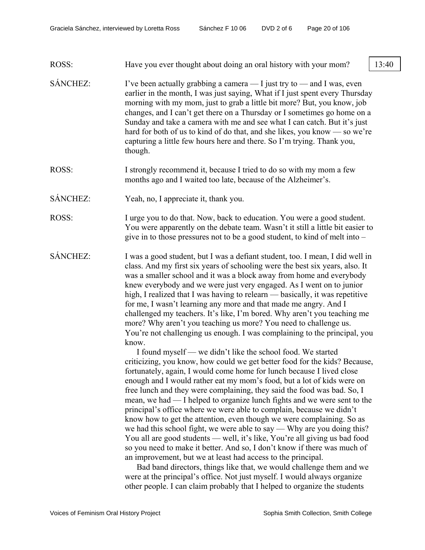#### ROSS: Have you ever thought about doing an oral history with your mom? 13:40

- SÁNCHEZ: I've been actually grabbing a camera  $-$  I just try to  $-$  and I was, even earlier in the month, I was just saying, What if I just spent every Thursday morning with my mom, just to grab a little bit more? But, you know, job changes, and I can't get there on a Thursday or I sometimes go home on a Sunday and take a camera with me and see what I can catch. But it's just hard for both of us to kind of do that, and she likes, you know — so we're capturing a little few hours here and there. So I'm trying. Thank you, though.
- ROSS: I strongly recommend it, because I tried to do so with my mom a few months ago and I waited too late, because of the Alzheimer's.
- SÁNCHEZ: Yeah, no, I appreciate it, thank you.
- ROSS: I urge you to do that. Now, back to education. You were a good student. You were apparently on the debate team. Wasn't it still a little bit easier to give in to those pressures not to be a good student, to kind of melt into –
- SÁNCHEZ: I was a good student, but I was a defiant student, too. I mean, I did well in class. And my first six years of schooling were the best six years, also. It was a smaller school and it was a block away from home and everybody knew everybody and we were just very engaged. As I went on to junior high, I realized that I was having to relearn — basically, it was repetitive for me, I wasn't learning any more and that made me angry. And I challenged my teachers. It's like, I'm bored. Why aren't you teaching me more? Why aren't you teaching us more? You need to challenge us. You're not challenging us enough. I was complaining to the principal, you know.

I found myself — we didn't like the school food. We started criticizing, you know, how could we get better food for the kids? Because, fortunately, again, I would come home for lunch because I lived close enough and I would rather eat my mom's food, but a lot of kids were on free lunch and they were complaining, they said the food was bad. So, I mean, we had — I helped to organize lunch fights and we were sent to the principal's office where we were able to complain, because we didn't know how to get the attention, even though we were complaining. So as we had this school fight, we were able to say — Why are you doing this? You all are good students — well, it's like, You're all giving us bad food so you need to make it better. And so, I don't know if there was much of an improvement, but we at least had access to the principal.

Bad band directors, things like that, we would challenge them and we were at the principal's office. Not just myself. I would always organize other people. I can claim probably that I helped to organize the students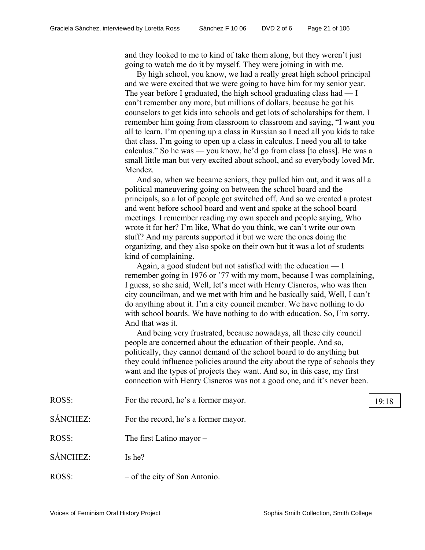and they looked to me to kind of take them along, but they weren't just going to watch me do it by myself. They were joining in with me.

By high school, you know, we had a really great high school principal and we were excited that we were going to have him for my senior year. The year before I graduated, the high school graduating class had — I can't remember any more, but millions of dollars, because he got his counselors to get kids into schools and get lots of scholarships for them. I remember him going from classroom to classroom and saying, "I want you all to learn. I'm opening up a class in Russian so I need all you kids to take that class. I'm going to open up a class in calculus. I need you all to take calculus." So he was — you know, he'd go from class [to class]. He was a small little man but very excited about school, and so everybody loved Mr. Mendez.

And so, when we became seniors, they pulled him out, and it was all a political maneuvering going on between the school board and the principals, so a lot of people got switched off. And so we created a protest and went before school board and went and spoke at the school board meetings. I remember reading my own speech and people saying, Who wrote it for her? I'm like, What do you think, we can't write our own stuff? And my parents supported it but we were the ones doing the organizing, and they also spoke on their own but it was a lot of students kind of complaining.

Again, a good student but not satisfied with the education — I remember going in 1976 or '77 with my mom, because I was complaining, I guess, so she said, Well, let's meet with Henry Cisneros, who was then city councilman, and we met with him and he basically said, Well, I can't do anything about it. I'm a city council member. We have nothing to do with school boards. We have nothing to do with education. So, I'm sorry. And that was it.

And being very frustrated, because nowadays, all these city council people are concerned about the education of their people. And so, politically, they cannot demand of the school board to do anything but they could influence policies around the city about the type of schools they want and the types of projects they want. And so, in this case, my first connection with Henry Cisneros was not a good one, and it's never been.

| ROSS:    | For the record, he's a former mayor. | 19:18 |
|----------|--------------------------------------|-------|
| SÁNCHEZ: | For the record, he's a former mayor. |       |
| ROSS:    | The first Latino mayor $-$           |       |
| SÁNCHEZ: | Is he?                               |       |
| ROSS:    | $-$ of the city of San Antonio.      |       |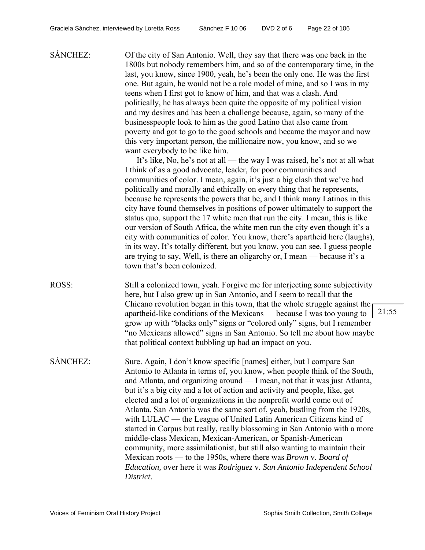SÁNCHEZ: Of the city of San Antonio. Well, they say that there was one back in the 1800s but nobody remembers him, and so of the contemporary time, in the last, you know, since 1900, yeah, he's been the only one. He was the first one. But again, he would not be a role model of mine, and so I was in my teens when I first got to know of him, and that was a clash. And politically, he has always been quite the opposite of my political vision and my desires and has been a challenge because, again, so many of the businesspeople look to him as the good Latino that also came from poverty and got to go to the good schools and became the mayor and now this very important person, the millionaire now, you know, and so we want everybody to be like him.

It's like, No, he's not at all — the way I was raised, he's not at all what I think of as a good advocate, leader, for poor communities and communities of color. I mean, again, it's just a big clash that we've had politically and morally and ethically on every thing that he represents, because he represents the powers that be, and I think many Latinos in this city have found themselves in positions of power ultimately to support the status quo, support the 17 white men that run the city. I mean, this is like our version of South Africa, the white men run the city even though it's a city with communities of color. You know, there's apartheid here (laughs), in its way. It's totally different, but you know, you can see. I guess people are trying to say, Well, is there an oligarchy or, I mean — because it's a town that's been colonized.

- ROSS: Still a colonized town, yeah. Forgive me for interjecting some subjectivity here, but I also grew up in San Antonio, and I seem to recall that the Chicano revolution began in this town, that the whole struggle against the apartheid-like conditions of the Mexicans — because I was too young to grow up with "blacks only" signs or "colored only" signs, but I remember "no Mexicans allowed" signs in San Antonio. So tell me about how maybe that political context bubbling up had an impact on you.
- SÁNCHEZ: Sure. Again, I don't know specific [names] either, but I compare San Antonio to Atlanta in terms of, you know, when people think of the South, and Atlanta, and organizing around — I mean, not that it was just Atlanta, but it's a big city and a lot of action and activity and people, like, get elected and a lot of organizations in the nonprofit world come out of Atlanta. San Antonio was the same sort of, yeah, bustling from the 1920s, with LULAC — the League of United Latin American Citizens kind of started in Corpus but really, really blossoming in San Antonio with a more middle-class Mexican, Mexican-American, or Spanish-American community, more assimilationist, but still also wanting to maintain their Mexican roots — to the 1950s, where there was *Brown* v*. Board of Education,* over here it was *Rodriguez* v*. San Antonio Independent School District*.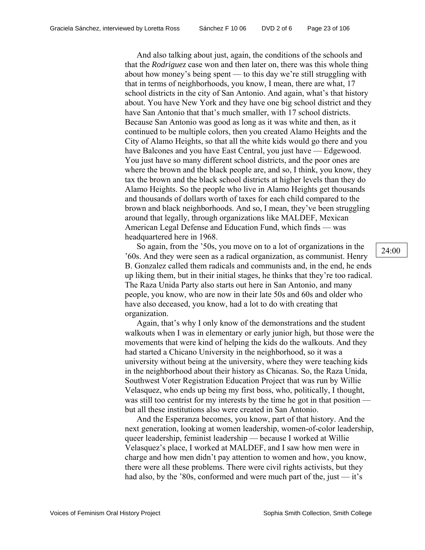And also talking about just, again, the conditions of the schools and that the *Rodriguez* case won and then later on, there was this whole thing about how money's being spent — to this day we're still struggling with that in terms of neighborhoods, you know, I mean, there are what, 17 school districts in the city of San Antonio. And again, what's that history about. You have New York and they have one big school district and they have San Antonio that that's much smaller, with 17 school districts. Because San Antonio was good as long as it was white and then, as it continued to be multiple colors, then you created Alamo Heights and the City of Alamo Heights, so that all the white kids would go there and you have Balcones and you have East Central, you just have — Edgewood. You just have so many different school districts, and the poor ones are where the brown and the black people are, and so, I think, you know, they tax the brown and the black school districts at higher levels than they do Alamo Heights. So the people who live in Alamo Heights get thousands and thousands of dollars worth of taxes for each child compared to the brown and black neighborhoods. And so, I mean, they've been struggling around that legally, through organizations like MALDEF, Mexican American Legal Defense and Education Fund, which finds — was headquartered here in 1968.

So again, from the '50s, you move on to a lot of organizations in the '60s. And they were seen as a radical organization, as communist. Henry B. Gonzalez called them radicals and communists and, in the end, he ends up liking them, but in their initial stages, he thinks that they're too radical. The Raza Unida Party also starts out here in San Antonio, and many people, you know, who are now in their late 50s and 60s and older who have also deceased, you know, had a lot to do with creating that organization.

Again, that's why I only know of the demonstrations and the student walkouts when I was in elementary or early junior high, but those were the movements that were kind of helping the kids do the walkouts. And they had started a Chicano University in the neighborhood, so it was a university without being at the university, where they were teaching kids in the neighborhood about their history as Chicanas. So, the Raza Unida, Southwest Voter Registration Education Project that was run by Willie Velasquez, who ends up being my first boss, who, politically, I thought, was still too centrist for my interests by the time he got in that position but all these institutions also were created in San Antonio.

And the Esperanza becomes, you know, part of that history. And the next generation, looking at women leadership, women-of-color leadership, queer leadership, feminist leadership — because I worked at Willie Velasquez's place, I worked at MALDEF, and I saw how men were in charge and how men didn't pay attention to women and how, you know, there were all these problems. There were civil rights activists, but they had also, by the '80s, conformed and were much part of the, just  $-$  it's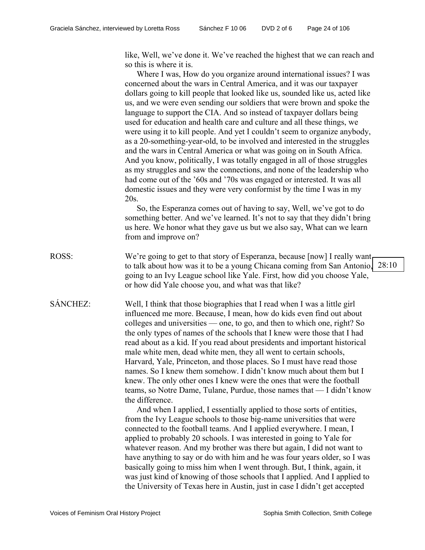like, Well, we've done it. We've reached the highest that we can reach and so this is where it is.

Where I was, How do you organize around international issues? I was concerned about the wars in Central America, and it was our taxpayer dollars going to kill people that looked like us, sounded like us, acted like us, and we were even sending our soldiers that were brown and spoke the language to support the CIA. And so instead of taxpayer dollars being used for education and health care and culture and all these things, we were using it to kill people. And yet I couldn't seem to organize anybody, as a 20-something-year-old, to be involved and interested in the struggles and the wars in Central America or what was going on in South Africa. And you know, politically, I was totally engaged in all of those struggles as my struggles and saw the connections, and none of the leadership who had come out of the '60s and '70s was engaged or interested. It was all domestic issues and they were very conformist by the time I was in my 20s.

So, the Esperanza comes out of having to say, Well, we've got to do something better. And we've learned. It's not to say that they didn't bring us here. We honor what they gave us but we also say, What can we learn from and improve on?

ROSS: We're going to get to that story of Esperanza, because [now] I really want. to talk about how was it to be a young Chicana coming from San Antonio, 28:10 going to an Ivy League school like Yale. First, how did you choose Yale, or how did Yale choose you, and what was that like?

SÁNCHEZ: Well, I think that those biographies that I read when I was a little girl influenced me more. Because, I mean, how do kids even find out about colleges and universities — one, to go, and then to which one, right? So the only types of names of the schools that I knew were those that I had read about as a kid. If you read about presidents and important historical male white men, dead white men, they all went to certain schools, Harvard, Yale, Princeton, and those places. So I must have read those names. So I knew them somehow. I didn't know much about them but I knew. The only other ones I knew were the ones that were the football teams, so Notre Dame, Tulane, Purdue, those names that — I didn't know the difference.

> And when I applied, I essentially applied to those sorts of entities, from the Ivy League schools to those big-name universities that were connected to the football teams. And I applied everywhere. I mean, I applied to probably 20 schools. I was interested in going to Yale for whatever reason. And my brother was there but again, I did not want to have anything to say or do with him and he was four years older, so I was basically going to miss him when I went through. But, I think, again, it was just kind of knowing of those schools that I applied. And I applied to the University of Texas here in Austin, just in case I didn't get accepted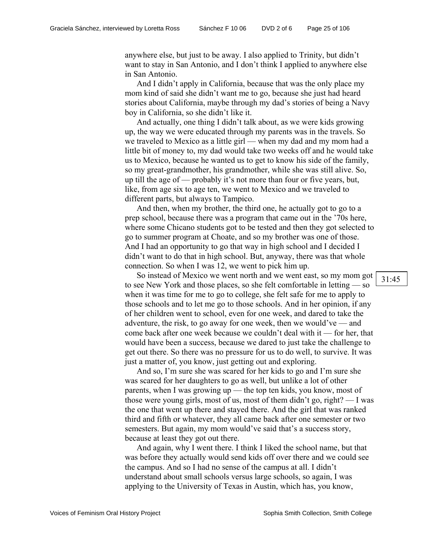anywhere else, but just to be away. I also applied to Trinity, but didn't want to stay in San Antonio, and I don't think I applied to anywhere else in San Antonio.

And I didn't apply in California, because that was the only place my mom kind of said she didn't want me to go, because she just had heard stories about California, maybe through my dad's stories of being a Navy boy in California, so she didn't like it.

And actually, one thing I didn't talk about, as we were kids growing up, the way we were educated through my parents was in the travels. So we traveled to Mexico as a little girl — when my dad and my mom had a little bit of money to, my dad would take two weeks off and he would take us to Mexico, because he wanted us to get to know his side of the family, so my great-grandmother, his grandmother, while she was still alive. So, up till the age of — probably it's not more than four or five years, but, like, from age six to age ten, we went to Mexico and we traveled to different parts, but always to Tampico.

And then, when my brother, the third one, he actually got to go to a prep school, because there was a program that came out in the '70s here, where some Chicano students got to be tested and then they got selected to go to summer program at Choate, and so my brother was one of those. And I had an opportunity to go that way in high school and I decided I didn't want to do that in high school. But, anyway, there was that whole connection. So when I was 12, we went to pick him up.

So instead of Mexico we went north and we went east, so my mom got to see New York and those places, so she felt comfortable in letting — so when it was time for me to go to college, she felt safe for me to apply to those schools and to let me go to those schools. And in her opinion, if any of her children went to school, even for one week, and dared to take the adventure, the risk, to go away for one week, then we would've — and come back after one week because we couldn't deal with it — for her, that would have been a success, because we dared to just take the challenge to get out there. So there was no pressure for us to do well, to survive. It was just a matter of, you know, just getting out and exploring.

And so, I'm sure she was scared for her kids to go and I'm sure she was scared for her daughters to go as well, but unlike a lot of other parents, when I was growing up — the top ten kids, you know, most of those were young girls, most of us, most of them didn't go, right? — I was the one that went up there and stayed there. And the girl that was ranked third and fifth or whatever, they all came back after one semester or two semesters. But again, my mom would've said that's a success story, because at least they got out there.

And again, why I went there. I think I liked the school name, but that was before they actually would send kids off over there and we could see the campus. And so I had no sense of the campus at all. I didn't understand about small schools versus large schools, so again, I was applying to the University of Texas in Austin, which has, you know,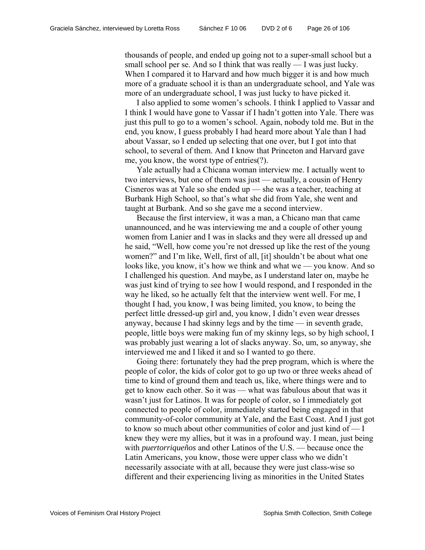thousands of people, and ended up going not to a super-small school but a small school per se. And so I think that was really — I was just lucky. When I compared it to Harvard and how much bigger it is and how much more of a graduate school it is than an undergraduate school, and Yale was more of an undergraduate school, I was just lucky to have picked it.

I also applied to some women's schools. I think I applied to Vassar and I think I would have gone to Vassar if I hadn't gotten into Yale. There was just this pull to go to a women's school. Again, nobody told me. But in the end, you know, I guess probably I had heard more about Yale than I had about Vassar, so I ended up selecting that one over, but I got into that school, to several of them. And I know that Princeton and Harvard gave me, you know, the worst type of entries(?).

Yale actually had a Chicana woman interview me. I actually went to two interviews, but one of them was just — actually, a cousin of Henry Cisneros was at Yale so she ended up — she was a teacher, teaching at Burbank High School, so that's what she did from Yale, she went and taught at Burbank. And so she gave me a second interview.

Because the first interview, it was a man, a Chicano man that came unannounced, and he was interviewing me and a couple of other young women from Lanier and I was in slacks and they were all dressed up and he said, "Well, how come you're not dressed up like the rest of the young women?" and I'm like, Well, first of all, [it] shouldn't be about what one looks like, you know, it's how we think and what we — you know. And so I challenged his question. And maybe, as I understand later on, maybe he was just kind of trying to see how I would respond, and I responded in the way he liked, so he actually felt that the interview went well. For me, I thought I had, you know, I was being limited, you know, to being the perfect little dressed-up girl and, you know, I didn't even wear dresses anyway, because I had skinny legs and by the time — in seventh grade, people, little boys were making fun of my skinny legs, so by high school, I was probably just wearing a lot of slacks anyway. So, um, so anyway, she interviewed me and I liked it and so I wanted to go there.

Going there: fortunately they had the prep program, which is where the people of color, the kids of color got to go up two or three weeks ahead of time to kind of ground them and teach us, like, where things were and to get to know each other. So it was — what was fabulous about that was it wasn't just for Latinos. It was for people of color, so I immediately got connected to people of color, immediately started being engaged in that community-of-color community at Yale, and the East Coast. And I just got to know so much about other communities of color and just kind of — I knew they were my allies, but it was in a profound way. I mean, just being with *puertorriqueños* and other Latinos of the U.S. — because once the Latin Americans, you know, those were upper class who we didn't necessarily associate with at all, because they were just class-wise so different and their experiencing living as minorities in the United States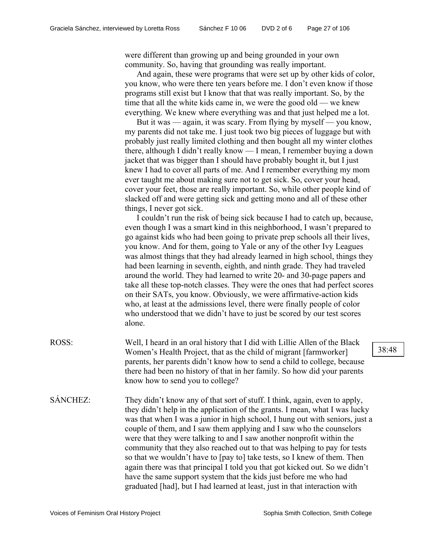were different than growing up and being grounded in your own community. So, having that grounding was really important.

And again, these were programs that were set up by other kids of color, you know, who were there ten years before me. I don't even know if those programs still exist but I know that that was really important. So, by the time that all the white kids came in, we were the good old — we knew everything. We knew where everything was and that just helped me a lot.

But it was — again, it was scary. From flying by myself — you know, my parents did not take me. I just took two big pieces of luggage but with probably just really limited clothing and then bought all my winter clothes there, although I didn't really know — I mean, I remember buying a down jacket that was bigger than I should have probably bought it, but I just knew I had to cover all parts of me. And I remember everything my mom ever taught me about making sure not to get sick. So, cover your head, cover your feet, those are really important. So, while other people kind of slacked off and were getting sick and getting mono and all of these other things, I never got sick.

I couldn't run the risk of being sick because I had to catch up, because, even though I was a smart kind in this neighborhood, I wasn't prepared to go against kids who had been going to private prep schools all their lives, you know. And for them, going to Yale or any of the other Ivy Leagues was almost things that they had already learned in high school, things they had been learning in seventh, eighth, and ninth grade. They had traveled around the world. They had learned to write 20- and 30-page papers and take all these top-notch classes. They were the ones that had perfect scores on their SATs, you know. Obviously, we were affirmative-action kids who, at least at the admissions level, there were finally people of color who understood that we didn't have to just be scored by our test scores alone.

- ROSS: Well, I heard in an oral history that I did with Lillie Allen of the Black Women's Health Project, that as the child of migrant [farmworker] parents, her parents didn't know how to send a child to college, because there had been no history of that in her family. So how did your parents know how to send you to college?
- SÁNCHEZ: They didn't know any of that sort of stuff. I think, again, even to apply, they didn't help in the application of the grants. I mean, what I was lucky was that when I was a junior in high school, I hung out with seniors, just a couple of them, and I saw them applying and I saw who the counselors were that they were talking to and I saw another nonprofit within the community that they also reached out to that was helping to pay for tests so that we wouldn't have to [pay to] take tests, so I knew of them. Then again there was that principal I told you that got kicked out. So we didn't have the same support system that the kids just before me who had graduated [had], but I had learned at least, just in that interaction with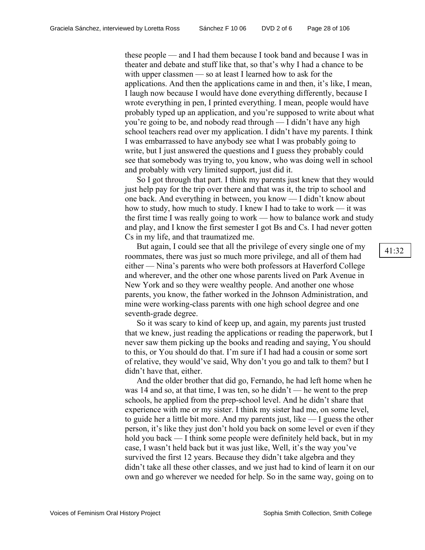these people — and I had them because I took band and because I was in theater and debate and stuff like that, so that's why I had a chance to be with upper classmen — so at least I learned how to ask for the applications. And then the applications came in and then, it's like, I mean, I laugh now because I would have done everything differently, because I wrote everything in pen, I printed everything. I mean, people would have probably typed up an application, and you're supposed to write about what you're going to be, and nobody read through — I didn't have any high school teachers read over my application. I didn't have my parents. I think I was embarrassed to have anybody see what I was probably going to write, but I just answered the questions and I guess they probably could see that somebody was trying to, you know, who was doing well in school and probably with very limited support, just did it.

So I got through that part. I think my parents just knew that they would just help pay for the trip over there and that was it, the trip to school and one back. And everything in between, you know — I didn't know about how to study, how much to study. I knew I had to take to work — it was the first time I was really going to work — how to balance work and study and play, and I know the first semester I got Bs and Cs. I had never gotten Cs in my life, and that traumatized me.

But again, I could see that all the privilege of every single one of my roommates, there was just so much more privilege, and all of them had either — Nina's parents who were both professors at Haverford College and wherever, and the other one whose parents lived on Park Avenue in New York and so they were wealthy people. And another one whose parents, you know, the father worked in the Johnson Administration, and mine were working-class parents with one high school degree and one seventh-grade degree.

So it was scary to kind of keep up, and again, my parents just trusted that we knew, just reading the applications or reading the paperwork, but I never saw them picking up the books and reading and saying, You should to this, or You should do that. I'm sure if I had had a cousin or some sort of relative, they would've said, Why don't you go and talk to them? but I didn't have that, either.

And the older brother that did go, Fernando, he had left home when he was 14 and so, at that time, I was ten, so he didn't — he went to the prep schools, he applied from the prep-school level. And he didn't share that experience with me or my sister. I think my sister had me, on some level, to guide her a little bit more. And my parents just, like — I guess the other person, it's like they just don't hold you back on some level or even if they hold you back — I think some people were definitely held back, but in my case, I wasn't held back but it was just like, Well, it's the way you've survived the first 12 years. Because they didn't take algebra and they didn't take all these other classes, and we just had to kind of learn it on our own and go wherever we needed for help. So in the same way, going on to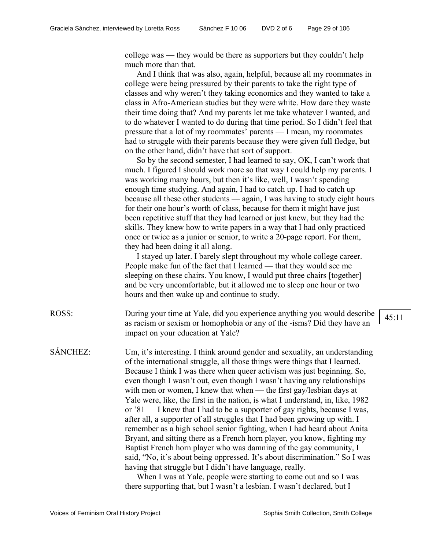college was — they would be there as supporters but they couldn't help much more than that.

And I think that was also, again, helpful, because all my roommates in college were being pressured by their parents to take the right type of classes and why weren't they taking economics and they wanted to take a class in Afro-American studies but they were white. How dare they waste their time doing that? And my parents let me take whatever I wanted, and to do whatever I wanted to do during that time period. So I didn't feel that pressure that a lot of my roommates' parents — I mean, my roommates had to struggle with their parents because they were given full fledge, but on the other hand, didn't have that sort of support.

So by the second semester, I had learned to say, OK, I can't work that much. I figured I should work more so that way I could help my parents. I was working many hours, but then it's like, well, I wasn't spending enough time studying. And again, I had to catch up. I had to catch up because all these other students — again, I was having to study eight hours for their one hour's worth of class, because for them it might have just been repetitive stuff that they had learned or just knew, but they had the skills. They knew how to write papers in a way that I had only practiced once or twice as a junior or senior, to write a 20-page report. For them, they had been doing it all along.

I stayed up later. I barely slept throughout my whole college career. People make fun of the fact that I learned — that they would see me sleeping on these chairs. You know, I would put three chairs [together] and be very uncomfortable, but it allowed me to sleep one hour or two hours and then wake up and continue to study.

ROSS: During your time at Yale, did you experience anything you would describe as racism or sexism or homophobia or any of the -isms? Did they have an impact on your education at Yale?

SÁNCHEZ: Um, it's interesting. I think around gender and sexuality, an understanding of the international struggle, all those things were things that I learned. Because I think I was there when queer activism was just beginning. So, even though I wasn't out, even though I wasn't having any relationships with men or women, I knew that when — the first gay/lesbian days at Yale were, like, the first in the nation, is what I understand, in, like, 1982 or '81 — I knew that I had to be a supporter of gay rights, because I was, after all, a supporter of all struggles that I had been growing up with. I remember as a high school senior fighting, when I had heard about Anita Bryant, and sitting there as a French horn player, you know, fighting my Baptist French horn player who was damning of the gay community, I said, "No, it's about being oppressed. It's about discrimination." So I was having that struggle but I didn't have language, really.

> When I was at Yale, people were starting to come out and so I was there supporting that, but I wasn't a lesbian. I wasn't declared, but I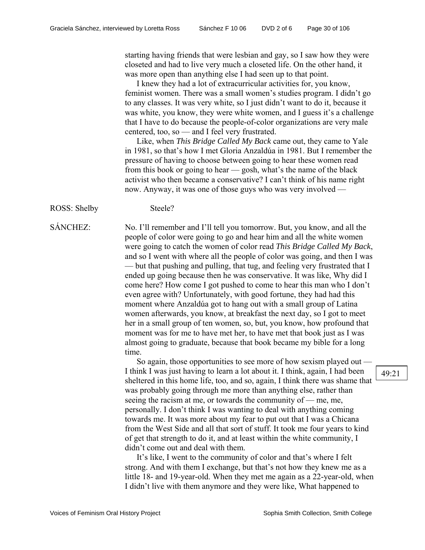starting having friends that were lesbian and gay, so I saw how they were closeted and had to live very much a closeted life. On the other hand, it was more open than anything else I had seen up to that point.

I knew they had a lot of extracurricular activities for, you know, feminist women. There was a small women's studies program. I didn't go to any classes. It was very white, so I just didn't want to do it, because it was white, you know, they were white women, and I guess it's a challenge that I have to do because the people-of-color organizations are very male centered, too, so — and I feel very frustrated.

Like, when *This Bridge Called My Back* came out, they came to Yale in 1981, so that's how I met Gloria Anzaldúa in 1981. But I remember the pressure of having to choose between going to hear these women read from this book or going to hear — gosh, what's the name of the black activist who then became a conservative? I can't think of his name right now. Anyway, it was one of those guys who was very involved —

ROSS: Shelby Steele?

SÁNCHEZ: No. I'll remember and I'll tell you tomorrow. But, you know, and all the people of color were going to go and hear him and all the white women were going to catch the women of color read *This Bridge Called My Back*, and so I went with where all the people of color was going, and then I was — but that pushing and pulling, that tug, and feeling very frustrated that I ended up going because then he was conservative. It was like, Why did I come here? How come I got pushed to come to hear this man who I don't even agree with? Unfortunately, with good fortune, they had had this moment where Anzaldúa got to hang out with a small group of Latina women afterwards, you know, at breakfast the next day, so I got to meet her in a small group of ten women, so, but, you know, how profound that moment was for me to have met her, to have met that book just as I was almost going to graduate, because that book became my bible for a long time.

> So again, those opportunities to see more of how sexism played out — I think I was just having to learn a lot about it. I think, again, I had been sheltered in this home life, too, and so, again, I think there was shame that was probably going through me more than anything else, rather than seeing the racism at me, or towards the community of — me, me, personally. I don't think I was wanting to deal with anything coming towards me. It was more about my fear to put out that I was a Chicana from the West Side and all that sort of stuff. It took me four years to kind of get that strength to do it, and at least within the white community, I didn't come out and deal with them.

> It's like, I went to the community of color and that's where I felt strong. And with them I exchange, but that's not how they knew me as a little 18- and 19-year-old. When they met me again as a 22-year-old, when I didn't live with them anymore and they were like, What happened to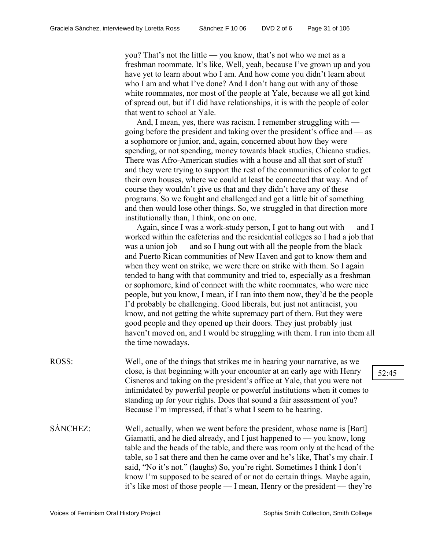you? That's not the little — you know, that's not who we met as a freshman roommate. It's like, Well, yeah, because I've grown up and you have yet to learn about who I am. And how come you didn't learn about who I am and what I've done? And I don't hang out with any of those white roommates, nor most of the people at Yale, because we all got kind of spread out, but if I did have relationships, it is with the people of color that went to school at Yale.

And, I mean, yes, there was racism. I remember struggling with going before the president and taking over the president's office and — as a sophomore or junior, and, again, concerned about how they were spending, or not spending, money towards black studies, Chicano studies. There was Afro-American studies with a house and all that sort of stuff and they were trying to support the rest of the communities of color to get their own houses, where we could at least be connected that way. And of course they wouldn't give us that and they didn't have any of these programs. So we fought and challenged and got a little bit of something and then would lose other things. So, we struggled in that direction more institutionally than, I think, one on one.

Again, since I was a work-study person, I got to hang out with — and I worked within the cafeterias and the residential colleges so I had a job that was a union job — and so I hung out with all the people from the black and Puerto Rican communities of New Haven and got to know them and when they went on strike, we were there on strike with them. So I again tended to hang with that community and tried to, especially as a freshman or sophomore, kind of connect with the white roommates, who were nice people, but you know, I mean, if I ran into them now, they'd be the people I'd probably be challenging. Good liberals, but just not antiracist, you know, and not getting the white supremacy part of them. But they were good people and they opened up their doors. They just probably just haven't moved on, and I would be struggling with them. I run into them all the time nowadays.

- ROSS: Well, one of the things that strikes me in hearing your narrative, as we close, is that beginning with your encounter at an early age with Henry Cisneros and taking on the president's office at Yale, that you were not intimidated by powerful people or powerful institutions when it comes to standing up for your rights. Does that sound a fair assessment of you? Because I'm impressed, if that's what I seem to be hearing.
- SÁNCHEZ: Well, actually, when we went before the president, whose name is [Bart] Giamatti, and he died already, and I just happened to — you know, long table and the heads of the table, and there was room only at the head of the table, so I sat there and then he came over and he's like, That's my chair. I said, "No it's not." (laughs) So, you're right. Sometimes I think I don't know I'm supposed to be scared of or not do certain things. Maybe again, it's like most of those people — I mean, Henry or the president — they're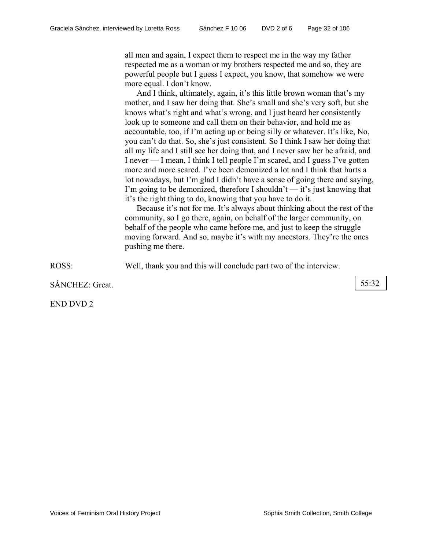all men and again, I expect them to respect me in the way my father respected me as a woman or my brothers respected me and so, they are powerful people but I guess I expect, you know, that somehow we were more equal. I don't know.

And I think, ultimately, again, it's this little brown woman that's my mother, and I saw her doing that. She's small and she's very soft, but she knows what's right and what's wrong, and I just heard her consistently look up to someone and call them on their behavior, and hold me as accountable, too, if I'm acting up or being silly or whatever. It's like, No, you can't do that. So, she's just consistent. So I think I saw her doing that all my life and I still see her doing that, and I never saw her be afraid, and I never — I mean, I think I tell people I'm scared, and I guess I've gotten more and more scared. I've been demonized a lot and I think that hurts a lot nowadays, but I'm glad I didn't have a sense of going there and saying, I'm going to be demonized, therefore I shouldn't  $-$  it's just knowing that it's the right thing to do, knowing that you have to do it.

Because it's not for me. It's always about thinking about the rest of the community, so I go there, again, on behalf of the larger community, on behalf of the people who came before me, and just to keep the struggle moving forward. And so, maybe it's with my ancestors. They're the ones pushing me there.

ROSS: Well, thank you and this will conclude part two of the interview.

SÁNCHEZ: Great. 55:32

END DVD 2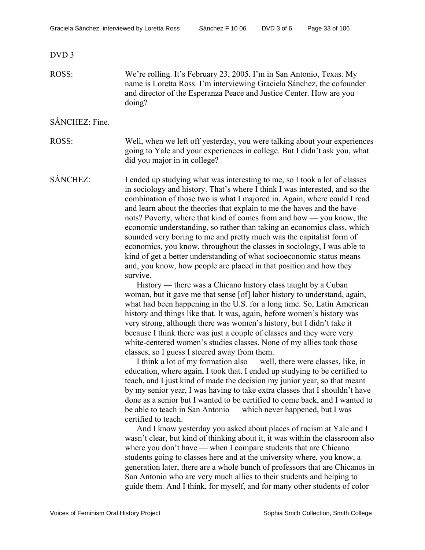#### DVD 3

ROSS: We're rolling. It's February 23, 2005. I'm in San Antonio, Texas. My name is Loretta Ross. I'm interviewing Graciela Sánchez, the cofounder and director of the Esperanza Peace and Justice Center. How are you doing?

#### SÁNCHEZ: Fine.

ROSS: Well, when we left off yesterday, you were talking about your experiences going to Yale and your experiences in college. But I didn't ask you, what did you major in in college?

SÁNCHEZ: I ended up studying what was interesting to me, so I took a lot of classes in sociology and history. That's where I think I was interested, and so the combination of those two is what I majored in. Again, where could I read and learn about the theories that explain to me the haves and the havenots? Poverty, where that kind of comes from and how — you know, the economic understanding, so rather than taking an economics class, which sounded very boring to me and pretty much was the capitalist form of economics, you know, throughout the classes in sociology, I was able to kind of get a better understanding of what socioeconomic status means and, you know, how people are placed in that position and how they survive.

History — there was a Chicano history class taught by a Cuban woman, but it gave me that sense [of] labor history to understand, again, what had been happening in the U.S. for a long time. So, Latin American history and things like that. It was, again, before women's history was very strong, although there was women's history, but I didn't take it because I think there was just a couple of classes and they were very white-centered women's studies classes. None of my allies took those classes, so I guess I steered away from them.

I think a lot of my formation also — well, there were classes, like, in education, where again, I took that. I ended up studying to be certified to teach, and I just kind of made the decision my junior year, so that meant by my senior year, I was having to take extra classes that I shouldn't have done as a senior but I wanted to be certified to come back, and I wanted to be able to teach in San Antonio — which never happened, but I was certified to teach.

And I know yesterday you asked about places of racism at Yale and I wasn't clear, but kind of thinking about it, it was within the classroom also where you don't have — when I compare students that are Chicano students going to classes here and at the university where, you know, a generation later, there are a whole bunch of professors that are Chicanos in San Antonio who are very much allies to their students and helping to guide them. And I think, for myself, and for many other students of color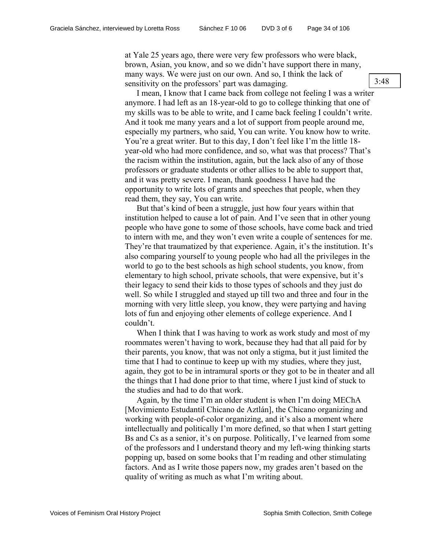at Yale 25 years ago, there were very few professors who were black, brown, Asian, you know, and so we didn't have support there in many, many ways. We were just on our own. And so, I think the lack of sensitivity on the professors' part was damaging.

I mean, I know that I came back from college not feeling I was a writer anymore. I had left as an 18-year-old to go to college thinking that one of my skills was to be able to write, and I came back feeling I couldn't write. And it took me many years and a lot of support from people around me, especially my partners, who said, You can write. You know how to write. You're a great writer. But to this day, I don't feel like I'm the little 18 year-old who had more confidence, and so, what was that process? That's the racism within the institution, again, but the lack also of any of those professors or graduate students or other allies to be able to support that, and it was pretty severe. I mean, thank goodness I have had the opportunity to write lots of grants and speeches that people, when they read them, they say, You can write.

But that's kind of been a struggle, just how four years within that institution helped to cause a lot of pain. And I've seen that in other young people who have gone to some of those schools, have come back and tried to intern with me, and they won't even write a couple of sentences for me. They're that traumatized by that experience. Again, it's the institution. It's also comparing yourself to young people who had all the privileges in the world to go to the best schools as high school students, you know, from elementary to high school, private schools, that were expensive, but it's their legacy to send their kids to those types of schools and they just do well. So while I struggled and stayed up till two and three and four in the morning with very little sleep, you know, they were partying and having lots of fun and enjoying other elements of college experience. And I couldn't.

When I think that I was having to work as work study and most of my roommates weren't having to work, because they had that all paid for by their parents, you know, that was not only a stigma, but it just limited the time that I had to continue to keep up with my studies, where they just, again, they got to be in intramural sports or they got to be in theater and all the things that I had done prior to that time, where I just kind of stuck to the studies and had to do that work.

Again, by the time I'm an older student is when I'm doing MEChA [Movimiento Estudantil Chicano de Aztlán], the Chicano organizing and working with people-of-color organizing, and it's also a moment where intellectually and politically I'm more defined, so that when I start getting Bs and Cs as a senior, it's on purpose. Politically, I've learned from some of the professors and I understand theory and my left-wing thinking starts popping up, based on some books that I'm reading and other stimulating factors. And as I write those papers now, my grades aren't based on the quality of writing as much as what I'm writing about.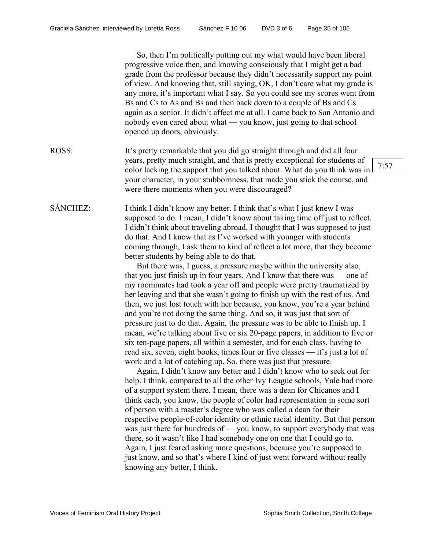So, then I'm politically putting out my what would have been liberal progressive voice then, and knowing consciously that I might get a bad grade from the professor because they didn't necessarily support my point of view. And knowing that, still saying, OK, I don't care what my grade is any more, it's important what I say. So you could see my scores went from Bs and Cs to As and Bs and then back down to a couple of Bs and Cs again as a senior. It didn't affect me at all. I came back to San Antonio and nobody even cared about what — you know, just going to that school opened up doors, obviously.

ROSS: It's pretty remarkable that you did go straight through and did all four years, pretty much straight, and that is pretty exceptional for students of color lacking the support that you talked about. What do you think was in your character, in your stubbornness, that made you stick the course, and were there moments when you were discouraged?

SÁNCHEZ: I think I didn't know any better. I think that's what I just knew I was supposed to do. I mean, I didn't know about taking time off just to reflect. I didn't think about traveling abroad. I thought that I was supposed to just do that. And I know that as I've worked with younger with students coming through, I ask them to kind of reflect a lot more, that they become better students by being able to do that.

> But there was, I guess, a pressure maybe within the university also, that you just finish up in four years. And I know that there was — one of my roommates had took a year off and people were pretty traumatized by her leaving and that she wasn't going to finish up with the rest of us. And then, we just lost touch with her because, you know, you're a year behind and you're not doing the same thing. And so, it was just that sort of pressure just to do that. Again, the pressure was to be able to finish up. I mean, we're talking about five or six 20-page papers, in addition to five or six ten-page papers, all within a semester, and for each class, having to read six, seven, eight books, times four or five classes — it's just a lot of work and a lot of catching up. So, there was just that pressure.

> Again, I didn't know any better and I didn't know who to seek out for help. I think, compared to all the other Ivy League schools, Yale had more of a support system there. I mean, there was a dean for Chicanos and I think each, you know, the people of color had representation in some sort of person with a master's degree who was called a dean for their respective people-of-color identity or ethnic racial identity. But that person was just there for hundreds of — you know, to support everybody that was there, so it wasn't like I had somebody one on one that I could go to. Again, I just feared asking more questions, because you're supposed to just know, and so that's where I kind of just went forward without really knowing any better, I think.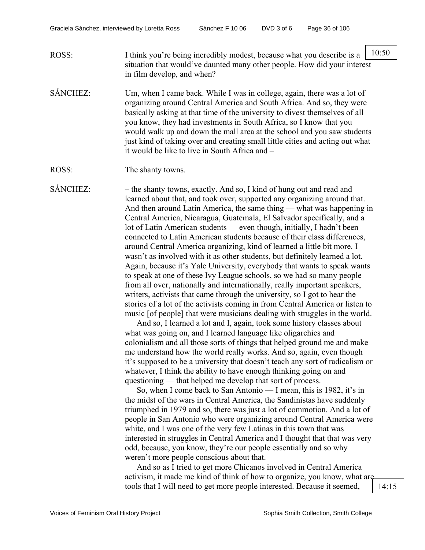| ROSS: | I think you're being incredibly modest, because what you describe is a $\vert$ 10: |  |
|-------|------------------------------------------------------------------------------------|--|
|       | situation that would've daunted many other people. How did your interest           |  |
|       | in film develop, and when?                                                         |  |

SÁNCHEZ: Um, when I came back. While I was in college, again, there was a lot of organizing around Central America and South Africa. And so, they were basically asking at that time of the university to divest themselves of all you know, they had investments in South Africa, so I know that you would walk up and down the mall area at the school and you saw students just kind of taking over and creating small little cities and acting out what it would be like to live in South Africa and –

ROSS: The shanty towns.

SÁNCHEZ: – the shanty towns, exactly. And so, I kind of hung out and read and learned about that, and took over, supported any organizing around that. And then around Latin America, the same thing — what was happening in Central America, Nicaragua, Guatemala, El Salvador specifically, and a lot of Latin American students — even though, initially, I hadn't been connected to Latin American students because of their class differences, around Central America organizing, kind of learned a little bit more. I wasn't as involved with it as other students, but definitely learned a lot. Again, because it's Yale University, everybody that wants to speak wants to speak at one of these Ivy League schools, so we had so many people from all over, nationally and internationally, really important speakers, writers, activists that came through the university, so I got to hear the stories of a lot of the activists coming in from Central America or listen to music [of people] that were musicians dealing with struggles in the world.

And so, I learned a lot and I, again, took some history classes about what was going on, and I learned language like oligarchies and colonialism and all those sorts of things that helped ground me and make me understand how the world really works. And so, again, even though it's supposed to be a university that doesn't teach any sort of radicalism or whatever. I think the ability to have enough thinking going on and questioning — that helped me develop that sort of process.

So, when I come back to San Antonio — I mean, this is 1982, it's in the midst of the wars in Central America, the Sandinistas have suddenly triumphed in 1979 and so, there was just a lot of commotion. And a lot of people in San Antonio who were organizing around Central America were white, and I was one of the very few Latinas in this town that was interested in struggles in Central America and I thought that that was very odd, because, you know, they're our people essentially and so why weren't more people conscious about that.

And so as I tried to get more Chicanos involved in Central America activism, it made me kind of think of how to organize, you know, what are tools that I will need to get more people interested. Because it seemed, 14:15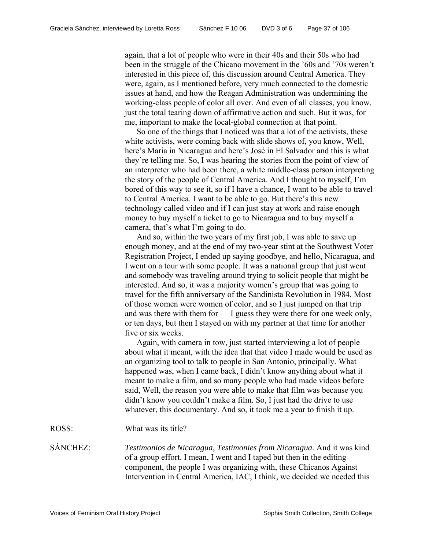again, that a lot of people who were in their 40s and their 50s who had been in the struggle of the Chicano movement in the '60s and '70s weren't interested in this piece of, this discussion around Central America. They were, again, as I mentioned before, very much connected to the domestic issues at hand, and how the Reagan Administration was undermining the working-class people of color all over. And even of all classes, you know, just the total tearing down of affirmative action and such. But it was, for me, important to make the local-global connection at that point.

So one of the things that I noticed was that a lot of the activists, these white activists, were coming back with slide shows of, you know, Well, here's Maria in Nicaragua and here's José in El Salvador and this is what they're telling me. So, I was hearing the stories from the point of view of an interpreter who had been there, a white middle-class person interpreting the story of the people of Central America. And I thought to myself, I'm bored of this way to see it, so if I have a chance, I want to be able to travel to Central America. I want to be able to go. But there's this new technology called video and if I can just stay at work and raise enough money to buy myself a ticket to go to Nicaragua and to buy myself a camera, that's what I'm going to do.

And so, within the two years of my first job, I was able to save up enough money, and at the end of my two-year stint at the Southwest Voter Registration Project, I ended up saying goodbye, and hello, Nicaragua, and I went on a tour with some people. It was a national group that just went and somebody was traveling around trying to solicit people that might be interested. And so, it was a majority women's group that was going to travel for the fifth anniversary of the Sandinista Revolution in 1984. Most of those women were women of color, and so I just jumped on that trip and was there with them for — I guess they were there for one week only, or ten days, but then I stayed on with my partner at that time for another five or six weeks.

Again, with camera in tow, just started interviewing a lot of people about what it meant, with the idea that that video I made would be used as an organizing tool to talk to people in San Antonio, principally. What happened was, when I came back, I didn't know anything about what it meant to make a film, and so many people who had made videos before said, Well, the reason you were able to make that film was because you didn't know you couldn't make a film. So, I just had the drive to use whatever, this documentary. And so, it took me a year to finish it up.

ROSS: What was its title?

SÁNCHEZ: *Testimonios de Nicaragua*, *Testimonies from Nicaragua*. And it was kind of a group effort. I mean, I went and I taped but then in the editing component, the people I was organizing with, these Chicanos Against Intervention in Central America, IAC, I think, we decided we needed this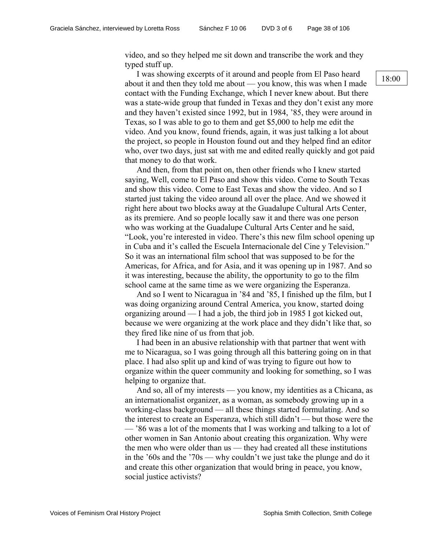video, and so they helped me sit down and transcribe the work and they typed stuff up.

I was showing excerpts of it around and people from El Paso heard about it and then they told me about — you know, this was when I made contact with the Funding Exchange, which I never knew about. But there was a state-wide group that funded in Texas and they don't exist any more and they haven't existed since 1992, but in 1984, '85, they were around in Texas, so I was able to go to them and get \$5,000 to help me edit the video. And you know, found friends, again, it was just talking a lot about the project, so people in Houston found out and they helped find an editor who, over two days, just sat with me and edited really quickly and got paid that money to do that work.

And then, from that point on, then other friends who I knew started saying, Well, come to El Paso and show this video. Come to South Texas and show this video. Come to East Texas and show the video. And so I started just taking the video around all over the place. And we showed it right here about two blocks away at the Guadalupe Cultural Arts Center, as its premiere. And so people locally saw it and there was one person who was working at the Guadalupe Cultural Arts Center and he said, "Look, you're interested in video. There's this new film school opening up in Cuba and it's called the Escuela Internacionale del Cine y Television." So it was an international film school that was supposed to be for the Americas, for Africa, and for Asia, and it was opening up in 1987. And so it was interesting, because the ability, the opportunity to go to the film school came at the same time as we were organizing the Esperanza.

And so I went to Nicaragua in '84 and '85, I finished up the film, but I was doing organizing around Central America, you know, started doing organizing around — I had a job, the third job in 1985 I got kicked out, because we were organizing at the work place and they didn't like that, so they fired like nine of us from that job.

I had been in an abusive relationship with that partner that went with me to Nicaragua, so I was going through all this battering going on in that place. I had also split up and kind of was trying to figure out how to organize within the queer community and looking for something, so I was helping to organize that.

And so, all of my interests — you know, my identities as a Chicana, as an internationalist organizer, as a woman, as somebody growing up in a working-class background — all these things started formulating. And so the interest to create an Esperanza, which still didn't — but those were the — '86 was a lot of the moments that I was working and talking to a lot of other women in San Antonio about creating this organization. Why were the men who were older than us — they had created all these institutions in the '60s and the '70s — why couldn't we just take the plunge and do it and create this other organization that would bring in peace, you know, social justice activists?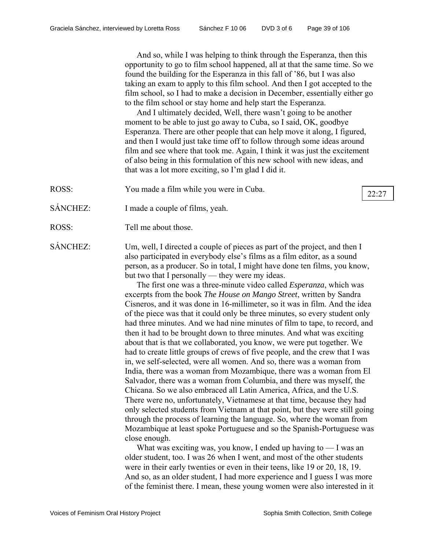And so, while I was helping to think through the Esperanza, then this opportunity to go to film school happened, all at that the same time. So we found the building for the Esperanza in this fall of '86, but I was also taking an exam to apply to this film school. And then I got accepted to the film school, so I had to make a decision in December, essentially either go to the film school or stay home and help start the Esperanza.

And I ultimately decided, Well, there wasn't going to be another moment to be able to just go away to Cuba, so I said, OK, goodbye Esperanza. There are other people that can help move it along, I figured, and then I would just take time off to follow through some ideas around film and see where that took me. Again, I think it was just the excitement of also being in this formulation of this new school with new ideas, and that was a lot more exciting, so I'm glad I did it.

ROSS: You made a film while you were in Cuba.  $\sqrt{22:27}$ 

- SÁNCHEZ: I made a couple of films, yeah.
- ROSS: Tell me about those
- SÁNCHEZ: Um, well, I directed a couple of pieces as part of the project, and then I also participated in everybody else's films as a film editor, as a sound person, as a producer. So in total, I might have done ten films, you know, but two that I personally — they were my ideas.

The first one was a three-minute video called *Esperanza*, which was excerpts from the book *The House on Mango Street*, written by Sandra Cisneros, and it was done in 16-millimeter, so it was in film. And the idea of the piece was that it could only be three minutes, so every student only had three minutes. And we had nine minutes of film to tape, to record, and then it had to be brought down to three minutes. And what was exciting about that is that we collaborated, you know, we were put together. We had to create little groups of crews of five people, and the crew that I was in, we self-selected, were all women. And so, there was a woman from India, there was a woman from Mozambique, there was a woman from El Salvador, there was a woman from Columbia, and there was myself, the Chicana. So we also embraced all Latin America, Africa, and the U.S. There were no, unfortunately, Vietnamese at that time, because they had only selected students from Vietnam at that point, but they were still going through the process of learning the language. So, where the woman from Mozambique at least spoke Portuguese and so the Spanish-Portuguese was close enough.

What was exciting was, you know, I ended up having to  $-1$  was an older student, too. I was 26 when I went, and most of the other students were in their early twenties or even in their teens, like 19 or 20, 18, 19. And so, as an older student, I had more experience and I guess I was more of the feminist there. I mean, these young women were also interested in it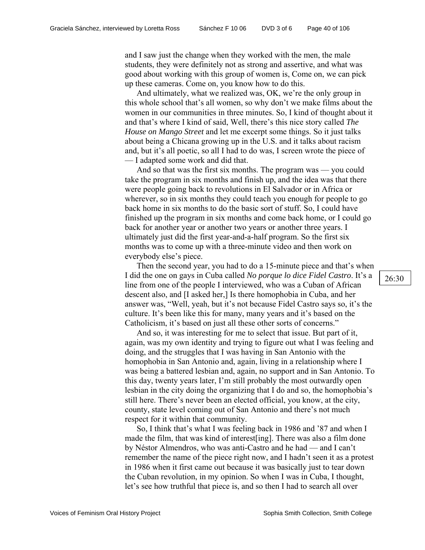and I saw just the change when they worked with the men, the male students, they were definitely not as strong and assertive, and what was good about working with this group of women is, Come on, we can pick up these cameras. Come on, you know how to do this.

And ultimately, what we realized was, OK, we're the only group in this whole school that's all women, so why don't we make films about the women in our communities in three minutes. So, I kind of thought about it and that's where I kind of said, Well, there's this nice story called *The House on Mango Street* and let me excerpt some things. So it just talks about being a Chicana growing up in the U.S. and it talks about racism and, but it's all poetic, so all I had to do was, I screen wrote the piece of — I adapted some work and did that.

And so that was the first six months. The program was — you could take the program in six months and finish up, and the idea was that there were people going back to revolutions in El Salvador or in Africa or wherever, so in six months they could teach you enough for people to go back home in six months to do the basic sort of stuff. So, I could have finished up the program in six months and come back home, or I could go back for another year or another two years or another three years. I ultimately just did the first year-and-a-half program. So the first six months was to come up with a three-minute video and then work on everybody else's piece.

Then the second year, you had to do a 15-minute piece and that's when I did the one on gays in Cuba called *No porque lo dice Fidel Castro*. It's a line from one of the people I interviewed, who was a Cuban of African descent also, and [I asked her,] Is there homophobia in Cuba, and her answer was, "Well, yeah, but it's not because Fidel Castro says so, it's the culture. It's been like this for many, many years and it's based on the Catholicism, it's based on just all these other sorts of concerns."

And so, it was interesting for me to select that issue. But part of it, again, was my own identity and trying to figure out what I was feeling and doing, and the struggles that I was having in San Antonio with the homophobia in San Antonio and, again, living in a relationship where I was being a battered lesbian and, again, no support and in San Antonio. To this day, twenty years later, I'm still probably the most outwardly open lesbian in the city doing the organizing that I do and so, the homophobia's still here. There's never been an elected official, you know, at the city, county, state level coming out of San Antonio and there's not much respect for it within that community.

So, I think that's what I was feeling back in 1986 and '87 and when I made the film, that was kind of interest[ing]. There was also a film done by Néstor Almendros, who was anti-Castro and he had — and I can't remember the name of the piece right now, and I hadn't seen it as a protest in 1986 when it first came out because it was basically just to tear down the Cuban revolution, in my opinion. So when I was in Cuba, I thought, let's see how truthful that piece is, and so then I had to search all over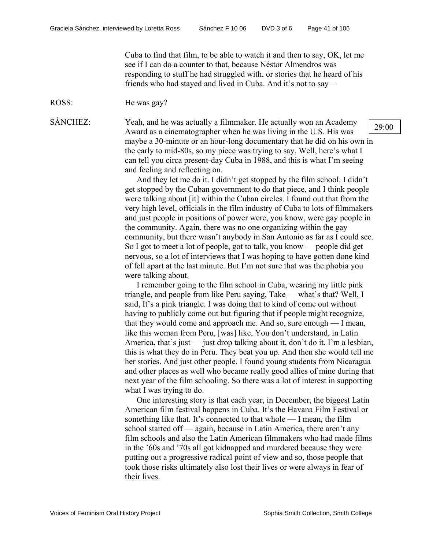Cuba to find that film, to be able to watch it and then to say, OK, let me see if I can do a counter to that, because Néstor Almendros was responding to stuff he had struggled with, or stories that he heard of his friends who had stayed and lived in Cuba. And it's not to say –

ROSS: He was gay?

SÁNCHEZ: Yeah, and he was actually a filmmaker. He actually won an Academy Award as a cinematographer when he was living in the U.S. His was maybe a 30-minute or an hour-long documentary that he did on his own in the early to mid-80s, so my piece was trying to say, Well, here's what I can tell you circa present-day Cuba in 1988, and this is what I'm seeing and feeling and reflecting on.

> And they let me do it. I didn't get stopped by the film school. I didn't get stopped by the Cuban government to do that piece, and I think people were talking about [it] within the Cuban circles. I found out that from the very high level, officials in the film industry of Cuba to lots of filmmakers and just people in positions of power were, you know, were gay people in the community. Again, there was no one organizing within the gay community, but there wasn't anybody in San Antonio as far as I could see. So I got to meet a lot of people, got to talk, you know — people did get nervous, so a lot of interviews that I was hoping to have gotten done kind of fell apart at the last minute. But I'm not sure that was the phobia you were talking about.

> I remember going to the film school in Cuba, wearing my little pink triangle, and people from like Peru saying, Take — what's that? Well, I said, It's a pink triangle. I was doing that to kind of come out without having to publicly come out but figuring that if people might recognize, that they would come and approach me. And so, sure enough — I mean, like this woman from Peru, [was] like, You don't understand, in Latin America, that's just — just drop talking about it, don't do it. I'm a lesbian, this is what they do in Peru. They beat you up. And then she would tell me her stories. And just other people. I found young students from Nicaragua and other places as well who became really good allies of mine during that next year of the film schooling. So there was a lot of interest in supporting what I was trying to do.

> One interesting story is that each year, in December, the biggest Latin American film festival happens in Cuba. It's the Havana Film Festival or something like that. It's connected to that whole — I mean, the film school started off — again, because in Latin America, there aren't any film schools and also the Latin American filmmakers who had made films in the '60s and '70s all got kidnapped and murdered because they were putting out a progressive radical point of view and so, those people that took those risks ultimately also lost their lives or were always in fear of their lives.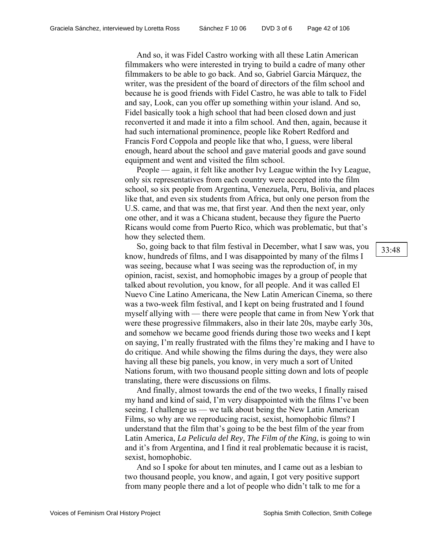And so, it was Fidel Castro working with all these Latin American filmmakers who were interested in trying to build a cadre of many other filmmakers to be able to go back. And so, Gabriel Garcia Márquez, the writer, was the president of the board of directors of the film school and because he is good friends with Fidel Castro, he was able to talk to Fidel and say, Look, can you offer up something within your island. And so, Fidel basically took a high school that had been closed down and just reconverted it and made it into a film school. And then, again, because it had such international prominence, people like Robert Redford and Francis Ford Coppola and people like that who, I guess, were liberal enough, heard about the school and gave material goods and gave sound equipment and went and visited the film school.

People — again, it felt like another Ivy League within the Ivy League, only six representatives from each country were accepted into the film school, so six people from Argentina, Venezuela, Peru, Bolivia, and places like that, and even six students from Africa, but only one person from the U.S. came, and that was me, that first year. And then the next year, only one other, and it was a Chicana student, because they figure the Puerto Ricans would come from Puerto Rico, which was problematic, but that's how they selected them.

So, going back to that film festival in December, what I saw was, you know, hundreds of films, and I was disappointed by many of the films I was seeing, because what I was seeing was the reproduction of, in my opinion, racist, sexist, and homophobic images by a group of people that talked about revolution, you know, for all people. And it was called El Nuevo Cine Latino Americana, the New Latin American Cinema, so there was a two-week film festival, and I kept on being frustrated and I found myself allying with — there were people that came in from New York that were these progressive filmmakers, also in their late 20s, maybe early 30s, and somehow we became good friends during those two weeks and I kept on saying, I'm really frustrated with the films they're making and I have to do critique. And while showing the films during the days, they were also having all these big panels, you know, in very much a sort of United Nations forum, with two thousand people sitting down and lots of people translating, there were discussions on films.

And finally, almost towards the end of the two weeks, I finally raised my hand and kind of said, I'm very disappointed with the films I've been seeing. I challenge us — we talk about being the New Latin American Films, so why are we reproducing racist, sexist, homophobic films? I understand that the film that's going to be the best film of the year from Latin America, *La Pelicula del Rey*, *The Film of the King*, is going to win and it's from Argentina, and I find it real problematic because it is racist, sexist, homophobic.

And so I spoke for about ten minutes, and I came out as a lesbian to two thousand people, you know, and again, I got very positive support from many people there and a lot of people who didn't talk to me for a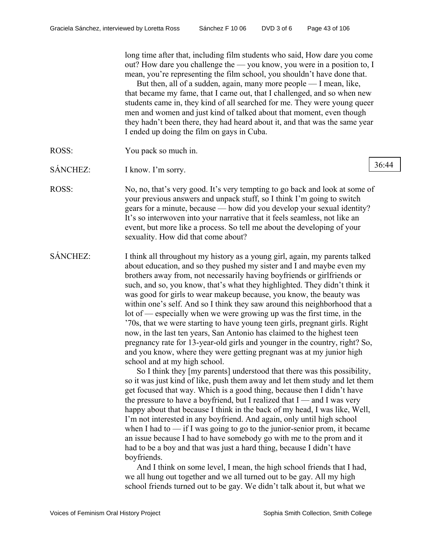long time after that, including film students who said, How dare you come out? How dare you challenge the — you know, you were in a position to, I mean, you're representing the film school, you shouldn't have done that.

But then, all of a sudden, again, many more people — I mean, like, that became my fame, that I came out, that I challenged, and so when new students came in, they kind of all searched for me. They were young queer men and women and just kind of talked about that moment, even though they hadn't been there, they had heard about it, and that was the same year I ended up doing the film on gays in Cuba.

- ROSS: You pack so much in.
- SÁNCHEZ: I know. I'm sorry.
- ROSS: No, no, that's very good. It's very tempting to go back and look at some of your previous answers and unpack stuff, so I think I'm going to switch gears for a minute, because — how did you develop your sexual identity? It's so interwoven into your narrative that it feels seamless, not like an event, but more like a process. So tell me about the developing of your sexuality. How did that come about?
- SÁNCHEZ: I think all throughout my history as a young girl, again, my parents talked about education, and so they pushed my sister and I and maybe even my brothers away from, not necessarily having boyfriends or girlfriends or such, and so, you know, that's what they highlighted. They didn't think it was good for girls to wear makeup because, you know, the beauty was within one's self. And so I think they saw around this neighborhood that a lot of — especially when we were growing up was the first time, in the '70s, that we were starting to have young teen girls, pregnant girls. Right now, in the last ten years, San Antonio has claimed to the highest teen pregnancy rate for 13-year-old girls and younger in the country, right? So, and you know, where they were getting pregnant was at my junior high school and at my high school.

So I think they [my parents] understood that there was this possibility, so it was just kind of like, push them away and let them study and let them get focused that way. Which is a good thing, because then I didn't have the pressure to have a boyfriend, but I realized that  $I$  — and I was very happy about that because I think in the back of my head, I was like, Well, I'm not interested in any boyfriend. And again, only until high school when I had to — if I was going to go to the junior-senior prom, it became an issue because I had to have somebody go with me to the prom and it had to be a boy and that was just a hard thing, because I didn't have boyfriends.

And I think on some level, I mean, the high school friends that I had, we all hung out together and we all turned out to be gay. All my high school friends turned out to be gay. We didn't talk about it, but what we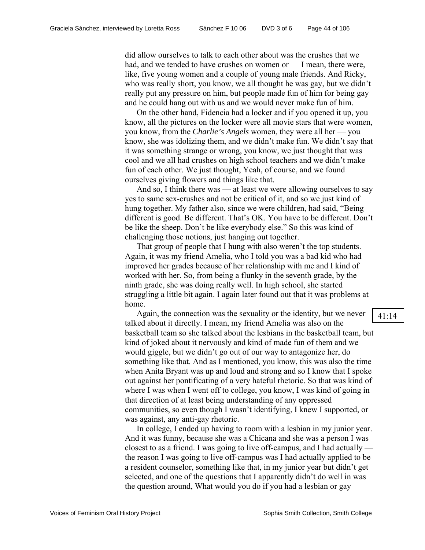did allow ourselves to talk to each other about was the crushes that we had, and we tended to have crushes on women or — I mean, there were, like, five young women and a couple of young male friends. And Ricky, who was really short, you know, we all thought he was gay, but we didn't really put any pressure on him, but people made fun of him for being gay and he could hang out with us and we would never make fun of him.

On the other hand, Fidencia had a locker and if you opened it up, you know, all the pictures on the locker were all movie stars that were women, you know, from the *Charlie's Angels* women, they were all her — you know, she was idolizing them, and we didn't make fun. We didn't say that it was something strange or wrong, you know, we just thought that was cool and we all had crushes on high school teachers and we didn't make fun of each other. We just thought, Yeah, of course, and we found ourselves giving flowers and things like that.

And so, I think there was — at least we were allowing ourselves to say yes to same sex-crushes and not be critical of it, and so we just kind of hung together. My father also, since we were children, had said, "Being different is good. Be different. That's OK. You have to be different. Don't be like the sheep. Don't be like everybody else." So this was kind of challenging those notions, just hanging out together.

That group of people that I hung with also weren't the top students. Again, it was my friend Amelia, who I told you was a bad kid who had improved her grades because of her relationship with me and I kind of worked with her. So, from being a flunky in the seventh grade, by the ninth grade, she was doing really well. In high school, she started struggling a little bit again. I again later found out that it was problems at home.

Again, the connection was the sexuality or the identity, but we never talked about it directly. I mean, my friend Amelia was also on the basketball team so she talked about the lesbians in the basketball team, but kind of joked about it nervously and kind of made fun of them and we would giggle, but we didn't go out of our way to antagonize her, do something like that. And as I mentioned, you know, this was also the time when Anita Bryant was up and loud and strong and so I know that I spoke out against her pontificating of a very hateful rhetoric. So that was kind of where I was when I went off to college, you know, I was kind of going in that direction of at least being understanding of any oppressed communities, so even though I wasn't identifying, I knew I supported, or was against, any anti-gay rhetoric.

In college, I ended up having to room with a lesbian in my junior year. And it was funny, because she was a Chicana and she was a person I was closest to as a friend. I was going to live off-campus, and I had actually the reason I was going to live off-campus was I had actually applied to be a resident counselor, something like that, in my junior year but didn't get selected, and one of the questions that I apparently didn't do well in was the question around, What would you do if you had a lesbian or gay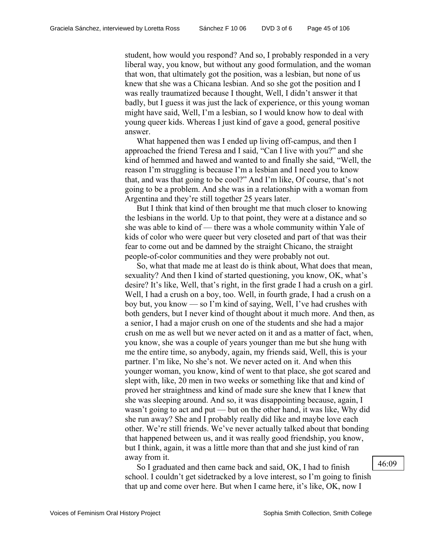student, how would you respond? And so, I probably responded in a very liberal way, you know, but without any good formulation, and the woman that won, that ultimately got the position, was a lesbian, but none of us knew that she was a Chicana lesbian. And so she got the position and I was really traumatized because I thought, Well, I didn't answer it that badly, but I guess it was just the lack of experience, or this young woman might have said, Well, I'm a lesbian, so I would know how to deal with young queer kids. Whereas I just kind of gave a good, general positive answer.

What happened then was I ended up living off-campus, and then I approached the friend Teresa and I said, "Can I live with you?" and she kind of hemmed and hawed and wanted to and finally she said, "Well, the reason I'm struggling is because I'm a lesbian and I need you to know that, and was that going to be cool?" And I'm like, Of course, that's not going to be a problem. And she was in a relationship with a woman from Argentina and they're still together 25 years later.

But I think that kind of then brought me that much closer to knowing the lesbians in the world. Up to that point, they were at a distance and so she was able to kind of — there was a whole community within Yale of kids of color who were queer but very closeted and part of that was their fear to come out and be damned by the straight Chicano, the straight people-of-color communities and they were probably not out.

So, what that made me at least do is think about, What does that mean, sexuality? And then I kind of started questioning, you know, OK, what's desire? It's like, Well, that's right, in the first grade I had a crush on a girl. Well, I had a crush on a boy, too. Well, in fourth grade, I had a crush on a boy but, you know — so I'm kind of saying, Well, I've had crushes with both genders, but I never kind of thought about it much more. And then, as a senior, I had a major crush on one of the students and she had a major crush on me as well but we never acted on it and as a matter of fact, when, you know, she was a couple of years younger than me but she hung with me the entire time, so anybody, again, my friends said, Well, this is your partner. I'm like, No she's not. We never acted on it. And when this younger woman, you know, kind of went to that place, she got scared and slept with, like, 20 men in two weeks or something like that and kind of proved her straightness and kind of made sure she knew that I knew that she was sleeping around. And so, it was disappointing because, again, I wasn't going to act and put — but on the other hand, it was like, Why did she run away? She and I probably really did like and maybe love each other. We're still friends. We've never actually talked about that bonding that happened between us, and it was really good friendship, you know, but I think, again, it was a little more than that and she just kind of ran away from it.

So I graduated and then came back and said, OK, I had to finish school. I couldn't get sidetracked by a love interest, so I'm going to finish that up and come over here. But when I came here, it's like, OK, now I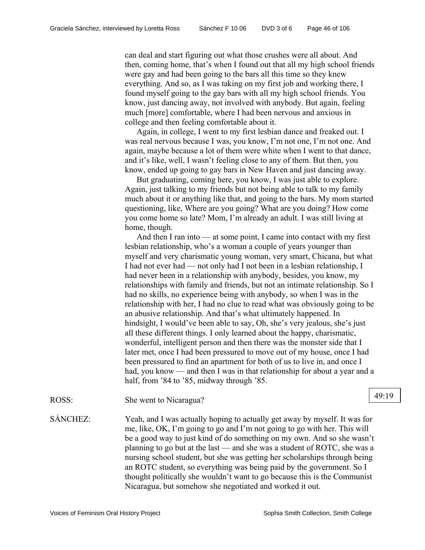can deal and start figuring out what those crushes were all about. And then, coming home, that's when I found out that all my high school friends were gay and had been going to the bars all this time so they knew everything. And so, as I was taking on my first job and working there, I found myself going to the gay bars with all my high school friends. You know, just dancing away, not involved with anybody. But again, feeling much [more] comfortable, where I had been nervous and anxious in college and then feeling comfortable about it.

Again, in college, I went to my first lesbian dance and freaked out. I was real nervous because I was, you know, I'm not one, I'm not one. And again, maybe because a lot of them were white when I went to that dance, and it's like, well, I wasn't feeling close to any of them. But then, you know, ended up going to gay bars in New Haven and just dancing away.

But graduating, coming here, you know, I was just able to explore. Again, just talking to my friends but not being able to talk to my family much about it or anything like that, and going to the bars. My mom started questioning, like, Where are you going? What are you doing? How come you come home so late? Mom, I'm already an adult. I was still living at home, though.

And then I ran into — at some point, I came into contact with my first lesbian relationship, who's a woman a couple of years younger than myself and very charismatic young woman, very smart, Chicana, but what I had not ever had — not only had I not been in a lesbian relationship, I had never been in a relationship with anybody, besides, you know, my relationships with family and friends, but not an intimate relationship. So I had no skills, no experience being with anybody, so when I was in the relationship with her, I had no clue to read what was obviously going to be an abusive relationship. And that's what ultimately happened. In hindsight, I would've been able to say, Oh, she's very jealous, she's just all these different things. I only learned about the happy, charismatic, wonderful, intelligent person and then there was the monster side that I later met, once I had been pressured to move out of my house, once I had been pressured to find an apartment for both of us to live in, and once I had, you know — and then I was in that relationship for about a year and a half, from '84 to '85, midway through '85.

ROSS: She went to Nicaragua? 19 and 19:19

SÁNCHEZ: Yeah, and I was actually hoping to actually get away by myself. It was for me, like, OK, I'm going to go and I'm not going to go with her. This will be a good way to just kind of do something on my own. And so she wasn't planning to go but at the last — and she was a student of ROTC, she was a nursing school student, but she was getting her scholarships through being an ROTC student, so everything was being paid by the government. So I thought politically she wouldn't want to go because this is the Communist Nicaragua, but somehow she negotiated and worked it out.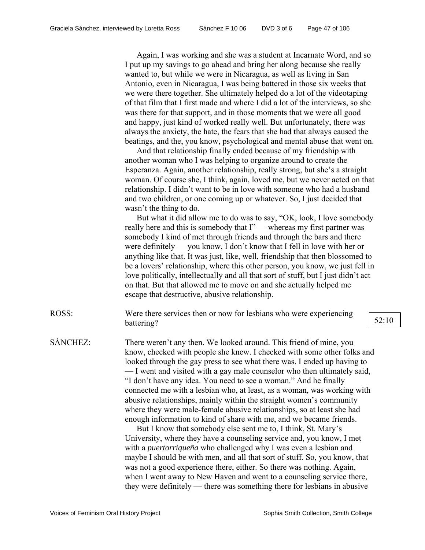Again, I was working and she was a student at Incarnate Word, and so I put up my savings to go ahead and bring her along because she really wanted to, but while we were in Nicaragua, as well as living in San Antonio, even in Nicaragua, I was being battered in those six weeks that we were there together. She ultimately helped do a lot of the videotaping of that film that I first made and where I did a lot of the interviews, so she was there for that support, and in those moments that we were all good and happy, just kind of worked really well. But unfortunately, there was always the anxiety, the hate, the fears that she had that always caused the beatings, and the, you know, psychological and mental abuse that went on.

And that relationship finally ended because of my friendship with another woman who I was helping to organize around to create the Esperanza. Again, another relationship, really strong, but she's a straight woman. Of course she, I think, again, loved me, but we never acted on that relationship. I didn't want to be in love with someone who had a husband and two children, or one coming up or whatever. So, I just decided that wasn't the thing to do.

But what it did allow me to do was to say, "OK, look, I love somebody really here and this is somebody that I" — whereas my first partner was somebody I kind of met through friends and through the bars and there were definitely — you know, I don't know that I fell in love with her or anything like that. It was just, like, well, friendship that then blossomed to be a lovers' relationship, where this other person, you know, we just fell in love politically, intellectually and all that sort of stuff, but I just didn't act on that. But that allowed me to move on and she actually helped me escape that destructive, abusive relationship.

ROSS: Were there services then or now for lesbians who were experiencing battering?  $52:10$ 

SÁNCHEZ: There weren't any then. We looked around. This friend of mine, you know, checked with people she knew. I checked with some other folks and looked through the gay press to see what there was. I ended up having to — I went and visited with a gay male counselor who then ultimately said, "I don't have any idea. You need to see a woman." And he finally connected me with a lesbian who, at least, as a woman, was working with abusive relationships, mainly within the straight women's community where they were male-female abusive relationships, so at least she had enough information to kind of share with me, and we became friends.

But I know that somebody else sent me to, I think, St. Mary's University, where they have a counseling service and, you know, I met with a *puertorriqueña* who challenged why I was even a lesbian and maybe I should be with men, and all that sort of stuff. So, you know, that was not a good experience there, either. So there was nothing. Again, when I went away to New Haven and went to a counseling service there, they were definitely — there was something there for lesbians in abusive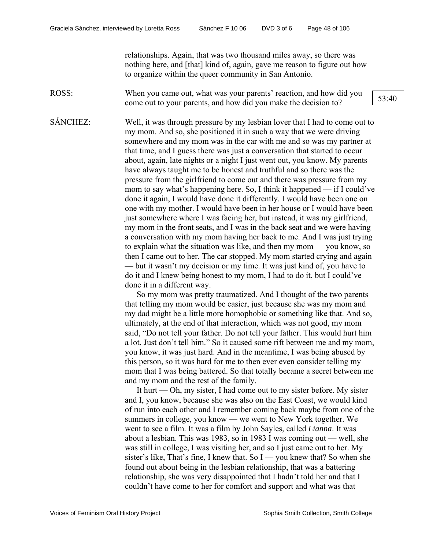relationships. Again, that was two thousand miles away, so there was nothing here, and [that] kind of, again, gave me reason to figure out how to organize within the queer community in San Antonio.

ROSS: When you came out, what was your parents' reaction, and how did you come out to your parents, and how did you make the decision to? 53:40

SÁNCHEZ: Well, it was through pressure by my lesbian lover that I had to come out to my mom. And so, she positioned it in such a way that we were driving somewhere and my mom was in the car with me and so was my partner at that time, and I guess there was just a conversation that started to occur about, again, late nights or a night I just went out, you know. My parents have always taught me to be honest and truthful and so there was the pressure from the girlfriend to come out and there was pressure from my mom to say what's happening here. So, I think it happened — if I could've done it again, I would have done it differently. I would have been one on one with my mother. I would have been in her house or I would have been just somewhere where I was facing her, but instead, it was my girlfriend, my mom in the front seats, and I was in the back seat and we were having a conversation with my mom having her back to me. And I was just trying to explain what the situation was like, and then my mom — you know, so then I came out to her. The car stopped. My mom started crying and again — but it wasn't my decision or my time. It was just kind of, you have to do it and I knew being honest to my mom, I had to do it, but I could've done it in a different way.

> So my mom was pretty traumatized. And I thought of the two parents that telling my mom would be easier, just because she was my mom and my dad might be a little more homophobic or something like that. And so, ultimately, at the end of that interaction, which was not good, my mom said, "Do not tell your father. Do not tell your father. This would hurt him a lot. Just don't tell him." So it caused some rift between me and my mom, you know, it was just hard. And in the meantime, I was being abused by this person, so it was hard for me to then ever even consider telling my mom that I was being battered. So that totally became a secret between me and my mom and the rest of the family.

> It hurt  $-$  Oh, my sister, I had come out to my sister before. My sister and I, you know, because she was also on the East Coast, we would kind of run into each other and I remember coming back maybe from one of the summers in college, you know — we went to New York together. We went to see a film. It was a film by John Sayles, called *Lianna*. It was about a lesbian. This was 1983, so in 1983 I was coming out — well, she was still in college, I was visiting her, and so I just came out to her. My sister's like, That's fine, I knew that. So  $I -$ you knew that? So when she found out about being in the lesbian relationship, that was a battering relationship, she was very disappointed that I hadn't told her and that I couldn't have come to her for comfort and support and what was that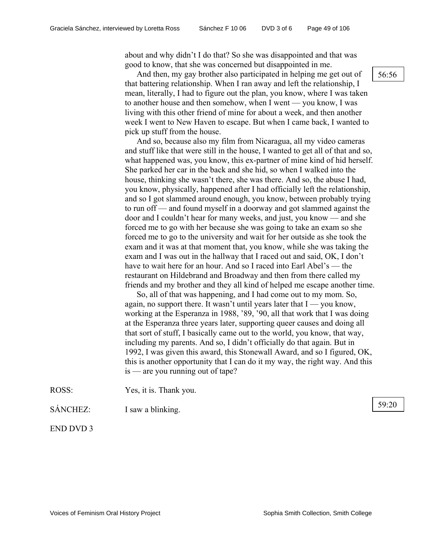about and why didn't I do that? So she was disappointed and that was good to know, that she was concerned but disappointed in me.

And then, my gay brother also participated in helping me get out of  $\left[56:56\right]$ that battering relationship. When I ran away and left the relationship, I mean, literally, I had to figure out the plan, you know, where I was taken to another house and then somehow, when I went — you know, I was living with this other friend of mine for about a week, and then another week I went to New Haven to escape. But when I came back, I wanted to pick up stuff from the house.

And so, because also my film from Nicaragua, all my video cameras and stuff like that were still in the house, I wanted to get all of that and so, what happened was, you know, this ex-partner of mine kind of hid herself. She parked her car in the back and she hid, so when I walked into the house, thinking she wasn't there, she was there. And so, the abuse I had, you know, physically, happened after I had officially left the relationship, and so I got slammed around enough, you know, between probably trying to run off — and found myself in a doorway and got slammed against the door and I couldn't hear for many weeks, and just, you know — and she forced me to go with her because she was going to take an exam so she forced me to go to the university and wait for her outside as she took the exam and it was at that moment that, you know, while she was taking the exam and I was out in the hallway that I raced out and said, OK, I don't have to wait here for an hour. And so I raced into Earl Abel's — the restaurant on Hildebrand and Broadway and then from there called my friends and my brother and they all kind of helped me escape another time.

So, all of that was happening, and I had come out to my mom. So, again, no support there. It wasn't until years later that  $I - \gamma$  ou know, working at the Esperanza in 1988, '89, '90, all that work that I was doing at the Esperanza three years later, supporting queer causes and doing all that sort of stuff, I basically came out to the world, you know, that way, including my parents. And so, I didn't officially do that again. But in 1992, I was given this award, this Stonewall Award, and so I figured, OK, this is another opportunity that I can do it my way, the right way. And this is — are you running out of tape?

ROSS: Yes, it is. Thank you.

SÁNCHEZ: I saw a blinking.

END DVD 3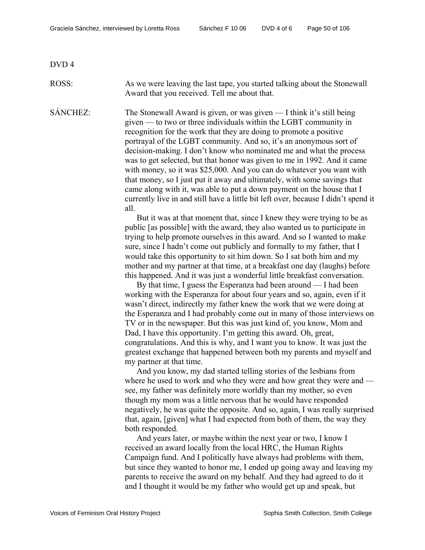DVD 4

ROSS: As we were leaving the last tape, you started talking about the Stonewall Award that you received. Tell me about that.

SÁNCHEZ: The Stonewall Award is given, or was given — I think it's still being given — to two or three individuals within the LGBT community in recognition for the work that they are doing to promote a positive portrayal of the LGBT community. And so, it's an anonymous sort of decision-making. I don't know who nominated me and what the process was to get selected, but that honor was given to me in 1992. And it came with money, so it was \$25,000. And you can do whatever you want with that money, so I just put it away and ultimately, with some savings that came along with it, was able to put a down payment on the house that I currently live in and still have a little bit left over, because I didn't spend it all.

> But it was at that moment that, since I knew they were trying to be as public [as possible] with the award, they also wanted us to participate in trying to help promote ourselves in this award. And so I wanted to make sure, since I hadn't come out publicly and formally to my father, that I would take this opportunity to sit him down. So I sat both him and my mother and my partner at that time, at a breakfast one day (laughs) before this happened. And it was just a wonderful little breakfast conversation.

By that time, I guess the Esperanza had been around — I had been working with the Esperanza for about four years and so, again, even if it wasn't direct, indirectly my father knew the work that we were doing at the Esperanza and I had probably come out in many of those interviews on TV or in the newspaper. But this was just kind of, you know, Mom and Dad, I have this opportunity. I'm getting this award. Oh, great, congratulations. And this is why, and I want you to know. It was just the greatest exchange that happened between both my parents and myself and my partner at that time.

And you know, my dad started telling stories of the lesbians from where he used to work and who they were and how great they were and see, my father was definitely more worldly than my mother, so even though my mom was a little nervous that he would have responded negatively, he was quite the opposite. And so, again, I was really surprised that, again, [given] what I had expected from both of them, the way they both responded.

And years later, or maybe within the next year or two, I know I received an award locally from the local HRC, the Human Rights Campaign fund. And I politically have always had problems with them, but since they wanted to honor me, I ended up going away and leaving my parents to receive the award on my behalf. And they had agreed to do it and I thought it would be my father who would get up and speak, but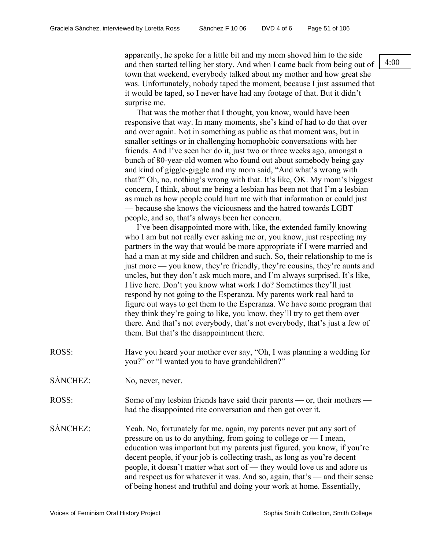apparently, he spoke for a little bit and my mom shoved him to the side and then started telling her story. And when I came back from being out of town that weekend, everybody talked about my mother and how great she was. Unfortunately, nobody taped the moment, because I just assumed that it would be taped, so I never have had any footage of that. But it didn't surprise me.

That was the mother that I thought, you know, would have been responsive that way. In many moments, she's kind of had to do that over and over again. Not in something as public as that moment was, but in smaller settings or in challenging homophobic conversations with her friends. And I've seen her do it, just two or three weeks ago, amongst a bunch of 80-year-old women who found out about somebody being gay and kind of giggle-giggle and my mom said, "And what's wrong with that?" Oh, no, nothing's wrong with that. It's like, OK. My mom's biggest concern, I think, about me being a lesbian has been not that I'm a lesbian as much as how people could hurt me with that information or could just — because she knows the viciousness and the hatred towards LGBT people, and so, that's always been her concern.

I've been disappointed more with, like, the extended family knowing who I am but not really ever asking me or, you know, just respecting my partners in the way that would be more appropriate if I were married and had a man at my side and children and such. So, their relationship to me is just more — you know, they're friendly, they're cousins, they're aunts and uncles, but they don't ask much more, and I'm always surprised. It's like, I live here. Don't you know what work I do? Sometimes they'll just respond by not going to the Esperanza. My parents work real hard to figure out ways to get them to the Esperanza. We have some program that they think they're going to like, you know, they'll try to get them over there. And that's not everybody, that's not everybody, that's just a few of them. But that's the disappointment there.

- ROSS: Have you heard your mother ever say, "Oh, I was planning a wedding for you?" or "I wanted you to have grandchildren?"
- SÁNCHEZ: No, never, never.
- ROSS: Some of my lesbian friends have said their parents or, their mothers had the disappointed rite conversation and then got over it.
- SÁNCHEZ: Yeah. No, fortunately for me, again, my parents never put any sort of pressure on us to do anything, from going to college or — I mean, education was important but my parents just figured, you know, if you're decent people, if your job is collecting trash, as long as you're decent people, it doesn't matter what sort of — they would love us and adore us and respect us for whatever it was. And so, again, that's — and their sense of being honest and truthful and doing your work at home. Essentially,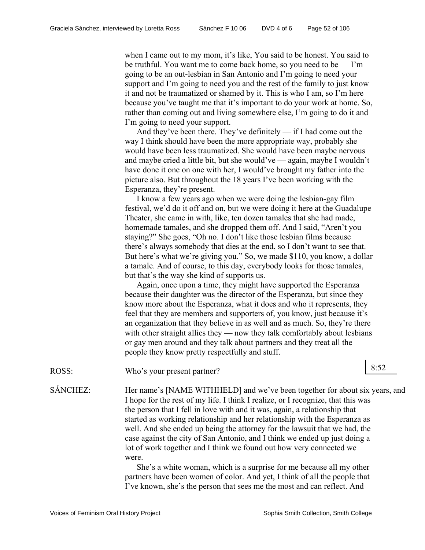when I came out to my mom, it's like, You said to be honest. You said to be truthful. You want me to come back home, so you need to be — I'm going to be an out-lesbian in San Antonio and I'm going to need your support and I'm going to need you and the rest of the family to just know it and not be traumatized or shamed by it. This is who I am, so I'm here because you've taught me that it's important to do your work at home. So, rather than coming out and living somewhere else, I'm going to do it and I'm going to need your support.

And they've been there. They've definitely — if I had come out the way I think should have been the more appropriate way, probably she would have been less traumatized. She would have been maybe nervous and maybe cried a little bit, but she would've — again, maybe I wouldn't have done it one on one with her, I would've brought my father into the picture also. But throughout the 18 years I've been working with the Esperanza, they're present.

I know a few years ago when we were doing the lesbian-gay film festival, we'd do it off and on, but we were doing it here at the Guadalupe Theater, she came in with, like, ten dozen tamales that she had made, homemade tamales, and she dropped them off. And I said, "Aren't you staying?" She goes, "Oh no. I don't like those lesbian films because there's always somebody that dies at the end, so I don't want to see that. But here's what we're giving you." So, we made \$110, you know, a dollar a tamale. And of course, to this day, everybody looks for those tamales, but that's the way she kind of supports us.

Again, once upon a time, they might have supported the Esperanza because their daughter was the director of the Esperanza, but since they know more about the Esperanza, what it does and who it represents, they feel that they are members and supporters of, you know, just because it's an organization that they believe in as well and as much. So, they're there with other straight allies they — now they talk comfortably about lesbians or gay men around and they talk about partners and they treat all the people they know pretty respectfully and stuff.

ROSS: Who's your present partner? 8:52

SÁNCHEZ: Her name's [NAME WITHHELD] and we've been together for about six years, and I hope for the rest of my life. I think I realize, or I recognize, that this was the person that I fell in love with and it was, again, a relationship that started as working relationship and her relationship with the Esperanza as well. And she ended up being the attorney for the lawsuit that we had, the case against the city of San Antonio, and I think we ended up just doing a lot of work together and I think we found out how very connected we were.

> She's a white woman, which is a surprise for me because all my other partners have been women of color. And yet, I think of all the people that I've known, she's the person that sees me the most and can reflect. And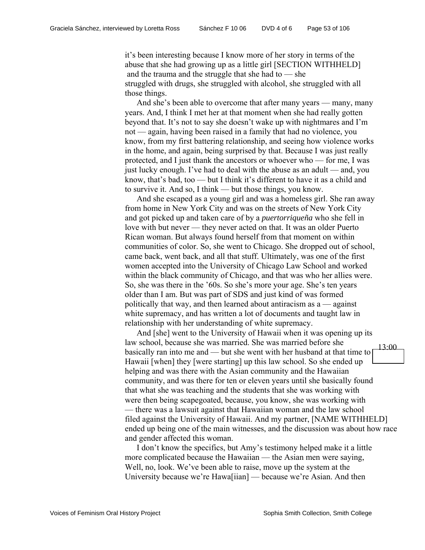it's been interesting because I know more of her story in terms of the abuse that she had growing up as a little girl [SECTION WITHHELD] and the trauma and the struggle that she had to — she struggled with drugs, she struggled with alcohol, she struggled with all those things.

And she's been able to overcome that after many years — many, many years. And, I think I met her at that moment when she had really gotten beyond that. It's not to say she doesn't wake up with nightmares and I'm not — again, having been raised in a family that had no violence, you know, from my first battering relationship, and seeing how violence works in the home, and again, being surprised by that. Because I was just really protected, and I just thank the ancestors or whoever who — for me, I was just lucky enough. I've had to deal with the abuse as an adult — and, you know, that's bad, too — but I think it's different to have it as a child and to survive it. And so, I think — but those things, you know.

And she escaped as a young girl and was a homeless girl. She ran away from home in New York City and was on the streets of New York City and got picked up and taken care of by a *puertorriqueña* who she fell in love with but never — they never acted on that. It was an older Puerto Rican woman. But always found herself from that moment on within communities of color. So, she went to Chicago. She dropped out of school, came back, went back, and all that stuff. Ultimately, was one of the first women accepted into the University of Chicago Law School and worked within the black community of Chicago, and that was who her allies were. So, she was there in the '60s. So she's more your age. She's ten years older than I am. But was part of SDS and just kind of was formed politically that way, and then learned about antiracism as  $a$  — against white supremacy, and has written a lot of documents and taught law in relationship with her understanding of white supremacy.

And [she] went to the University of Hawaii when it was opening up its law school, because she was married. She was married before she basically ran into me and — but she went with her husband at that time to Hawaii [when] they [were starting] up this law school. So she ended up helping and was there with the Asian community and the Hawaiian community, and was there for ten or eleven years until she basically found that what she was teaching and the students that she was working with were then being scapegoated, because, you know, she was working with — there was a lawsuit against that Hawaiian woman and the law school filed against the University of Hawaii. And my partner, [NAME WITHHELD] ended up being one of the main witnesses, and the discussion was about how race and gender affected this woman. 13:00

I don't know the specifics, but Amy's testimony helped make it a little more complicated because the Hawaiian — the Asian men were saying, Well, no, look. We've been able to raise, move up the system at the University because we're Hawa[iian] — because we're Asian. And then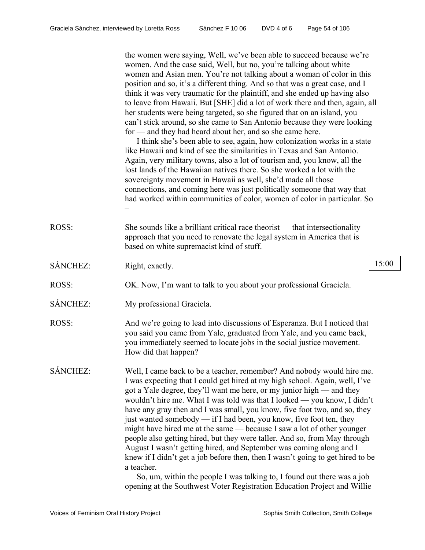the women were saying, Well, we've been able to succeed because we're women. And the case said, Well, but no, you're talking about white women and Asian men. You're not talking about a woman of color in this position and so, it's a different thing. And so that was a great case, and I think it was very traumatic for the plaintiff, and she ended up having also to leave from Hawaii. But [SHE] did a lot of work there and then, again, all her students were being targeted, so she figured that on an island, you can't stick around, so she came to San Antonio because they were looking for — and they had heard about her, and so she came here.

I think she's been able to see, again, how colonization works in a state like Hawaii and kind of see the similarities in Texas and San Antonio. Again, very military towns, also a lot of tourism and, you know, all the lost lands of the Hawaiian natives there. So she worked a lot with the sovereignty movement in Hawaii as well, she'd made all those connections, and coming here was just politically someone that way that had worked within communities of color, women of color in particular. So –

- ROSS: She sounds like a brilliant critical race theorist that intersectionality approach that you need to renovate the legal system in America that is based on white supremacist kind of stuff.
- SÁNCHEZ: Right, exactly. 15:00
- ROSS: OK. Now, I'm want to talk to you about your professional Graciela.
- SÁNCHEZ: My professional Graciela.
- ROSS: And we're going to lead into discussions of Esperanza. But I noticed that you said you came from Yale, graduated from Yale, and you came back, you immediately seemed to locate jobs in the social justice movement. How did that happen?
- SÁNCHEZ: Well, I came back to be a teacher, remember? And nobody would hire me. I was expecting that I could get hired at my high school. Again, well, I've got a Yale degree, they'll want me here, or my junior high — and they wouldn't hire me. What I was told was that I looked — you know, I didn't have any gray then and I was small, you know, five foot two, and so, they just wanted somebody  $\frac{d}{dx}$  if I had been, you know, five foot ten, they might have hired me at the same — because I saw a lot of other younger people also getting hired, but they were taller. And so, from May through August I wasn't getting hired, and September was coming along and I knew if I didn't get a job before then, then I wasn't going to get hired to be a teacher.

So, um, within the people I was talking to, I found out there was a job opening at the Southwest Voter Registration Education Project and Willie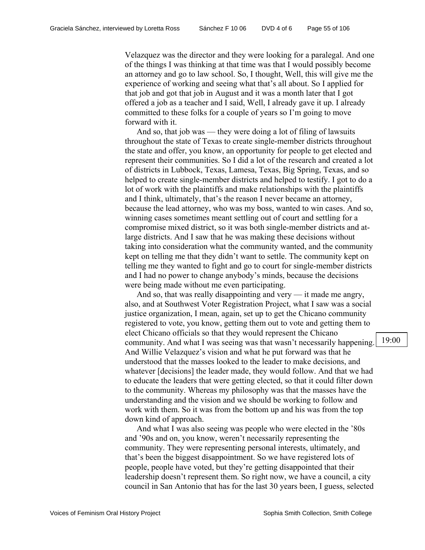Velazquez was the director and they were looking for a paralegal. And one of the things I was thinking at that time was that I would possibly become an attorney and go to law school. So, I thought, Well, this will give me the experience of working and seeing what that's all about. So I applied for that job and got that job in August and it was a month later that I got offered a job as a teacher and I said, Well, I already gave it up. I already committed to these folks for a couple of years so I'm going to move forward with it.

And so, that job was — they were doing a lot of filing of lawsuits throughout the state of Texas to create single-member districts throughout the state and offer, you know, an opportunity for people to get elected and represent their communities. So I did a lot of the research and created a lot of districts in Lubbock, Texas, Lamesa, Texas, Big Spring, Texas, and so helped to create single-member districts and helped to testify. I got to do a lot of work with the plaintiffs and make relationships with the plaintiffs and I think, ultimately, that's the reason I never became an attorney, because the lead attorney, who was my boss, wanted to win cases. And so, winning cases sometimes meant settling out of court and settling for a compromise mixed district, so it was both single-member districts and atlarge districts. And I saw that he was making these decisions without taking into consideration what the community wanted, and the community kept on telling me that they didn't want to settle. The community kept on telling me they wanted to fight and go to court for single-member districts and I had no power to change anybody's minds, because the decisions were being made without me even participating.

And so, that was really disappointing and very — it made me angry, also, and at Southwest Voter Registration Project, what I saw was a social justice organization, I mean, again, set up to get the Chicano community registered to vote, you know, getting them out to vote and getting them to elect Chicano officials so that they would represent the Chicano community. And what I was seeing was that wasn't necessarily happening. And Willie Velazquez's vision and what he put forward was that he understood that the masses looked to the leader to make decisions, and whatever [decisions] the leader made, they would follow. And that we had to educate the leaders that were getting elected, so that it could filter down to the community. Whereas my philosophy was that the masses have the understanding and the vision and we should be working to follow and work with them. So it was from the bottom up and his was from the top down kind of approach.

And what I was also seeing was people who were elected in the '80s and '90s and on, you know, weren't necessarily representing the community. They were representing personal interests, ultimately, and that's been the biggest disappointment. So we have registered lots of people, people have voted, but they're getting disappointed that their leadership doesn't represent them. So right now, we have a council, a city council in San Antonio that has for the last 30 years been, I guess, selected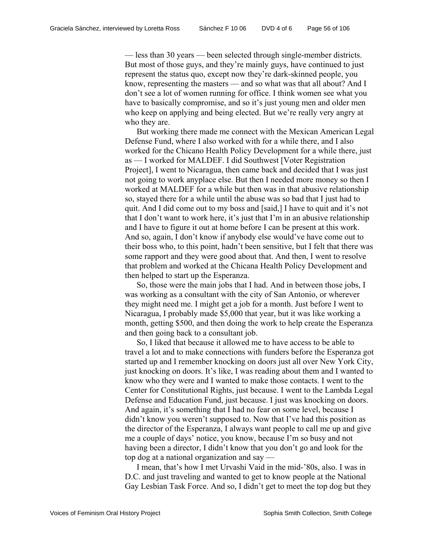— less than 30 years — been selected through single-member districts. But most of those guys, and they're mainly guys, have continued to just represent the status quo, except now they're dark-skinned people, you know, representing the masters — and so what was that all about? And I don't see a lot of women running for office. I think women see what you have to basically compromise, and so it's just young men and older men who keep on applying and being elected. But we're really very angry at who they are.

But working there made me connect with the Mexican American Legal Defense Fund, where I also worked with for a while there, and I also worked for the Chicano Health Policy Development for a while there, just as — I worked for MALDEF. I did Southwest [Voter Registration Project], I went to Nicaragua, then came back and decided that I was just not going to work anyplace else. But then I needed more money so then I worked at MALDEF for a while but then was in that abusive relationship so, stayed there for a while until the abuse was so bad that I just had to quit. And I did come out to my boss and [said,] I have to quit and it's not that I don't want to work here, it's just that I'm in an abusive relationship and I have to figure it out at home before I can be present at this work. And so, again, I don't know if anybody else would've have come out to their boss who, to this point, hadn't been sensitive, but I felt that there was some rapport and they were good about that. And then, I went to resolve that problem and worked at the Chicana Health Policy Development and then helped to start up the Esperanza.

So, those were the main jobs that I had. And in between those jobs, I was working as a consultant with the city of San Antonio, or wherever they might need me. I might get a job for a month. Just before I went to Nicaragua, I probably made \$5,000 that year, but it was like working a month, getting \$500, and then doing the work to help create the Esperanza and then going back to a consultant job.

So, I liked that because it allowed me to have access to be able to travel a lot and to make connections with funders before the Esperanza got started up and I remember knocking on doors just all over New York City, just knocking on doors. It's like, I was reading about them and I wanted to know who they were and I wanted to make those contacts. I went to the Center for Constitutional Rights, just because. I went to the Lambda Legal Defense and Education Fund, just because. I just was knocking on doors. And again, it's something that I had no fear on some level, because I didn't know you weren't supposed to. Now that I've had this position as the director of the Esperanza, I always want people to call me up and give me a couple of days' notice, you know, because I'm so busy and not having been a director, I didn't know that you don't go and look for the top dog at a national organization and say —

I mean, that's how I met Urvashi Vaid in the mid-'80s, also. I was in D.C. and just traveling and wanted to get to know people at the National Gay Lesbian Task Force. And so, I didn't get to meet the top dog but they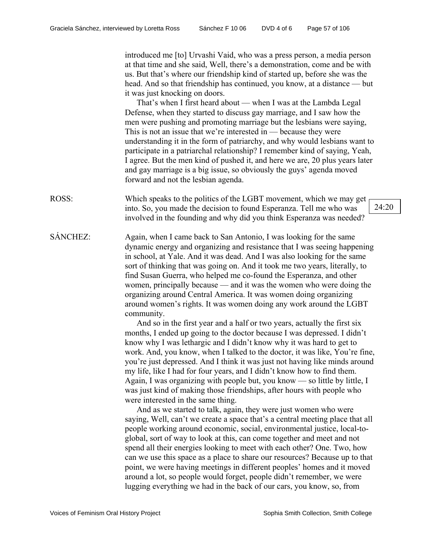introduced me [to] Urvashi Vaid, who was a press person, a media person at that time and she said, Well, there's a demonstration, come and be with us. But that's where our friendship kind of started up, before she was the head. And so that friendship has continued, you know, at a distance — but it was just knocking on doors.

That's when I first heard about — when I was at the Lambda Legal Defense, when they started to discuss gay marriage, and I saw how the men were pushing and promoting marriage but the lesbians were saying, This is not an issue that we're interested in — because they were understanding it in the form of patriarchy, and why would lesbians want to participate in a patriarchal relationship? I remember kind of saying, Yeah, I agree. But the men kind of pushed it, and here we are, 20 plus years later and gay marriage is a big issue, so obviously the guys' agenda moved forward and not the lesbian agenda.

- ROSS: Which speaks to the politics of the LGBT movement, which we may get into. So, you made the decision to found Esperanza. Tell me who was involved in the founding and why did you think Esperanza was needed?
- SÁNCHEZ: Again, when I came back to San Antonio, I was looking for the same dynamic energy and organizing and resistance that I was seeing happening in school, at Yale. And it was dead. And I was also looking for the same sort of thinking that was going on. And it took me two years, literally, to find Susan Guerra, who helped me co-found the Esperanza, and other women, principally because — and it was the women who were doing the organizing around Central America. It was women doing organizing around women's rights. It was women doing any work around the LGBT community.

And so in the first year and a half or two years, actually the first six months, I ended up going to the doctor because I was depressed. I didn't know why I was lethargic and I didn't know why it was hard to get to work. And, you know, when I talked to the doctor, it was like, You're fine, you're just depressed. And I think it was just not having like minds around my life, like I had for four years, and I didn't know how to find them. Again, I was organizing with people but, you know — so little by little, I was just kind of making those friendships, after hours with people who were interested in the same thing.

And as we started to talk, again, they were just women who were saying, Well, can't we create a space that's a central meeting place that all people working around economic, social, environmental justice, local-toglobal, sort of way to look at this, can come together and meet and not spend all their energies looking to meet with each other? One. Two, how can we use this space as a place to share our resources? Because up to that point, we were having meetings in different peoples' homes and it moved around a lot, so people would forget, people didn't remember, we were lugging everything we had in the back of our cars, you know, so, from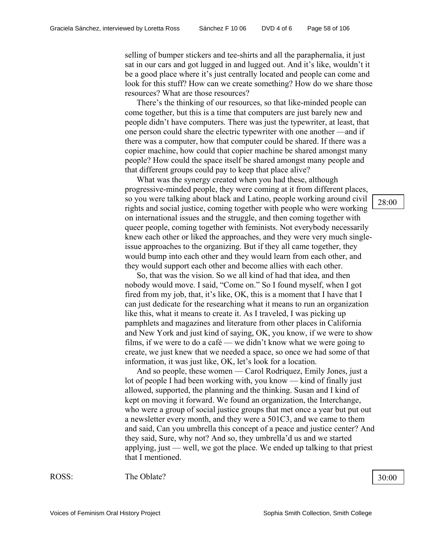selling of bumper stickers and tee-shirts and all the paraphernalia, it just sat in our cars and got lugged in and lugged out. And it's like, wouldn't it be a good place where it's just centrally located and people can come and look for this stuff? How can we create something? How do we share those resources? What are those resources?

There's the thinking of our resources, so that like-minded people can come together, but this is a time that computers are just barely new and people didn't have computers. There was just the typewriter, at least, that one person could share the electric typewriter with one another —and if there was a computer, how that computer could be shared. If there was a copier machine, how could that copier machine be shared amongst many people? How could the space itself be shared amongst many people and that different groups could pay to keep that place alive?

What was the synergy created when you had these, although progressive-minded people, they were coming at it from different places, so you were talking about black and Latino, people working around civil rights and social justice, coming together with people who were working on international issues and the struggle, and then coming together with queer people, coming together with feminists. Not everybody necessarily knew each other or liked the approaches, and they were very much singleissue approaches to the organizing. But if they all came together, they would bump into each other and they would learn from each other, and they would support each other and become allies with each other.

So, that was the vision. So we all kind of had that idea, and then nobody would move. I said, "Come on." So I found myself, when I got fired from my job, that, it's like, OK, this is a moment that I have that I can just dedicate for the researching what it means to run an organization like this, what it means to create it. As I traveled, I was picking up pamphlets and magazines and literature from other places in California and New York and just kind of saying, OK, you know, if we were to show films, if we were to do a café — we didn't know what we were going to create, we just knew that we needed a space, so once we had some of that information, it was just like, OK, let's look for a location.

And so people, these women — Carol Rodriquez, Emily Jones, just a lot of people I had been working with, you know — kind of finally just allowed, supported, the planning and the thinking. Susan and I kind of kept on moving it forward. We found an organization, the Interchange, who were a group of social justice groups that met once a year but put out a newsletter every month, and they were a 501C3, and we came to them and said, Can you umbrella this concept of a peace and justice center? And they said, Sure, why not? And so, they umbrella'd us and we started applying, just — well, we got the place. We ended up talking to that priest that I mentioned.

ROSS: The Oblate? 30:00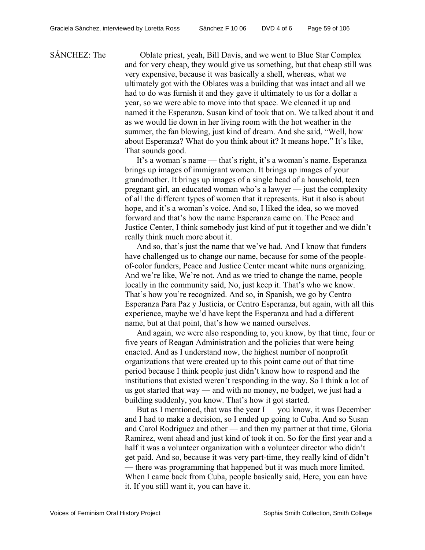SÁNCHEZ: The Oblate priest, yeah, Bill Davis, and we went to Blue Star Complex and for very cheap, they would give us something, but that cheap still was very expensive, because it was basically a shell, whereas, what we ultimately got with the Oblates was a building that was intact and all we had to do was furnish it and they gave it ultimately to us for a dollar a year, so we were able to move into that space. We cleaned it up and named it the Esperanza. Susan kind of took that on. We talked about it and as we would lie down in her living room with the hot weather in the summer, the fan blowing, just kind of dream. And she said, "Well, how about Esperanza? What do you think about it? It means hope." It's like, That sounds good.

> It's a woman's name — that's right, it's a woman's name. Esperanza brings up images of immigrant women. It brings up images of your grandmother. It brings up images of a single head of a household, teen pregnant girl, an educated woman who's a lawyer — just the complexity of all the different types of women that it represents. But it also is about hope, and it's a woman's voice. And so, I liked the idea, so we moved forward and that's how the name Esperanza came on. The Peace and Justice Center, I think somebody just kind of put it together and we didn't really think much more about it.

> And so, that's just the name that we've had. And I know that funders have challenged us to change our name, because for some of the peopleof-color funders, Peace and Justice Center meant white nuns organizing. And we're like, We're not. And as we tried to change the name, people locally in the community said, No, just keep it. That's who we know. That's how you're recognized. And so, in Spanish, we go by Centro Esperanza Para Paz y Justicia, or Centro Esperanza, but again, with all this experience, maybe we'd have kept the Esperanza and had a different name, but at that point, that's how we named ourselves.

> And again, we were also responding to, you know, by that time, four or five years of Reagan Administration and the policies that were being enacted. And as I understand now, the highest number of nonprofit organizations that were created up to this point came out of that time period because I think people just didn't know how to respond and the institutions that existed weren't responding in the way. So I think a lot of us got started that way — and with no money, no budget, we just had a building suddenly, you know. That's how it got started.

But as I mentioned, that was the year  $I -$ you know, it was December and I had to make a decision, so I ended up going to Cuba. And so Susan and Carol Rodriguez and other — and then my partner at that time, Gloria Ramirez, went ahead and just kind of took it on. So for the first year and a half it was a volunteer organization with a volunteer director who didn't get paid. And so, because it was very part-time, they really kind of didn't — there was programming that happened but it was much more limited. When I came back from Cuba, people basically said, Here, you can have it. If you still want it, you can have it.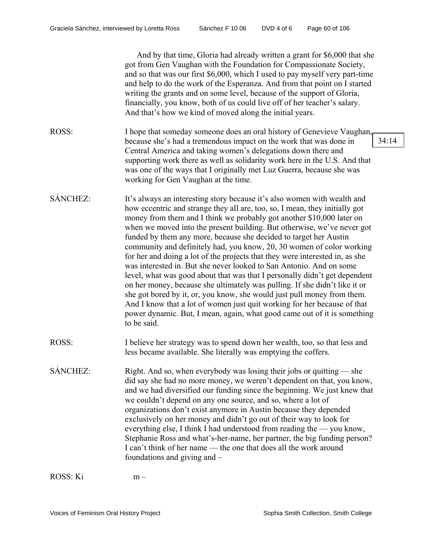|          | And by that time, Gloria had already written a grant for \$6,000 that she<br>got from Gen Vaughan with the Foundation for Compassionate Society,<br>and so that was our first \$6,000, which I used to pay myself very part-time<br>and help to do the work of the Esperanza. And from that point on I started<br>writing the grants and on some level, because of the support of Gloria,<br>financially, you know, both of us could live off of her teacher's salary.<br>And that's how we kind of moved along the initial years.                                                                                                                                                                                                                                                                                                                                                                                                                                                                                             |       |
|----------|--------------------------------------------------------------------------------------------------------------------------------------------------------------------------------------------------------------------------------------------------------------------------------------------------------------------------------------------------------------------------------------------------------------------------------------------------------------------------------------------------------------------------------------------------------------------------------------------------------------------------------------------------------------------------------------------------------------------------------------------------------------------------------------------------------------------------------------------------------------------------------------------------------------------------------------------------------------------------------------------------------------------------------|-------|
| ROSS:    | I hope that someday someone does an oral history of Genevieve Vaughan,<br>because she's had a tremendous impact on the work that was done in<br>Central America and taking women's delegations down there and<br>supporting work there as well as solidarity work here in the U.S. And that<br>was one of the ways that I originally met Luz Guerra, because she was<br>working for Gen Vaughan at the time.                                                                                                                                                                                                                                                                                                                                                                                                                                                                                                                                                                                                                   | 34:14 |
| SÁNCHEZ: | It's always an interesting story because it's also women with wealth and<br>how eccentric and strange they all are, too, so, I mean, they initially got<br>money from them and I think we probably got another \$10,000 later on<br>when we moved into the present building. But otherwise, we've never got<br>funded by them any more, because she decided to target her Austin<br>community and definitely had, you know, 20, 30 women of color working<br>for her and doing a lot of the projects that they were interested in, as she<br>was interested in. But she never looked to San Antonio. And on some<br>level, what was good about that was that I personally didn't get dependent<br>on her money, because she ultimately was pulling. If she didn't like it or<br>she got bored by it, or, you know, she would just pull money from them.<br>And I know that a lot of women just quit working for her because of that<br>power dynamic. But, I mean, again, what good came out of it is something<br>to be said. |       |
| ROSS:    | I believe her strategy was to spend down her wealth, too, so that less and<br>less became available. She literally was emptying the coffers.                                                                                                                                                                                                                                                                                                                                                                                                                                                                                                                                                                                                                                                                                                                                                                                                                                                                                   |       |
| SÁNCHEZ: | Right. And so, when everybody was losing their jobs or quitting — she<br>did say she had no more money, we weren't dependent on that, you know,<br>and we had diversified our funding since the beginning. We just knew that<br>we couldn't depend on any one source, and so, where a lot of<br>organizations don't exist anymore in Austin because they depended<br>exclusively on her money and didn't go out of their way to look for<br>everything else, I think I had understood from reading the — you know,<br>Stephanie Ross and what's-her-name, her partner, the big funding person?<br>I can't think of her name — the one that does all the work around<br>foundations and giving and –                                                                                                                                                                                                                                                                                                                            |       |

ROSS: Ki m –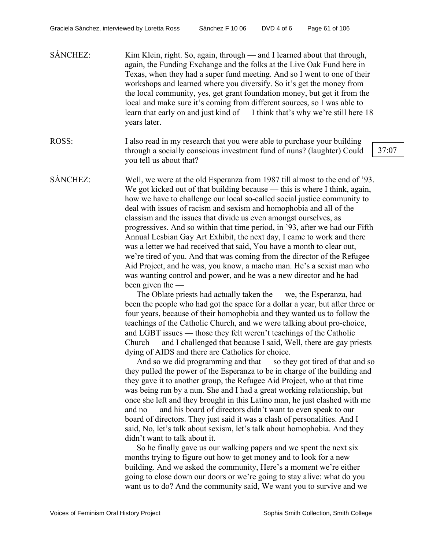| <b>SÁNCHEZ:</b> | Kim Klein, right. So, again, through — and I learned about that through,      |
|-----------------|-------------------------------------------------------------------------------|
|                 | again, the Funding Exchange and the folks at the Live Oak Fund here in        |
|                 | Texas, when they had a super fund meeting. And so I went to one of their      |
|                 | workshops and learned where you diversify. So it's get the money from         |
|                 | the local community, yes, get grant foundation money, but get it from the     |
|                 | local and make sure it's coming from different sources, so I was able to      |
|                 | learn that early on and just kind of — I think that's why we're still here 18 |
|                 | years later.                                                                  |

ROSS: I also read in my research that you were able to purchase your building through a socially conscious investment fund of nuns? (laughter) Could you tell us about that?

SÁNCHEZ: Well, we were at the old Esperanza from 1987 till almost to the end of '93. We got kicked out of that building because — this is where I think, again, how we have to challenge our local so-called social justice community to deal with issues of racism and sexism and homophobia and all of the classism and the issues that divide us even amongst ourselves, as progressives. And so within that time period, in '93, after we had our Fifth Annual Lesbian Gay Art Exhibit, the next day, I came to work and there was a letter we had received that said, You have a month to clear out, we're tired of you. And that was coming from the director of the Refugee Aid Project, and he was, you know, a macho man. He's a sexist man who was wanting control and power, and he was a new director and he had been given the —

> The Oblate priests had actually taken the — we, the Esperanza, had been the people who had got the space for a dollar a year, but after three or four years, because of their homophobia and they wanted us to follow the teachings of the Catholic Church, and we were talking about pro-choice, and LGBT issues — those they felt weren't teachings of the Catholic Church — and I challenged that because I said, Well, there are gay priests dying of AIDS and there are Catholics for choice.

> And so we did programming and that — so they got tired of that and so they pulled the power of the Esperanza to be in charge of the building and they gave it to another group, the Refugee Aid Project, who at that time was being run by a nun. She and I had a great working relationship, but once she left and they brought in this Latino man, he just clashed with me and no — and his board of directors didn't want to even speak to our board of directors. They just said it was a clash of personalities. And I said, No, let's talk about sexism, let's talk about homophobia. And they didn't want to talk about it.

So he finally gave us our walking papers and we spent the next six months trying to figure out how to get money and to look for a new building. And we asked the community, Here's a moment we're either going to close down our doors or we're going to stay alive: what do you want us to do? And the community said, We want you to survive and we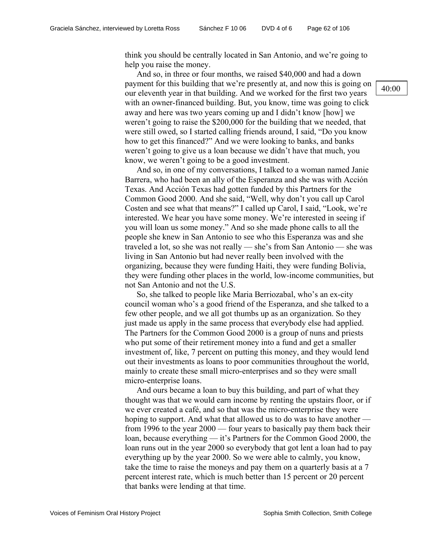think you should be centrally located in San Antonio, and we're going to help you raise the money.

And so, in three or four months, we raised \$40,000 and had a down payment for this building that we're presently at, and now this is going on our eleventh year in that building. And we worked for the first two years with an owner-financed building. But, you know, time was going to click away and here was two years coming up and I didn't know [how] we weren't going to raise the \$200,000 for the building that we needed, that were still owed, so I started calling friends around, I said, "Do you know how to get this financed?" And we were looking to banks, and banks weren't going to give us a loan because we didn't have that much, you know, we weren't going to be a good investment.

And so, in one of my conversations, I talked to a woman named Janie Barrera, who had been an ally of the Esperanza and she was with Acción Texas. And Acción Texas had gotten funded by this Partners for the Common Good 2000. And she said, "Well, why don't you call up Carol Costen and see what that means?" I called up Carol, I said, "Look, we're interested. We hear you have some money. We're interested in seeing if you will loan us some money." And so she made phone calls to all the people she knew in San Antonio to see who this Esperanza was and she traveled a lot, so she was not really — she's from San Antonio — she was living in San Antonio but had never really been involved with the organizing, because they were funding Haiti, they were funding Bolivia, they were funding other places in the world, low-income communities, but not San Antonio and not the U.S.

So, she talked to people like Maria Berriozabal, who's an ex-city council woman who's a good friend of the Esperanza, and she talked to a few other people, and we all got thumbs up as an organization. So they just made us apply in the same process that everybody else had applied. The Partners for the Common Good 2000 is a group of nuns and priests who put some of their retirement money into a fund and get a smaller investment of, like, 7 percent on putting this money, and they would lend out their investments as loans to poor communities throughout the world, mainly to create these small micro-enterprises and so they were small micro-enterprise loans.

And ours became a loan to buy this building, and part of what they thought was that we would earn income by renting the upstairs floor, or if we ever created a café, and so that was the micro-enterprise they were hoping to support. And what that allowed us to do was to have another from 1996 to the year 2000 — four years to basically pay them back their loan, because everything — it's Partners for the Common Good 2000, the loan runs out in the year 2000 so everybody that got lent a loan had to pay everything up by the year 2000. So we were able to calmly, you know, take the time to raise the moneys and pay them on a quarterly basis at a 7 percent interest rate, which is much better than 15 percent or 20 percent that banks were lending at that time.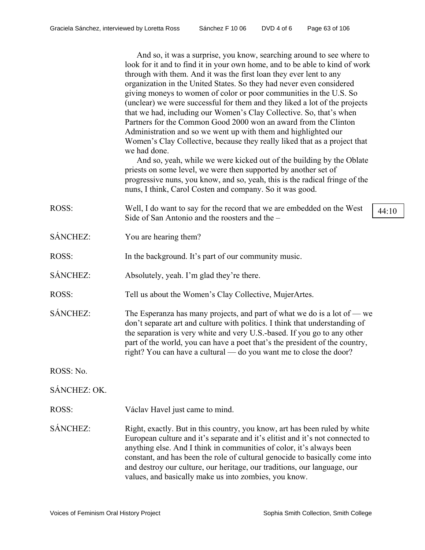| And so, it was a surprise, you know, searching around to see where to       |
|-----------------------------------------------------------------------------|
| look for it and to find it in your own home, and to be able to kind of work |
| through with them. And it was the first loan they ever lent to any          |
| organization in the United States. So they had never even considered        |
| giving moneys to women of color or poor communities in the U.S. So          |
| (unclear) we were successful for them and they liked a lot of the projects  |
| that we had, including our Women's Clay Collective. So, that's when         |
| Partners for the Common Good 2000 won an award from the Clinton             |
| Administration and so we went up with them and highlighted our              |
| Women's Clay Collective, because they really liked that as a project that   |
| we had done.                                                                |
|                                                                             |

And so, yeah, while we were kicked out of the building by the Oblate priests on some level, we were then supported by another set of progressive nuns, you know, and so, yeah, this is the radical fringe of the nuns, I think, Carol Costen and company. So it was good.

- ROSS: Well, I do want to say for the record that we are embedded on the West Side of San Antonio and the roosters and the –
- SÁNCHEZ: You are hearing them?
- ROSS: In the background. It's part of our community music.
- SÁNCHEZ: Absolutely, yeah. I'm glad they're there.
- ROSS: Tell us about the Women's Clay Collective, MujerArtes.
- SÁNCHEZ: The Esperanza has many projects, and part of what we do is a lot of we don't separate art and culture with politics. I think that understanding of the separation is very white and very U.S.-based. If you go to any other part of the world, you can have a poet that's the president of the country, right? You can have a cultural — do you want me to close the door?

ROSS: No.

# SÁNCHEZ: OK.

- ROSS: Václav Havel just came to mind.
- SÁNCHEZ: Right, exactly. But in this country, you know, art has been ruled by white European culture and it's separate and it's elitist and it's not connected to anything else. And I think in communities of color, it's always been constant, and has been the role of cultural genocide to basically come into and destroy our culture, our heritage, our traditions, our language, our values, and basically make us into zombies, you know.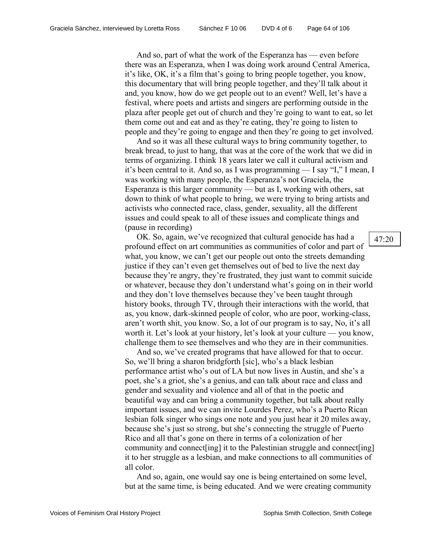And so, part of what the work of the Esperanza has — even before there was an Esperanza, when I was doing work around Central America, it's like, OK, it's a film that's going to bring people together, you know, this documentary that will bring people together, and they'll talk about it and, you know, how do we get people out to an event? Well, let's have a festival, where poets and artists and singers are performing outside in the plaza after people get out of church and they're going to want to eat, so let them come out and eat and as they're eating, they're going to listen to people and they're going to engage and then they're going to get involved.

And so it was all these cultural ways to bring community together, to break bread, to just to hang, that was at the core of the work that we did in terms of organizing. I think 18 years later we call it cultural activism and it's been central to it. And so, as I was programming — I say "I," I mean, I was working with many people, the Esperanza's not Graciela, the Esperanza is this larger community — but as I, working with others, sat down to think of what people to bring, we were trying to bring artists and activists who connected race, class, gender, sexuality, all the different issues and could speak to all of these issues and complicate things and (pause in recording)

OK. So, again, we've recognized that cultural genocide has had a profound effect on art communities as communities of color and part of what, you know, we can't get our people out onto the streets demanding justice if they can't even get themselves out of bed to live the next day because they're angry, they're frustrated, they just want to commit suicide or whatever, because they don't understand what's going on in their world and they don't love themselves because they've been taught through history books, through TV, through their interactions with the world, that as, you know, dark-skinned people of color, who are poor, working-class, aren't worth shit, you know. So, a lot of our program is to say, No, it's all worth it. Let's look at your history, let's look at your culture — you know, challenge them to see themselves and who they are in their communities.

And so, we've created programs that have allowed for that to occur. So, we'll bring a sharon bridgforth [sic], who's a black lesbian performance artist who's out of LA but now lives in Austin, and she's a poet, she's a griot, she's a genius, and can talk about race and class and gender and sexuality and violence and all of that in the poetic and beautiful way and can bring a community together, but talk about really important issues, and we can invite Lourdes Perez, who's a Puerto Rican lesbian folk singer who sings one note and you just hear it 20 miles away, because she's just so strong, but she's connecting the struggle of Puerto Rico and all that's gone on there in terms of a colonization of her community and connect[ing] it to the Palestinian struggle and connect[ing] it to her struggle as a lesbian, and make connections to all communities of all color.

And so, again, one would say one is being entertained on some level, but at the same time, is being educated. And we were creating community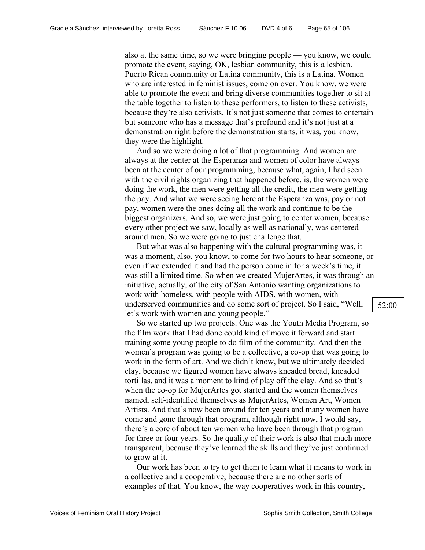also at the same time, so we were bringing people — you know, we could promote the event, saying, OK, lesbian community, this is a lesbian. Puerto Rican community or Latina community, this is a Latina. Women who are interested in feminist issues, come on over. You know, we were able to promote the event and bring diverse communities together to sit at the table together to listen to these performers, to listen to these activists, because they're also activists. It's not just someone that comes to entertain but someone who has a message that's profound and it's not just at a demonstration right before the demonstration starts, it was, you know, they were the highlight.

And so we were doing a lot of that programming. And women are always at the center at the Esperanza and women of color have always been at the center of our programming, because what, again, I had seen with the civil rights organizing that happened before, is, the women were doing the work, the men were getting all the credit, the men were getting the pay. And what we were seeing here at the Esperanza was, pay or not pay, women were the ones doing all the work and continue to be the biggest organizers. And so, we were just going to center women, because every other project we saw, locally as well as nationally, was centered around men. So we were going to just challenge that.

But what was also happening with the cultural programming was, it was a moment, also, you know, to come for two hours to hear someone, or even if we extended it and had the person come in for a week's time, it was still a limited time. So when we created MujerArtes, it was through an initiative, actually, of the city of San Antonio wanting organizations to work with homeless, with people with AIDS, with women, with underserved communities and do some sort of project. So I said, "Well, let's work with women and young people."

So we started up two projects. One was the Youth Media Program, so the film work that I had done could kind of move it forward and start training some young people to do film of the community. And then the women's program was going to be a collective, a co-op that was going to work in the form of art. And we didn't know, but we ultimately decided clay, because we figured women have always kneaded bread, kneaded tortillas, and it was a moment to kind of play off the clay. And so that's when the co-op for MujerArtes got started and the women themselves named, self-identified themselves as MujerArtes, Women Art, Women Artists. And that's now been around for ten years and many women have come and gone through that program, although right now, I would say, there's a core of about ten women who have been through that program for three or four years. So the quality of their work is also that much more transparent, because they've learned the skills and they've just continued to grow at it.

Our work has been to try to get them to learn what it means to work in a collective and a cooperative, because there are no other sorts of examples of that. You know, the way cooperatives work in this country,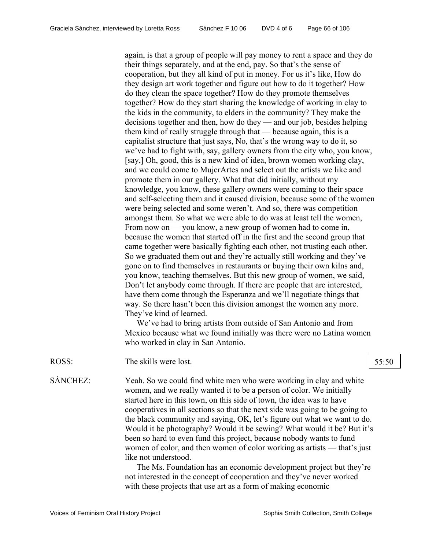again, is that a group of people will pay money to rent a space and they do their things separately, and at the end, pay. So that's the sense of cooperation, but they all kind of put in money. For us it's like, How do they design art work together and figure out how to do it together? How do they clean the space together? How do they promote themselves together? How do they start sharing the knowledge of working in clay to the kids in the community, to elders in the community? They make the decisions together and then, how do they — and our job, besides helping them kind of really struggle through that — because again, this is a capitalist structure that just says, No, that's the wrong way to do it, so we've had to fight with, say, gallery owners from the city who, you know, [say,] Oh, good, this is a new kind of idea, brown women working clay, and we could come to MujerArtes and select out the artists we like and promote them in our gallery. What that did initially, without my knowledge, you know, these gallery owners were coming to their space and self-selecting them and it caused division, because some of the women were being selected and some weren't. And so, there was competition amongst them. So what we were able to do was at least tell the women, From now on — you know, a new group of women had to come in, because the women that started off in the first and the second group that came together were basically fighting each other, not trusting each other. So we graduated them out and they're actually still working and they've gone on to find themselves in restaurants or buying their own kilns and, you know, teaching themselves. But this new group of women, we said, Don't let anybody come through. If there are people that are interested, have them come through the Esperanza and we'll negotiate things that way. So there hasn't been this division amongst the women any more. They've kind of learned.

We've had to bring artists from outside of San Antonio and from Mexico because what we found initially was there were no Latina women who worked in clay in San Antonio.

ROSS: The skills were lost. 55:50

SÁNCHEZ: Yeah. So we could find white men who were working in clay and white women, and we really wanted it to be a person of color. We initially started here in this town, on this side of town, the idea was to have cooperatives in all sections so that the next side was going to be going to the black community and saying, OK, let's figure out what we want to do. Would it be photography? Would it be sewing? What would it be? But it's been so hard to even fund this project, because nobody wants to fund women of color, and then women of color working as artists — that's just like not understood.

> The Ms. Foundation has an economic development project but they're not interested in the concept of cooperation and they've never worked with these projects that use art as a form of making economic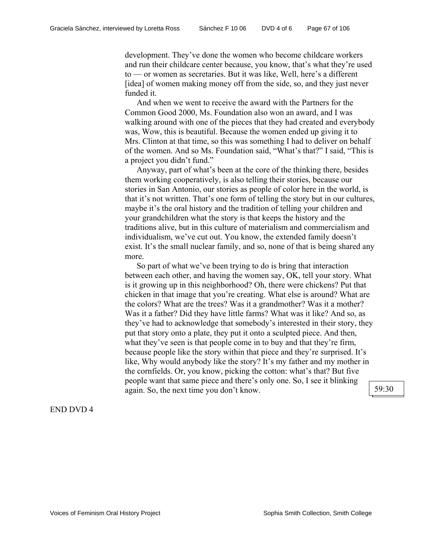development. They've done the women who become childcare workers and run their childcare center because, you know, that's what they're used to — or women as secretaries. But it was like, Well, here's a different [idea] of women making money off from the side, so, and they just never funded it.

And when we went to receive the award with the Partners for the Common Good 2000, Ms. Foundation also won an award, and I was walking around with one of the pieces that they had created and everybody was, Wow, this is beautiful. Because the women ended up giving it to Mrs. Clinton at that time, so this was something I had to deliver on behalf of the women. And so Ms. Foundation said, "What's that?" I said, "This is a project you didn't fund."

Anyway, part of what's been at the core of the thinking there, besides them working cooperatively, is also telling their stories, because our stories in San Antonio, our stories as people of color here in the world, is that it's not written. That's one form of telling the story but in our cultures, maybe it's the oral history and the tradition of telling your children and your grandchildren what the story is that keeps the history and the traditions alive, but in this culture of materialism and commercialism and individualism, we've cut out. You know, the extended family doesn't exist. It's the small nuclear family, and so, none of that is being shared any more.

So part of what we've been trying to do is bring that interaction between each other, and having the women say, OK, tell your story. What is it growing up in this neighborhood? Oh, there were chickens? Put that chicken in that image that you're creating. What else is around? What are the colors? What are the trees? Was it a grandmother? Was it a mother? Was it a father? Did they have little farms? What was it like? And so, as they've had to acknowledge that somebody's interested in their story, they put that story onto a plate, they put it onto a sculpted piece. And then, what they've seen is that people come in to buy and that they're firm, because people like the story within that piece and they're surprised. It's like, Why would anybody like the story? It's my father and my mother in the cornfields. Or, you know, picking the cotton: what's that? But five people want that same piece and there's only one. So, I see it blinking again. So, the next time you don't know.  $\Big| 59:30$ 

# END DVD 4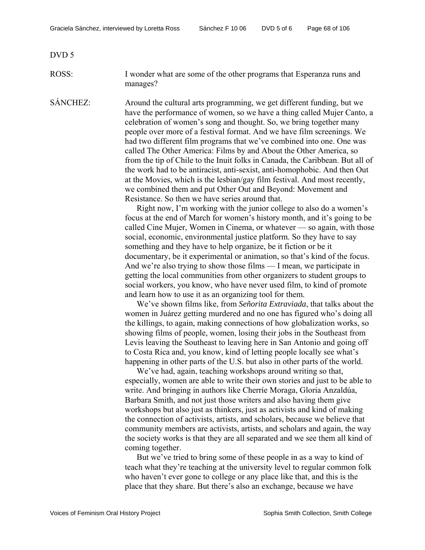DVD 5

ROSS: I wonder what are some of the other programs that Esperanza runs and manages?

SÁNCHEZ: Around the cultural arts programming, we get different funding, but we have the performance of women, so we have a thing called Mujer Canto, a celebration of women's song and thought. So, we bring together many people over more of a festival format. And we have film screenings. We had two different film programs that we've combined into one. One was called The Other America: Films by and About the Other America, so from the tip of Chile to the Inuit folks in Canada, the Caribbean. But all of the work had to be antiracist, anti-sexist, anti-homophobic. And then Out at the Movies, which is the lesbian/gay film festival. And most recently, we combined them and put Other Out and Beyond: Movement and Resistance. So then we have series around that.

> Right now, I'm working with the junior college to also do a women's focus at the end of March for women's history month, and it's going to be called Cine Mujer, Women in Cinema, or whatever — so again, with those social, economic, environmental justice platform. So they have to say something and they have to help organize, be it fiction or be it documentary, be it experimental or animation, so that's kind of the focus. And we're also trying to show those films — I mean, we participate in getting the local communities from other organizers to student groups to social workers, you know, who have never used film, to kind of promote and learn how to use it as an organizing tool for them.

> We've shown films like, from *Señorita Extraviada*, that talks about the women in Juárez getting murdered and no one has figured who's doing all the killings, to again, making connections of how globalization works, so showing films of people, women, losing their jobs in the Southeast from Levis leaving the Southeast to leaving here in San Antonio and going off to Costa Rica and, you know, kind of letting people locally see what's happening in other parts of the U.S. but also in other parts of the world.

> We've had, again, teaching workshops around writing so that, especially, women are able to write their own stories and just to be able to write. And bringing in authors like Cherríe Moraga, Gloria Anzaldúa, Barbara Smith, and not just those writers and also having them give workshops but also just as thinkers, just as activists and kind of making the connection of activists, artists, and scholars, because we believe that community members are activists, artists, and scholars and again, the way the society works is that they are all separated and we see them all kind of coming together.

> But we've tried to bring some of these people in as a way to kind of teach what they're teaching at the university level to regular common folk who haven't ever gone to college or any place like that, and this is the place that they share. But there's also an exchange, because we have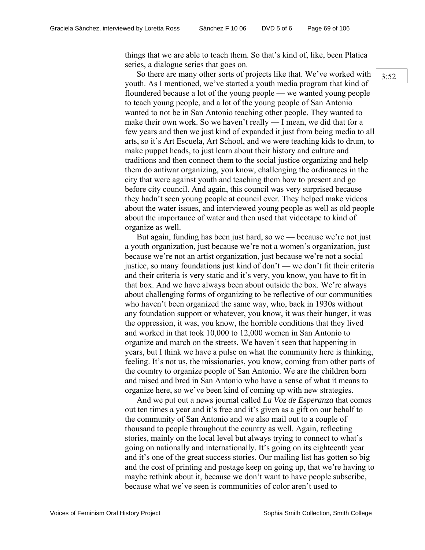things that we are able to teach them. So that's kind of, like, been Platica series, a dialogue series that goes on.

So there are many other sorts of projects like that. We've worked with youth. As I mentioned, we've started a youth media program that kind of floundered because a lot of the young people — we wanted young people to teach young people, and a lot of the young people of San Antonio wanted to not be in San Antonio teaching other people. They wanted to make their own work. So we haven't really — I mean, we did that for a few years and then we just kind of expanded it just from being media to all arts, so it's Art Escuela, Art School, and we were teaching kids to drum, to make puppet heads, to just learn about their history and culture and traditions and then connect them to the social justice organizing and help them do antiwar organizing, you know, challenging the ordinances in the city that were against youth and teaching them how to present and go before city council. And again, this council was very surprised because they hadn't seen young people at council ever. They helped make videos about the water issues, and interviewed young people as well as old people about the importance of water and then used that videotape to kind of organize as well.

But again, funding has been just hard, so we — because we're not just a youth organization, just because we're not a women's organization, just because we're not an artist organization, just because we're not a social justice, so many foundations just kind of don't — we don't fit their criteria and their criteria is very static and it's very, you know, you have to fit in that box. And we have always been about outside the box. We're always about challenging forms of organizing to be reflective of our communities who haven't been organized the same way, who, back in 1930s without any foundation support or whatever, you know, it was their hunger, it was the oppression, it was, you know, the horrible conditions that they lived and worked in that took 10,000 to 12,000 women in San Antonio to organize and march on the streets. We haven't seen that happening in years, but I think we have a pulse on what the community here is thinking, feeling. It's not us, the missionaries, you know, coming from other parts of the country to organize people of San Antonio. We are the children born and raised and bred in San Antonio who have a sense of what it means to organize here, so we've been kind of coming up with new strategies.

And we put out a news journal called *La Voz de Esperanza* that comes out ten times a year and it's free and it's given as a gift on our behalf to the community of San Antonio and we also mail out to a couple of thousand to people throughout the country as well. Again, reflecting stories, mainly on the local level but always trying to connect to what's going on nationally and internationally. It's going on its eighteenth year and it's one of the great success stories. Our mailing list has gotten so big and the cost of printing and postage keep on going up, that we're having to maybe rethink about it, because we don't want to have people subscribe, because what we've seen is communities of color aren't used to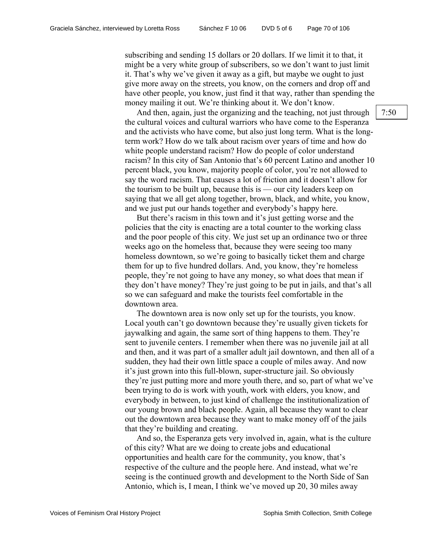subscribing and sending 15 dollars or 20 dollars. If we limit it to that, it might be a very white group of subscribers, so we don't want to just limit it. That's why we've given it away as a gift, but maybe we ought to just give more away on the streets, you know, on the corners and drop off and have other people, you know, just find it that way, rather than spending the money mailing it out. We're thinking about it. We don't know.

And then, again, just the organizing and the teaching, not just through the cultural voices and cultural warriors who have come to the Esperanza and the activists who have come, but also just long term. What is the longterm work? How do we talk about racism over years of time and how do white people understand racism? How do people of color understand racism? In this city of San Antonio that's 60 percent Latino and another 10 percent black, you know, majority people of color, you're not allowed to say the word racism. That causes a lot of friction and it doesn't allow for the tourism to be built up, because this is — our city leaders keep on saying that we all get along together, brown, black, and white, you know, and we just put our hands together and everybody's happy here.

But there's racism in this town and it's just getting worse and the policies that the city is enacting are a total counter to the working class and the poor people of this city. We just set up an ordinance two or three weeks ago on the homeless that, because they were seeing too many homeless downtown, so we're going to basically ticket them and charge them for up to five hundred dollars. And, you know, they're homeless people, they're not going to have any money, so what does that mean if they don't have money? They're just going to be put in jails, and that's all so we can safeguard and make the tourists feel comfortable in the downtown area.

The downtown area is now only set up for the tourists, you know. Local youth can't go downtown because they're usually given tickets for jaywalking and again, the same sort of thing happens to them. They're sent to juvenile centers. I remember when there was no juvenile jail at all and then, and it was part of a smaller adult jail downtown, and then all of a sudden, they had their own little space a couple of miles away. And now it's just grown into this full-blown, super-structure jail. So obviously they're just putting more and more youth there, and so, part of what we've been trying to do is work with youth, work with elders, you know, and everybody in between, to just kind of challenge the institutionalization of our young brown and black people. Again, all because they want to clear out the downtown area because they want to make money off of the jails that they're building and creating.

And so, the Esperanza gets very involved in, again, what is the culture of this city? What are we doing to create jobs and educational opportunities and health care for the community, you know, that's respective of the culture and the people here. And instead, what we're seeing is the continued growth and development to the North Side of San Antonio, which is, I mean, I think we've moved up 20, 30 miles away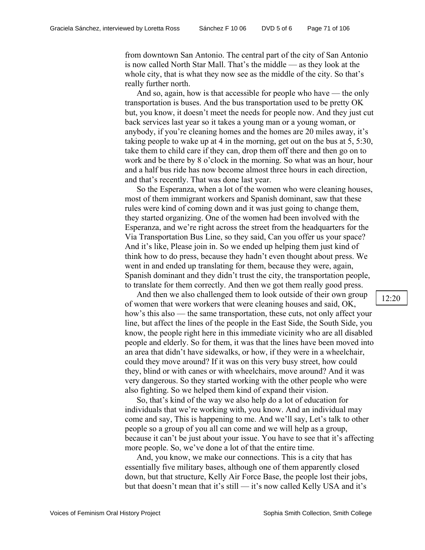from downtown San Antonio. The central part of the city of San Antonio is now called North Star Mall. That's the middle — as they look at the whole city, that is what they now see as the middle of the city. So that's really further north.

And so, again, how is that accessible for people who have — the only transportation is buses. And the bus transportation used to be pretty OK but, you know, it doesn't meet the needs for people now. And they just cut back services last year so it takes a young man or a young woman, or anybody, if you're cleaning homes and the homes are 20 miles away, it's taking people to wake up at 4 in the morning, get out on the bus at 5, 5:30, take them to child care if they can, drop them off there and then go on to work and be there by 8 o'clock in the morning. So what was an hour, hour and a half bus ride has now become almost three hours in each direction, and that's recently. That was done last year.

So the Esperanza, when a lot of the women who were cleaning houses, most of them immigrant workers and Spanish dominant, saw that these rules were kind of coming down and it was just going to change them, they started organizing. One of the women had been involved with the Esperanza, and we're right across the street from the headquarters for the Via Transportation Bus Line, so they said, Can you offer us your space? And it's like, Please join in. So we ended up helping them just kind of think how to do press, because they hadn't even thought about press. We went in and ended up translating for them, because they were, again, Spanish dominant and they didn't trust the city, the transportation people, to translate for them correctly. And then we got them really good press.

And then we also challenged them to look outside of their own group of women that were workers that were cleaning houses and said, OK, how's this also — the same transportation, these cuts, not only affect your line, but affect the lines of the people in the East Side, the South Side, you know, the people right here in this immediate vicinity who are all disabled people and elderly. So for them, it was that the lines have been moved into an area that didn't have sidewalks, or how, if they were in a wheelchair, could they move around? If it was on this very busy street, how could they, blind or with canes or with wheelchairs, move around? And it was very dangerous. So they started working with the other people who were also fighting. So we helped them kind of expand their vision.

So, that's kind of the way we also help do a lot of education for individuals that we're working with, you know. And an individual may come and say, This is happening to me. And we'll say, Let's talk to other people so a group of you all can come and we will help as a group, because it can't be just about your issue. You have to see that it's affecting more people. So, we've done a lot of that the entire time.

And, you know, we make our connections. This is a city that has essentially five military bases, although one of them apparently closed down, but that structure, Kelly Air Force Base, the people lost their jobs, but that doesn't mean that it's still — it's now called Kelly USA and it's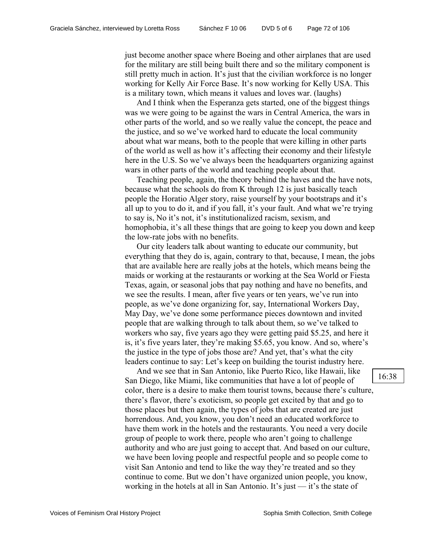just become another space where Boeing and other airplanes that are used for the military are still being built there and so the military component is still pretty much in action. It's just that the civilian workforce is no longer working for Kelly Air Force Base. It's now working for Kelly USA. This is a military town, which means it values and loves war. (laughs)

And I think when the Esperanza gets started, one of the biggest things was we were going to be against the wars in Central America, the wars in other parts of the world, and so we really value the concept, the peace and the justice, and so we've worked hard to educate the local community about what war means, both to the people that were killing in other parts of the world as well as how it's affecting their economy and their lifestyle here in the U.S. So we've always been the headquarters organizing against wars in other parts of the world and teaching people about that.

Teaching people, again, the theory behind the haves and the have nots, because what the schools do from K through 12 is just basically teach people the Horatio Alger story, raise yourself by your bootstraps and it's all up to you to do it, and if you fall, it's your fault. And what we're trying to say is, No it's not, it's institutionalized racism, sexism, and homophobia, it's all these things that are going to keep you down and keep the low-rate jobs with no benefits.

Our city leaders talk about wanting to educate our community, but everything that they do is, again, contrary to that, because, I mean, the jobs that are available here are really jobs at the hotels, which means being the maids or working at the restaurants or working at the Sea World or Fiesta Texas, again, or seasonal jobs that pay nothing and have no benefits, and we see the results. I mean, after five years or ten years, we've run into people, as we've done organizing for, say, International Workers Day, May Day, we've done some performance pieces downtown and invited people that are walking through to talk about them, so we've talked to workers who say, five years ago they were getting paid \$5.25, and here it is, it's five years later, they're making \$5.65, you know. And so, where's the justice in the type of jobs those are? And yet, that's what the city leaders continue to say: Let's keep on building the tourist industry here.

And we see that in San Antonio, like Puerto Rico, like Hawaii, like San Diego, like Miami, like communities that have a lot of people of color, there is a desire to make them tourist towns, because there's culture, there's flavor, there's exoticism, so people get excited by that and go to those places but then again, the types of jobs that are created are just horrendous. And, you know, you don't need an educated workforce to have them work in the hotels and the restaurants. You need a very docile group of people to work there, people who aren't going to challenge authority and who are just going to accept that. And based on our culture, we have been loving people and respectful people and so people come to visit San Antonio and tend to like the way they're treated and so they continue to come. But we don't have organized union people, you know, working in the hotels at all in San Antonio. It's just — it's the state of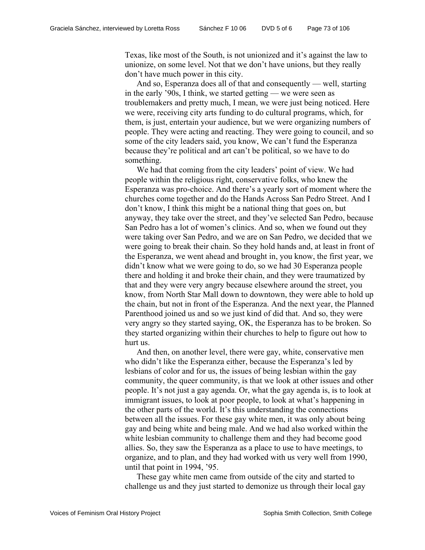Texas, like most of the South, is not unionized and it's against the law to unionize, on some level. Not that we don't have unions, but they really don't have much power in this city.

And so, Esperanza does all of that and consequently — well, starting in the early '90s, I think, we started getting — we were seen as troublemakers and pretty much, I mean, we were just being noticed. Here we were, receiving city arts funding to do cultural programs, which, for them, is just, entertain your audience, but we were organizing numbers of people. They were acting and reacting. They were going to council, and so some of the city leaders said, you know, We can't fund the Esperanza because they're political and art can't be political, so we have to do something.

We had that coming from the city leaders' point of view. We had people within the religious right, conservative folks, who knew the Esperanza was pro-choice. And there's a yearly sort of moment where the churches come together and do the Hands Across San Pedro Street. And I don't know, I think this might be a national thing that goes on, but anyway, they take over the street, and they've selected San Pedro, because San Pedro has a lot of women's clinics. And so, when we found out they were taking over San Pedro, and we are on San Pedro, we decided that we were going to break their chain. So they hold hands and, at least in front of the Esperanza, we went ahead and brought in, you know, the first year, we didn't know what we were going to do, so we had 30 Esperanza people there and holding it and broke their chain, and they were traumatized by that and they were very angry because elsewhere around the street, you know, from North Star Mall down to downtown, they were able to hold up the chain, but not in front of the Esperanza. And the next year, the Planned Parenthood joined us and so we just kind of did that. And so, they were very angry so they started saying, OK, the Esperanza has to be broken. So they started organizing within their churches to help to figure out how to hurt us.

And then, on another level, there were gay, white, conservative men who didn't like the Esperanza either, because the Esperanza's led by lesbians of color and for us, the issues of being lesbian within the gay community, the queer community, is that we look at other issues and other people. It's not just a gay agenda. Or, what the gay agenda is, is to look at immigrant issues, to look at poor people, to look at what's happening in the other parts of the world. It's this understanding the connections between all the issues. For these gay white men, it was only about being gay and being white and being male. And we had also worked within the white lesbian community to challenge them and they had become good allies. So, they saw the Esperanza as a place to use to have meetings, to organize, and to plan, and they had worked with us very well from 1990, until that point in 1994, '95.

These gay white men came from outside of the city and started to challenge us and they just started to demonize us through their local gay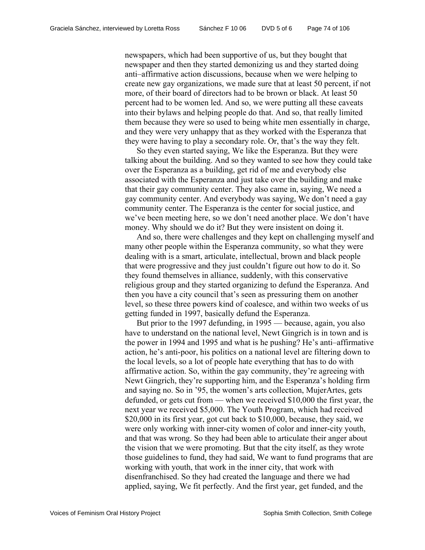newspapers, which had been supportive of us, but they bought that newspaper and then they started demonizing us and they started doing anti–affirmative action discussions, because when we were helping to create new gay organizations, we made sure that at least 50 percent, if not more, of their board of directors had to be brown or black. At least 50 percent had to be women led. And so, we were putting all these caveats into their bylaws and helping people do that. And so, that really limited them because they were so used to being white men essentially in charge, and they were very unhappy that as they worked with the Esperanza that they were having to play a secondary role. Or, that's the way they felt.

So they even started saying, We like the Esperanza. But they were talking about the building. And so they wanted to see how they could take over the Esperanza as a building, get rid of me and everybody else associated with the Esperanza and just take over the building and make that their gay community center. They also came in, saying, We need a gay community center. And everybody was saying, We don't need a gay community center. The Esperanza is the center for social justice, and we've been meeting here, so we don't need another place. We don't have money. Why should we do it? But they were insistent on doing it.

And so, there were challenges and they kept on challenging myself and many other people within the Esperanza community, so what they were dealing with is a smart, articulate, intellectual, brown and black people that were progressive and they just couldn't figure out how to do it. So they found themselves in alliance, suddenly, with this conservative religious group and they started organizing to defund the Esperanza. And then you have a city council that's seen as pressuring them on another level, so these three powers kind of coalesce, and within two weeks of us getting funded in 1997, basically defund the Esperanza.

But prior to the 1997 defunding, in 1995 — because, again, you also have to understand on the national level, Newt Gingrich is in town and is the power in 1994 and 1995 and what is he pushing? He's anti–affirmative action, he's anti-poor, his politics on a national level are filtering down to the local levels, so a lot of people hate everything that has to do with affirmative action. So, within the gay community, they're agreeing with Newt Gingrich, they're supporting him, and the Esperanza's holding firm and saying no. So in '95, the women's arts collection, MujerArtes, gets defunded, or gets cut from — when we received \$10,000 the first year, the next year we received \$5,000. The Youth Program, which had received \$20,000 in its first year, got cut back to \$10,000, because, they said, we were only working with inner-city women of color and inner-city youth, and that was wrong. So they had been able to articulate their anger about the vision that we were promoting. But that the city itself, as they wrote those guidelines to fund, they had said, We want to fund programs that are working with youth, that work in the inner city, that work with disenfranchised. So they had created the language and there we had applied, saying, We fit perfectly. And the first year, get funded, and the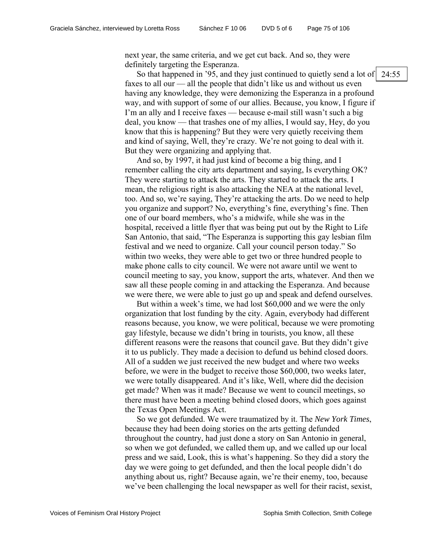next year, the same criteria, and we get cut back. And so, they were definitely targeting the Esperanza.

So that happened in '95, and they just continued to quietly send a lot of faxes to all our — all the people that didn't like us and without us even having any knowledge, they were demonizing the Esperanza in a profound way, and with support of some of our allies. Because, you know, I figure if I'm an ally and I receive faxes — because e-mail still wasn't such a big deal, you know — that trashes one of my allies, I would say, Hey, do you know that this is happening? But they were very quietly receiving them and kind of saying, Well, they're crazy. We're not going to deal with it. But they were organizing and applying that.

And so, by 1997, it had just kind of become a big thing, and I remember calling the city arts department and saying, Is everything OK? They were starting to attack the arts. They started to attack the arts. I mean, the religious right is also attacking the NEA at the national level, too. And so, we're saying, They're attacking the arts. Do we need to help you organize and support? No, everything's fine, everything's fine. Then one of our board members, who's a midwife, while she was in the hospital, received a little flyer that was being put out by the Right to Life San Antonio, that said, "The Esperanza is supporting this gay lesbian film festival and we need to organize. Call your council person today." So within two weeks, they were able to get two or three hundred people to make phone calls to city council. We were not aware until we went to council meeting to say, you know, support the arts, whatever. And then we saw all these people coming in and attacking the Esperanza. And because we were there, we were able to just go up and speak and defend ourselves.

But within a week's time, we had lost \$60,000 and we were the only organization that lost funding by the city. Again, everybody had different reasons because, you know, we were political, because we were promoting gay lifestyle, because we didn't bring in tourists, you know, all these different reasons were the reasons that council gave. But they didn't give it to us publicly. They made a decision to defund us behind closed doors. All of a sudden we just received the new budget and where two weeks before, we were in the budget to receive those \$60,000, two weeks later, we were totally disappeared. And it's like, Well, where did the decision get made? When was it made? Because we went to council meetings, so there must have been a meeting behind closed doors, which goes against the Texas Open Meetings Act.

So we got defunded. We were traumatized by it. The *New York Times*, because they had been doing stories on the arts getting defunded throughout the country, had just done a story on San Antonio in general, so when we got defunded, we called them up, and we called up our local press and we said, Look, this is what's happening. So they did a story the day we were going to get defunded, and then the local people didn't do anything about us, right? Because again, we're their enemy, too, because we've been challenging the local newspaper as well for their racist, sexist,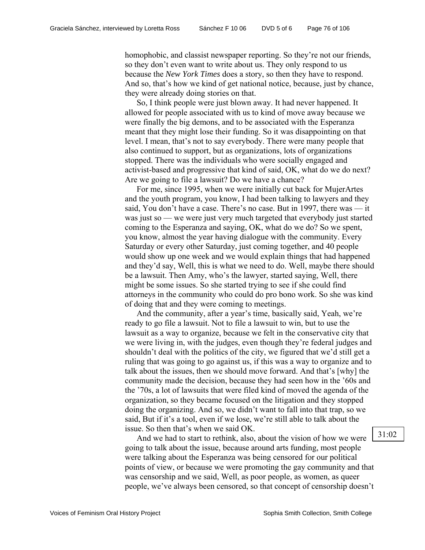homophobic, and classist newspaper reporting. So they're not our friends, so they don't even want to write about us. They only respond to us because the *New York Times* does a story, so then they have to respond. And so, that's how we kind of get national notice, because, just by chance, they were already doing stories on that.

So, I think people were just blown away. It had never happened. It allowed for people associated with us to kind of move away because we were finally the big demons, and to be associated with the Esperanza meant that they might lose their funding. So it was disappointing on that level. I mean, that's not to say everybody. There were many people that also continued to support, but as organizations, lots of organizations stopped. There was the individuals who were socially engaged and activist-based and progressive that kind of said, OK, what do we do next? Are we going to file a lawsuit? Do we have a chance?

For me, since 1995, when we were initially cut back for MujerArtes and the youth program, you know, I had been talking to lawyers and they said, You don't have a case. There's no case. But in 1997, there was — it was just so — we were just very much targeted that everybody just started coming to the Esperanza and saying, OK, what do we do? So we spent, you know, almost the year having dialogue with the community. Every Saturday or every other Saturday, just coming together, and 40 people would show up one week and we would explain things that had happened and they'd say, Well, this is what we need to do. Well, maybe there should be a lawsuit. Then Amy, who's the lawyer, started saying, Well, there might be some issues. So she started trying to see if she could find attorneys in the community who could do pro bono work. So she was kind of doing that and they were coming to meetings.

And the community, after a year's time, basically said, Yeah, we're ready to go file a lawsuit. Not to file a lawsuit to win, but to use the lawsuit as a way to organize, because we felt in the conservative city that we were living in, with the judges, even though they're federal judges and shouldn't deal with the politics of the city, we figured that we'd still get a ruling that was going to go against us, if this was a way to organize and to talk about the issues, then we should move forward. And that's [why] the community made the decision, because they had seen how in the '60s and the '70s, a lot of lawsuits that were filed kind of moved the agenda of the organization, so they became focused on the litigation and they stopped doing the organizing. And so, we didn't want to fall into that trap, so we said, But if it's a tool, even if we lose, we're still able to talk about the issue. So then that's when we said OK.

And we had to start to rethink, also, about the vision of how we were going to talk about the issue, because around arts funding, most people were talking about the Esperanza was being censored for our political points of view, or because we were promoting the gay community and that was censorship and we said, Well, as poor people, as women, as queer people, we've always been censored, so that concept of censorship doesn't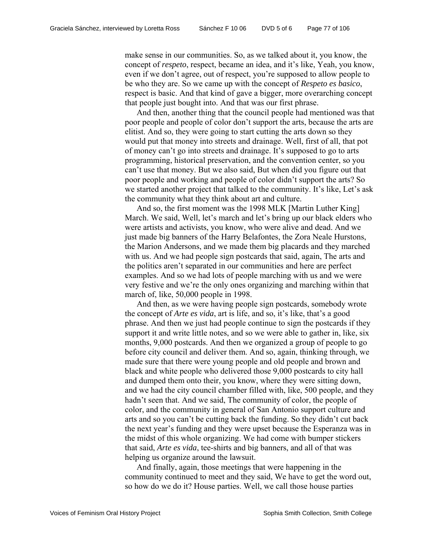make sense in our communities. So, as we talked about it, you know, the concept of *respeto*, respect, became an idea, and it's like, Yeah, you know, even if we don't agree, out of respect, you're supposed to allow people to be who they are. So we came up with the concept of *Respeto es basico*, respect is basic. And that kind of gave a bigger, more overarching concept that people just bought into. And that was our first phrase.

And then, another thing that the council people had mentioned was that poor people and people of color don't support the arts, because the arts are elitist. And so, they were going to start cutting the arts down so they would put that money into streets and drainage. Well, first of all, that pot of money can't go into streets and drainage. It's supposed to go to arts programming, historical preservation, and the convention center, so you can't use that money. But we also said, But when did you figure out that poor people and working and people of color didn't support the arts? So we started another project that talked to the community. It's like, Let's ask the community what they think about art and culture.

And so, the first moment was the 1998 MLK [Martin Luther King] March. We said, Well, let's march and let's bring up our black elders who were artists and activists, you know, who were alive and dead. And we just made big banners of the Harry Belafontes, the Zora Neale Hurstons, the Marion Andersons, and we made them big placards and they marched with us. And we had people sign postcards that said, again, The arts and the politics aren't separated in our communities and here are perfect examples. And so we had lots of people marching with us and we were very festive and we're the only ones organizing and marching within that march of, like, 50,000 people in 1998.

And then, as we were having people sign postcards, somebody wrote the concept of *Arte es vida*, art is life, and so, it's like, that's a good phrase. And then we just had people continue to sign the postcards if they support it and write little notes, and so we were able to gather in, like, six months, 9,000 postcards. And then we organized a group of people to go before city council and deliver them. And so, again, thinking through, we made sure that there were young people and old people and brown and black and white people who delivered those 9,000 postcards to city hall and dumped them onto their, you know, where they were sitting down, and we had the city council chamber filled with, like, 500 people, and they hadn't seen that. And we said, The community of color, the people of color, and the community in general of San Antonio support culture and arts and so you can't be cutting back the funding. So they didn't cut back the next year's funding and they were upset because the Esperanza was in the midst of this whole organizing. We had come with bumper stickers that said, *Arte es vida*, tee-shirts and big banners, and all of that was helping us organize around the lawsuit.

And finally, again, those meetings that were happening in the community continued to meet and they said, We have to get the word out, so how do we do it? House parties. Well, we call those house parties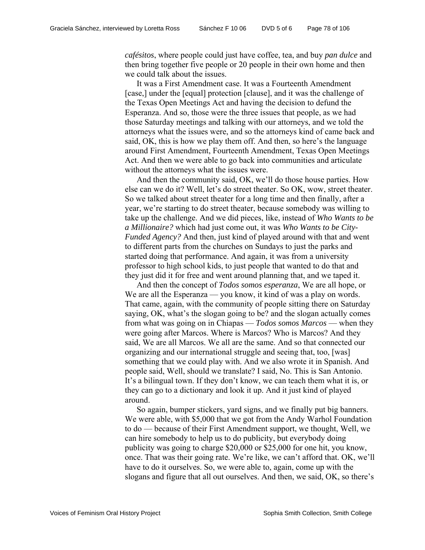*cafésitos*, where people could just have coffee, tea, and buy *pan dulce* and then bring together five people or 20 people in their own home and then we could talk about the issues.

It was a First Amendment case. It was a Fourteenth Amendment [case,] under the [equal] protection [clause], and it was the challenge of the Texas Open Meetings Act and having the decision to defund the Esperanza. And so, those were the three issues that people, as we had those Saturday meetings and talking with our attorneys, and we told the attorneys what the issues were, and so the attorneys kind of came back and said, OK, this is how we play them off. And then, so here's the language around First Amendment, Fourteenth Amendment, Texas Open Meetings Act. And then we were able to go back into communities and articulate without the attorneys what the issues were.

And then the community said, OK, we'll do those house parties. How else can we do it? Well, let's do street theater. So OK, wow, street theater. So we talked about street theater for a long time and then finally, after a year, we're starting to do street theater, because somebody was willing to take up the challenge. And we did pieces, like, instead of *Who Wants to be a Millionaire?* which had just come out, it was *Who Wants to be City-Funded Agency?* And then, just kind of played around with that and went to different parts from the churches on Sundays to just the parks and started doing that performance. And again, it was from a university professor to high school kids, to just people that wanted to do that and they just did it for free and went around planning that, and we taped it.

And then the concept of *Todos somos esperanza*, We are all hope, or We are all the Esperanza — you know, it kind of was a play on words. That came, again, with the community of people sitting there on Saturday saying, OK, what's the slogan going to be? and the slogan actually comes from what was going on in Chiapas — *Todos somos Marcos* — when they were going after Marcos. Where is Marcos? Who is Marcos? And they said, We are all Marcos. We all are the same. And so that connected our organizing and our international struggle and seeing that, too, [was] something that we could play with. And we also wrote it in Spanish. And people said, Well, should we translate? I said, No. This is San Antonio. It's a bilingual town. If they don't know, we can teach them what it is, or they can go to a dictionary and look it up. And it just kind of played around.

So again, bumper stickers, yard signs, and we finally put big banners. We were able, with \$5,000 that we got from the Andy Warhol Foundation to do — because of their First Amendment support, we thought, Well, we can hire somebody to help us to do publicity, but everybody doing publicity was going to charge \$20,000 or \$25,000 for one hit, you know, once. That was their going rate. We're like, we can't afford that. OK, we'll have to do it ourselves. So, we were able to, again, come up with the slogans and figure that all out ourselves. And then, we said, OK, so there's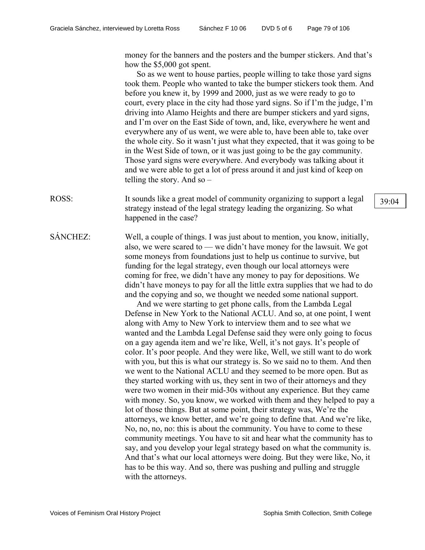money for the banners and the posters and the bumper stickers. And that's how the \$5,000 got spent.

So as we went to house parties, people willing to take those yard signs took them. People who wanted to take the bumper stickers took them. And before you knew it, by 1999 and 2000, just as we were ready to go to court, every place in the city had those yard signs. So if I'm the judge, I'm driving into Alamo Heights and there are bumper stickers and yard signs, and I'm over on the East Side of town, and, like, everywhere he went and everywhere any of us went, we were able to, have been able to, take over the whole city. So it wasn't just what they expected, that it was going to be in the West Side of town, or it was just going to be the gay community. Those yard signs were everywhere. And everybody was talking about it and we were able to get a lot of press around it and just kind of keep on telling the story. And so –

- ROSS: It sounds like a great model of community organizing to support a legal  $\begin{array}{c|c} \end{array}$  39.04 strategy instead of the legal strategy leading the organizing. So what happened in the case?
- SÁNCHEZ: Well, a couple of things. I was just about to mention, you know, initially, also, we were scared to — we didn't have money for the lawsuit. We got some moneys from foundations just to help us continue to survive, but funding for the legal strategy, even though our local attorneys were coming for free, we didn't have any money to pay for depositions. We didn't have moneys to pay for all the little extra supplies that we had to do and the copying and so, we thought we needed some national support.

And we were starting to get phone calls, from the Lambda Legal Defense in New York to the National ACLU. And so, at one point, I went along with Amy to New York to interview them and to see what we wanted and the Lambda Legal Defense said they were only going to focus on a gay agenda item and we're like, Well, it's not gays. It's people of color. It's poor people. And they were like, Well, we still want to do work with you, but this is what our strategy is. So we said no to them. And then we went to the National ACLU and they seemed to be more open. But as they started working with us, they sent in two of their attorneys and they were two women in their mid-30s without any experience. But they came with money. So, you know, we worked with them and they helped to pay a lot of those things. But at some point, their strategy was, We're the attorneys, we know better, and we're going to define that. And we're like, No, no, no, no: this is about the community. You have to come to these community meetings. You have to sit and hear what the community has to say, and you develop your legal strategy based on what the community is. And that's what our local attorneys were doing. But they were like, No, it has to be this way. And so, there was pushing and pulling and struggle with the attorneys.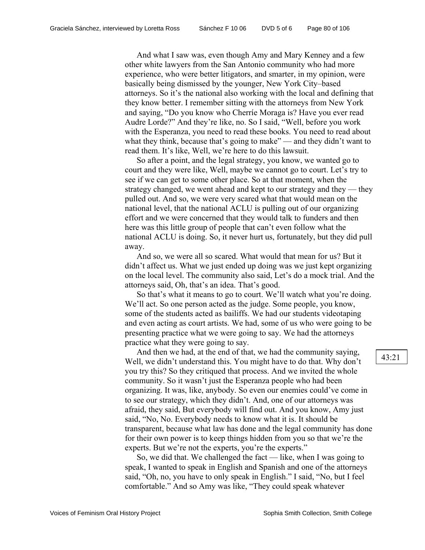And what I saw was, even though Amy and Mary Kenney and a few other white lawyers from the San Antonio community who had more experience, who were better litigators, and smarter, in my opinion, were basically being dismissed by the younger, New York City–based attorneys. So it's the national also working with the local and defining that they know better. I remember sitting with the attorneys from New York and saying, "Do you know who Cherríe Moraga is? Have you ever read Audre Lorde?" And they're like, no. So I said, "Well, before you work with the Esperanza, you need to read these books. You need to read about what they think, because that's going to make" — and they didn't want to read them. It's like, Well, we're here to do this lawsuit.

So after a point, and the legal strategy, you know, we wanted go to court and they were like, Well, maybe we cannot go to court. Let's try to see if we can get to some other place. So at that moment, when the strategy changed, we went ahead and kept to our strategy and they — they pulled out. And so, we were very scared what that would mean on the national level, that the national ACLU is pulling out of our organizing effort and we were concerned that they would talk to funders and then here was this little group of people that can't even follow what the national ACLU is doing. So, it never hurt us, fortunately, but they did pull away.

And so, we were all so scared. What would that mean for us? But it didn't affect us. What we just ended up doing was we just kept organizing on the local level. The community also said, Let's do a mock trial. And the attorneys said, Oh, that's an idea. That's good.

So that's what it means to go to court. We'll watch what you're doing. We'll act. So one person acted as the judge. Some people, you know, some of the students acted as bailiffs. We had our students videotaping and even acting as court artists. We had, some of us who were going to be presenting practice what we were going to say. We had the attorneys practice what they were going to say.

And then we had, at the end of that, we had the community saying, Well, we didn't understand this. You might have to do that. Why don't you try this? So they critiqued that process. And we invited the whole community. So it wasn't just the Esperanza people who had been organizing. It was, like, anybody. So even our enemies could've come in to see our strategy, which they didn't. And, one of our attorneys was afraid, they said, But everybody will find out. And you know, Amy just said, "No, No. Everybody needs to know what it is. It should be transparent, because what law has done and the legal community has done for their own power is to keep things hidden from you so that we're the experts. But we're not the experts, you're the experts."

So, we did that. We challenged the fact — like, when I was going to speak, I wanted to speak in English and Spanish and one of the attorneys said, "Oh, no, you have to only speak in English." I said, "No, but I feel comfortable." And so Amy was like, "They could speak whatever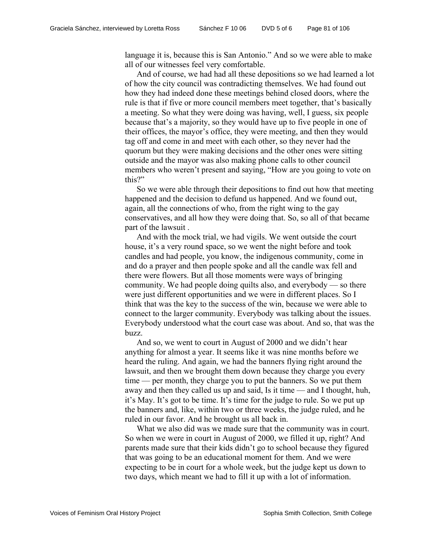language it is, because this is San Antonio." And so we were able to make all of our witnesses feel very comfortable.

And of course, we had had all these depositions so we had learned a lot of how the city council was contradicting themselves. We had found out how they had indeed done these meetings behind closed doors, where the rule is that if five or more council members meet together, that's basically a meeting. So what they were doing was having, well, I guess, six people because that's a majority, so they would have up to five people in one of their offices, the mayor's office, they were meeting, and then they would tag off and come in and meet with each other, so they never had the quorum but they were making decisions and the other ones were sitting outside and the mayor was also making phone calls to other council members who weren't present and saying, "How are you going to vote on this?"

So we were able through their depositions to find out how that meeting happened and the decision to defund us happened. And we found out, again, all the connections of who, from the right wing to the gay conservatives, and all how they were doing that. So, so all of that became part of the lawsuit .

And with the mock trial, we had vigils. We went outside the court house, it's a very round space, so we went the night before and took candles and had people, you know, the indigenous community, come in and do a prayer and then people spoke and all the candle wax fell and there were flowers. But all those moments were ways of bringing community. We had people doing quilts also, and everybody — so there were just different opportunities and we were in different places. So I think that was the key to the success of the win, because we were able to connect to the larger community. Everybody was talking about the issues. Everybody understood what the court case was about. And so, that was the buzz.

And so, we went to court in August of 2000 and we didn't hear anything for almost a year. It seems like it was nine months before we heard the ruling. And again, we had the banners flying right around the lawsuit, and then we brought them down because they charge you every time — per month, they charge you to put the banners. So we put them away and then they called us up and said, Is it time — and I thought, huh, it's May. It's got to be time. It's time for the judge to rule. So we put up the banners and, like, within two or three weeks, the judge ruled, and he ruled in our favor. And he brought us all back in.

What we also did was we made sure that the community was in court. So when we were in court in August of 2000, we filled it up, right? And parents made sure that their kids didn't go to school because they figured that was going to be an educational moment for them. And we were expecting to be in court for a whole week, but the judge kept us down to two days, which meant we had to fill it up with a lot of information.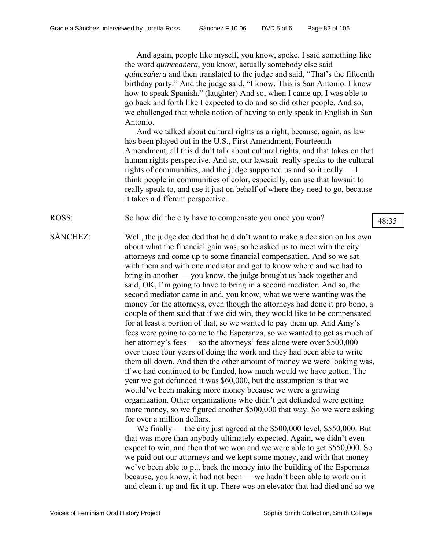And again, people like myself, you know, spoke. I said something like the word *quinceañera*, you know, actually somebody else said *quinceañera* and then translated to the judge and said, "That's the fifteenth birthday party." And the judge said, "I know. This is San Antonio. I know how to speak Spanish." (laughter) And so, when I came up, I was able to go back and forth like I expected to do and so did other people. And so, we challenged that whole notion of having to only speak in English in San Antonio.

And we talked about cultural rights as a right, because, again, as law has been played out in the U.S., First Amendment, Fourteenth Amendment, all this didn't talk about cultural rights, and that takes on that human rights perspective. And so, our lawsuit really speaks to the cultural rights of communities, and the judge supported us and so it really — I think people in communities of color, especially, can use that lawsuit to really speak to, and use it just on behalf of where they need to go, because it takes a different perspective.

ROSS: So how did the city have to compensate you once you won?  $\sqrt{48:35}$ 

SÁNCHEZ: Well, the judge decided that he didn't want to make a decision on his own about what the financial gain was, so he asked us to meet with the city attorneys and come up to some financial compensation. And so we sat with them and with one mediator and got to know where and we had to bring in another — you know, the judge brought us back together and said, OK, I'm going to have to bring in a second mediator. And so, the second mediator came in and, you know, what we were wanting was the money for the attorneys, even though the attorneys had done it pro bono, a couple of them said that if we did win, they would like to be compensated for at least a portion of that, so we wanted to pay them up. And Amy's fees were going to come to the Esperanza, so we wanted to get as much of her attorney's fees — so the attorneys' fees alone were over \$500,000 over those four years of doing the work and they had been able to write them all down. And then the other amount of money we were looking was, if we had continued to be funded, how much would we have gotten. The year we got defunded it was \$60,000, but the assumption is that we would've been making more money because we were a growing organization. Other organizations who didn't get defunded were getting more money, so we figured another \$500,000 that way. So we were asking for over a million dollars.

> We finally — the city just agreed at the \$500,000 level, \$550,000. But that was more than anybody ultimately expected. Again, we didn't even expect to win, and then that we won and we were able to get \$550,000. So we paid out our attorneys and we kept some money, and with that money we've been able to put back the money into the building of the Esperanza because, you know, it had not been — we hadn't been able to work on it and clean it up and fix it up. There was an elevator that had died and so we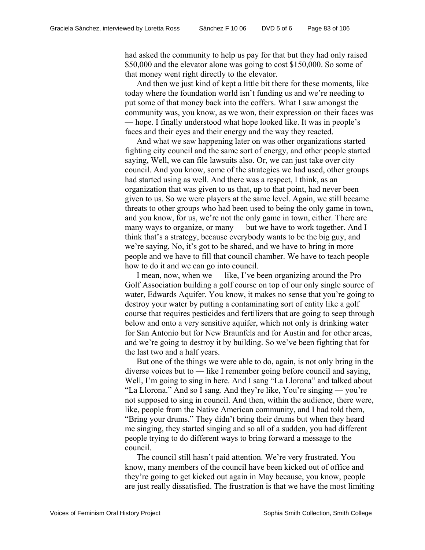had asked the community to help us pay for that but they had only raised \$50,000 and the elevator alone was going to cost \$150,000. So some of that money went right directly to the elevator.

And then we just kind of kept a little bit there for these moments, like today where the foundation world isn't funding us and we're needing to put some of that money back into the coffers. What I saw amongst the community was, you know, as we won, their expression on their faces was — hope. I finally understood what hope looked like. It was in people's faces and their eyes and their energy and the way they reacted.

And what we saw happening later on was other organizations started fighting city council and the same sort of energy, and other people started saying, Well, we can file lawsuits also. Or, we can just take over city council. And you know, some of the strategies we had used, other groups had started using as well. And there was a respect, I think, as an organization that was given to us that, up to that point, had never been given to us. So we were players at the same level. Again, we still became threats to other groups who had been used to being the only game in town, and you know, for us, we're not the only game in town, either. There are many ways to organize, or many — but we have to work together. And I think that's a strategy, because everybody wants to be the big guy, and we're saying, No, it's got to be shared, and we have to bring in more people and we have to fill that council chamber. We have to teach people how to do it and we can go into council.

I mean, now, when we — like, I've been organizing around the Pro Golf Association building a golf course on top of our only single source of water, Edwards Aquifer. You know, it makes no sense that you're going to destroy your water by putting a contaminating sort of entity like a golf course that requires pesticides and fertilizers that are going to seep through below and onto a very sensitive aquifer, which not only is drinking water for San Antonio but for New Braunfels and for Austin and for other areas, and we're going to destroy it by building. So we've been fighting that for the last two and a half years.

But one of the things we were able to do, again, is not only bring in the diverse voices but to — like I remember going before council and saying, Well, I'm going to sing in here. And I sang "La Llorona" and talked about "La Llorona." And so I sang. And they're like, You're singing — you're not supposed to sing in council. And then, within the audience, there were, like, people from the Native American community, and I had told them, "Bring your drums." They didn't bring their drums but when they heard me singing, they started singing and so all of a sudden, you had different people trying to do different ways to bring forward a message to the council.

The council still hasn't paid attention. We're very frustrated. You know, many members of the council have been kicked out of office and they're going to get kicked out again in May because, you know, people are just really dissatisfied. The frustration is that we have the most limiting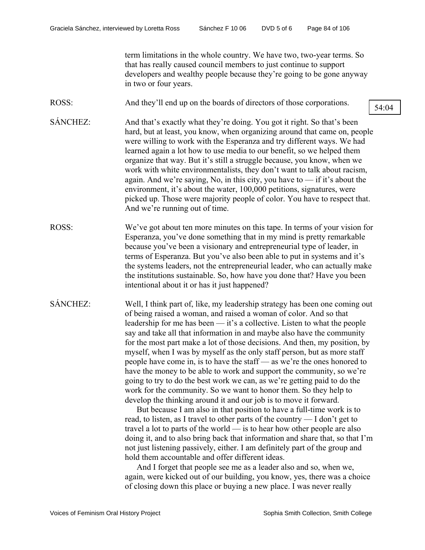term limitations in the whole country. We have two, two-year terms. So that has really caused council members to just continue to support developers and wealthy people because they're going to be gone anyway in two or four years.

ROSS: And they'll end up on the boards of directors of those corporations.  $\sqrt{\frac{54:04}{54:04}}$ 

- SÁNCHEZ: And that's exactly what they're doing. You got it right. So that's been hard, but at least, you know, when organizing around that came on, people were willing to work with the Esperanza and try different ways. We had learned again a lot how to use media to our benefit, so we helped them organize that way. But it's still a struggle because, you know, when we work with white environmentalists, they don't want to talk about racism, again. And we're saying, No, in this city, you have to — if it's about the environment, it's about the water, 100,000 petitions, signatures, were picked up. Those were majority people of color. You have to respect that. And we're running out of time.
- ROSS: We've got about ten more minutes on this tape. In terms of your vision for Esperanza, you've done something that in my mind is pretty remarkable because you've been a visionary and entrepreneurial type of leader, in terms of Esperanza. But you've also been able to put in systems and it's the systems leaders, not the entrepreneurial leader, who can actually make the institutions sustainable. So, how have you done that? Have you been intentional about it or has it just happened?
- SÁNCHEZ: Well, I think part of, like, my leadership strategy has been one coming out of being raised a woman, and raised a woman of color. And so that leadership for me has been — it's a collective. Listen to what the people say and take all that information in and maybe also have the community for the most part make a lot of those decisions. And then, my position, by myself, when I was by myself as the only staff person, but as more staff people have come in, is to have the staff — as we're the ones honored to have the money to be able to work and support the community, so we're going to try to do the best work we can, as we're getting paid to do the work for the community. So we want to honor them. So they help to develop the thinking around it and our job is to move it forward.

But because I am also in that position to have a full-time work is to read, to listen, as I travel to other parts of the country — I don't get to travel a lot to parts of the world — is to hear how other people are also doing it, and to also bring back that information and share that, so that I'm not just listening passively, either. I am definitely part of the group and hold them accountable and offer different ideas.

And I forget that people see me as a leader also and so, when we, again, were kicked out of our building, you know, yes, there was a choice of closing down this place or buying a new place. I was never really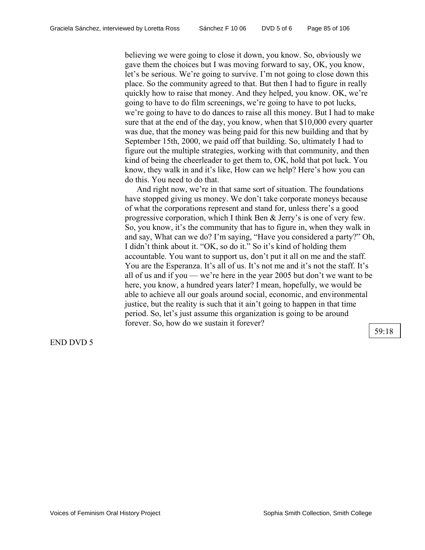believing we were going to close it down, you know. So, obviously we gave them the choices but I was moving forward to say, OK, you know, let's be serious. We're going to survive. I'm not going to close down this place. So the community agreed to that. But then I had to figure in really quickly how to raise that money. And they helped, you know. OK, we're going to have to do film screenings, we're going to have to pot lucks, we're going to have to do dances to raise all this money. But I had to make sure that at the end of the day, you know, when that \$10,000 every quarter was due, that the money was being paid for this new building and that by September 15th, 2000, we paid off that building. So, ultimately I had to figure out the multiple strategies, working with that community, and then kind of being the cheerleader to get them to, OK, hold that pot luck. You know, they walk in and it's like, How can we help? Here's how you can do this. You need to do that.

And right now, we're in that same sort of situation. The foundations have stopped giving us money. We don't take corporate moneys because of what the corporations represent and stand for, unless there's a good progressive corporation, which I think Ben & Jerry's is one of very few. So, you know, it's the community that has to figure in, when they walk in and say, What can we do? I'm saying, "Have you considered a party?" Oh, I didn't think about it. "OK, so do it." So it's kind of holding them accountable. You want to support us, don't put it all on me and the staff. You are the Esperanza. It's all of us. It's not me and it's not the staff. It's all of us and if you — we're here in the year 2005 but don't we want to be here, you know, a hundred years later? I mean, hopefully, we would be able to achieve all our goals around social, economic, and environmental justice, but the reality is such that it ain't going to happen in that time period. So, let's just assume this organization is going to be around forever. So, how do we sustain it forever?

END DVD 5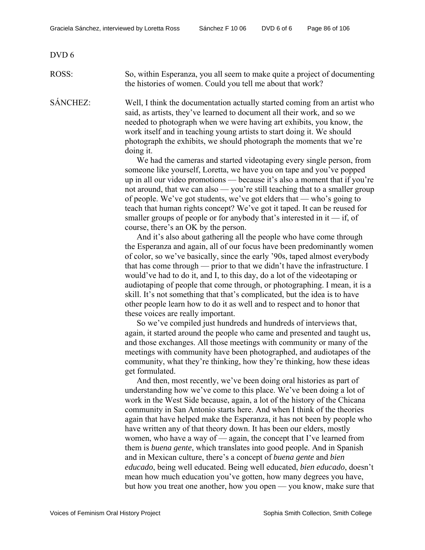## DVD 6

ROSS: So, within Esperanza, you all seem to make quite a project of documenting the histories of women. Could you tell me about that work?

SÁNCHEZ: Well, I think the documentation actually started coming from an artist who said, as artists, they've learned to document all their work, and so we needed to photograph when we were having art exhibits, you know, the work itself and in teaching young artists to start doing it. We should photograph the exhibits, we should photograph the moments that we're doing it.

> We had the cameras and started videotaping every single person, from someone like yourself, Loretta, we have you on tape and you've popped up in all our video promotions — because it's also a moment that if you're not around, that we can also — you're still teaching that to a smaller group of people. We've got students, we've got elders that — who's going to teach that human rights concept? We've got it taped. It can be reused for smaller groups of people or for anybody that's interested in it  $-$  if, of course, there's an OK by the person.

> And it's also about gathering all the people who have come through the Esperanza and again, all of our focus have been predominantly women of color, so we've basically, since the early '90s, taped almost everybody that has come through — prior to that we didn't have the infrastructure. I would've had to do it, and I, to this day, do a lot of the videotaping or audiotaping of people that come through, or photographing. I mean, it is a skill. It's not something that that's complicated, but the idea is to have other people learn how to do it as well and to respect and to honor that these voices are really important.

So we've compiled just hundreds and hundreds of interviews that, again, it started around the people who came and presented and taught us, and those exchanges. All those meetings with community or many of the meetings with community have been photographed, and audiotapes of the community, what they're thinking, how they're thinking, how these ideas get formulated.

And then, most recently, we've been doing oral histories as part of understanding how we've come to this place. We've been doing a lot of work in the West Side because, again, a lot of the history of the Chicana community in San Antonio starts here. And when I think of the theories again that have helped make the Esperanza, it has not been by people who have written any of that theory down. It has been our elders, mostly women, who have a way of — again, the concept that I've learned from them is *buena gente*, which translates into good people. And in Spanish and in Mexican culture, there's a concept of *buena gente* and *bien educado*, being well educated. Being well educated, *bien educado*, doesn't mean how much education you've gotten, how many degrees you have, but how you treat one another, how you open — you know, make sure that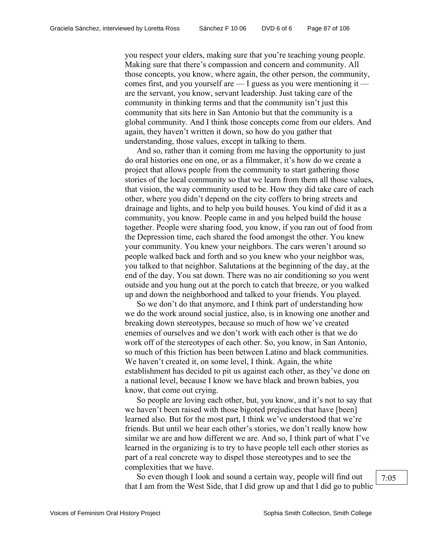you respect your elders, making sure that you're teaching young people. Making sure that there's compassion and concern and community. All those concepts, you know, where again, the other person, the community, comes first, and you yourself are — I guess as you were mentioning it are the servant, you know, servant leadership. Just taking care of the community in thinking terms and that the community isn't just this community that sits here in San Antonio but that the community is a global community. And I think those concepts come from our elders. And again, they haven't written it down, so how do you gather that understanding, those values, except in talking to them.

And so, rather than it coming from me having the opportunity to just do oral histories one on one, or as a filmmaker, it's how do we create a project that allows people from the community to start gathering those stories of the local community so that we learn from them all those values, that vision, the way community used to be. How they did take care of each other, where you didn't depend on the city coffers to bring streets and drainage and lights, and to help you build houses. You kind of did it as a community, you know. People came in and you helped build the house together. People were sharing food, you know, if you ran out of food from the Depression time, each shared the food amongst the other. You knew your community. You knew your neighbors. The cars weren't around so people walked back and forth and so you knew who your neighbor was, you talked to that neighbor. Salutations at the beginning of the day, at the end of the day. You sat down. There was no air conditioning so you went outside and you hung out at the porch to catch that breeze, or you walked up and down the neighborhood and talked to your friends. You played.

So we don't do that anymore, and I think part of understanding how we do the work around social justice, also, is in knowing one another and breaking down stereotypes, because so much of how we've created enemies of ourselves and we don't work with each other is that we do work off of the stereotypes of each other. So, you know, in San Antonio, so much of this friction has been between Latino and black communities. We haven't created it, on some level, I think. Again, the white establishment has decided to pit us against each other, as they've done on a national level, because I know we have black and brown babies, you know, that come out crying.

So people are loving each other, but, you know, and it's not to say that we haven't been raised with those bigoted prejudices that have [been] learned also. But for the most part, I think we've understood that we're friends. But until we hear each other's stories, we don't really know how similar we are and how different we are. And so, I think part of what I've learned in the organizing is to try to have people tell each other stories as part of a real concrete way to dispel those stereotypes and to see the complexities that we have.

So even though I look and sound a certain way, people will find out that I am from the West Side, that I did grow up and that I did go to public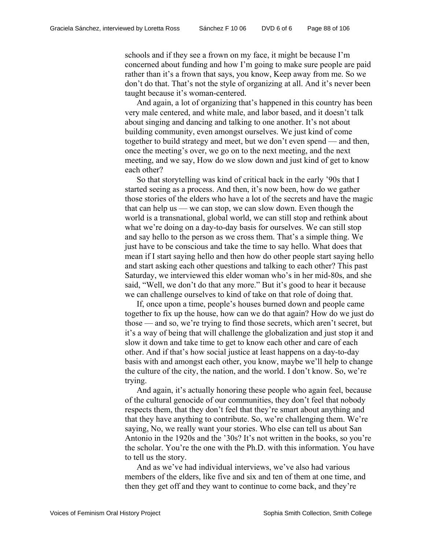schools and if they see a frown on my face, it might be because I'm concerned about funding and how I'm going to make sure people are paid rather than it's a frown that says, you know, Keep away from me. So we don't do that. That's not the style of organizing at all. And it's never been taught because it's woman-centered.

And again, a lot of organizing that's happened in this country has been very male centered, and white male, and labor based, and it doesn't talk about singing and dancing and talking to one another. It's not about building community, even amongst ourselves. We just kind of come together to build strategy and meet, but we don't even spend — and then, once the meeting's over, we go on to the next meeting, and the next meeting, and we say, How do we slow down and just kind of get to know each other?

So that storytelling was kind of critical back in the early '90s that I started seeing as a process. And then, it's now been, how do we gather those stories of the elders who have a lot of the secrets and have the magic that can help us — we can stop, we can slow down. Even though the world is a transnational, global world, we can still stop and rethink about what we're doing on a day-to-day basis for ourselves. We can still stop and say hello to the person as we cross them. That's a simple thing. We just have to be conscious and take the time to say hello. What does that mean if I start saying hello and then how do other people start saying hello and start asking each other questions and talking to each other? This past Saturday, we interviewed this elder woman who's in her mid-80s, and she said, "Well, we don't do that any more." But it's good to hear it because we can challenge ourselves to kind of take on that role of doing that.

If, once upon a time, people's houses burned down and people came together to fix up the house, how can we do that again? How do we just do those — and so, we're trying to find those secrets, which aren't secret, but it's a way of being that will challenge the globalization and just stop it and slow it down and take time to get to know each other and care of each other. And if that's how social justice at least happens on a day-to-day basis with and amongst each other, you know, maybe we'll help to change the culture of the city, the nation, and the world. I don't know. So, we're trying.

And again, it's actually honoring these people who again feel, because of the cultural genocide of our communities, they don't feel that nobody respects them, that they don't feel that they're smart about anything and that they have anything to contribute. So, we're challenging them. We're saying, No, we really want your stories. Who else can tell us about San Antonio in the 1920s and the '30s? It's not written in the books, so you're the scholar. You're the one with the Ph.D. with this information. You have to tell us the story.

And as we've had individual interviews, we've also had various members of the elders, like five and six and ten of them at one time, and then they get off and they want to continue to come back, and they're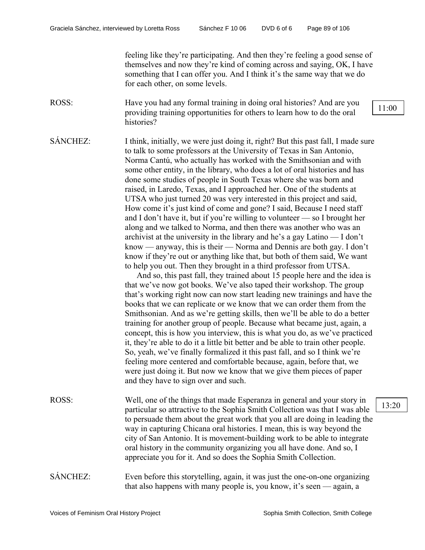feeling like they're participating. And then they're feeling a good sense of themselves and now they're kind of coming across and saying, OK, I have something that I can offer you. And I think it's the same way that we do for each other, on some levels.

ROSS: Have you had any formal training in doing oral histories? And are you providing training opportunities for others to learn how to do the oral histories?

SÁNCHEZ: I think, initially, we were just doing it, right? But this past fall, I made sure to talk to some professors at the University of Texas in San Antonio, Norma Cantú, who actually has worked with the Smithsonian and with some other entity, in the library, who does a lot of oral histories and has done some studies of people in South Texas where she was born and raised, in Laredo, Texas, and I approached her. One of the students at UTSA who just turned 20 was very interested in this project and said, How come it's just kind of come and gone? I said, Because I need staff and I don't have it, but if you're willing to volunteer — so I brought her along and we talked to Norma, and then there was another who was an archivist at the university in the library and he's a gay Latino — I don't know — anyway, this is their — Norma and Dennis are both gay. I don't know if they're out or anything like that, but both of them said, We want to help you out. Then they brought in a third professor from UTSA.

> And so, this past fall, they trained about 15 people here and the idea is that we've now got books. We've also taped their workshop. The group that's working right now can now start leading new trainings and have the books that we can replicate or we know that we can order them from the Smithsonian. And as we're getting skills, then we'll be able to do a better training for another group of people. Because what became just, again, a concept, this is how you interview, this is what you do, as we've practiced it, they're able to do it a little bit better and be able to train other people. So, yeah, we've finally formalized it this past fall, and so I think we're feeling more centered and comfortable because, again, before that, we were just doing it. But now we know that we give them pieces of paper and they have to sign over and such.

ROSS: Well, one of the things that made Esperanza in general and your story in particular so attractive to the Sophia Smith Collection was that I was able to persuade them about the great work that you all are doing in leading the way in capturing Chicana oral histories. I mean, this is way beyond the city of San Antonio. It is movement-building work to be able to integrate oral history in the community organizing you all have done. And so, I appreciate you for it. And so does the Sophia Smith Collection.

SÁNCHEZ: Even before this storytelling, again, it was just the one-on-one organizing that also happens with many people is, you know, it's seen — again, a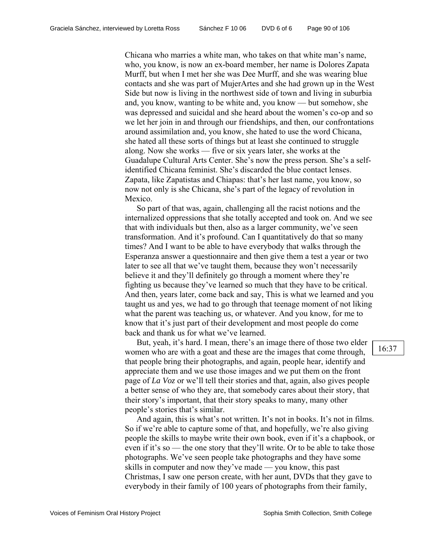Chicana who marries a white man, who takes on that white man's name, who, you know, is now an ex-board member, her name is Dolores Zapata Murff, but when I met her she was Dee Murff, and she was wearing blue contacts and she was part of MujerArtes and she had grown up in the West Side but now is living in the northwest side of town and living in suburbia and, you know, wanting to be white and, you know — but somehow, she was depressed and suicidal and she heard about the women's co-op and so we let her join in and through our friendships, and then, our confrontations around assimilation and, you know, she hated to use the word Chicana, she hated all these sorts of things but at least she continued to struggle along. Now she works — five or six years later, she works at the Guadalupe Cultural Arts Center. She's now the press person. She's a selfidentified Chicana feminist. She's discarded the blue contact lenses. Zapata, like Zapatistas and Chiapas: that's her last name, you know, so now not only is she Chicana, she's part of the legacy of revolution in Mexico.

So part of that was, again, challenging all the racist notions and the internalized oppressions that she totally accepted and took on. And we see that with individuals but then, also as a larger community, we've seen transformation. And it's profound. Can I quantitatively do that so many times? And I want to be able to have everybody that walks through the Esperanza answer a questionnaire and then give them a test a year or two later to see all that we've taught them, because they won't necessarily believe it and they'll definitely go through a moment where they're fighting us because they've learned so much that they have to be critical. And then, years later, come back and say, This is what we learned and you taught us and yes, we had to go through that teenage moment of not liking what the parent was teaching us, or whatever. And you know, for me to know that it's just part of their development and most people do come back and thank us for what we've learned.

But, yeah, it's hard. I mean, there's an image there of those two elder women who are with a goat and these are the images that come through, that people bring their photographs, and again, people hear, identify and appreciate them and we use those images and we put them on the front page of *La Voz* or we'll tell their stories and that, again, also gives people a better sense of who they are, that somebody cares about their story, that their story's important, that their story speaks to many, many other people's stories that's similar.

And again, this is what's not written. It's not in books. It's not in films. So if we're able to capture some of that, and hopefully, we're also giving people the skills to maybe write their own book, even if it's a chapbook, or even if it's so — the one story that they'll write. Or to be able to take those photographs. We've seen people take photographs and they have some skills in computer and now they've made — you know, this past Christmas, I saw one person create, with her aunt, DVDs that they gave to everybody in their family of 100 years of photographs from their family,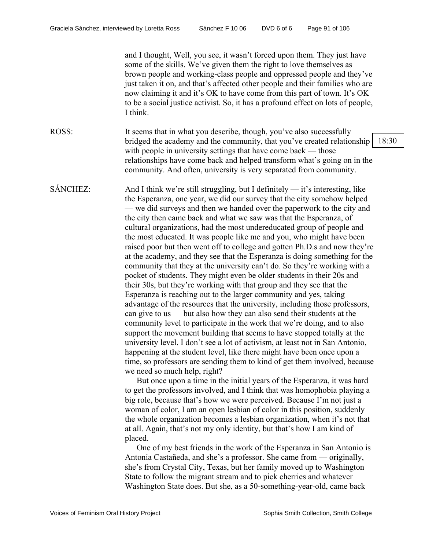and I thought, Well, you see, it wasn't forced upon them. They just have some of the skills. We've given them the right to love themselves as brown people and working-class people and oppressed people and they've just taken it on, and that's affected other people and their families who are now claiming it and it's OK to have come from this part of town. It's OK to be a social justice activist. So, it has a profound effect on lots of people, I think. ROSS: It seems that in what you describe, though, you've also successfully bridged the academy and the community, that you've created relationship with people in university settings that have come back — those relationships have come back and helped transform what's going on in the community. And often, university is very separated from community. 18:30 SÁNCHEZ: And I think we're still struggling, but I definitely — it's interesting, like the Esperanza, one year, we did our survey that the city somehow helped — we did surveys and then we handed over the paperwork to the city and the city then came back and what we saw was that the Esperanza, of cultural organizations, had the most undereducated group of people and the most educated. It was people like me and you, who might have been raised poor but then went off to college and gotten Ph.D.s and now they're at the academy, and they see that the Esperanza is doing something for the community that they at the university can't do. So they're working with a pocket of students. They might even be older students in their 20s and their 30s, but they're working with that group and they see that the Esperanza is reaching out to the larger community and yes, taking advantage of the resources that the university, including those professors, can give to us — but also how they can also send their students at the community level to participate in the work that we're doing, and to also support the movement building that seems to have stopped totally at the university level. I don't see a lot of activism, at least not in San Antonio, happening at the student level, like there might have been once upon a time, so professors are sending them to kind of get them involved, because we need so much help, right?

 But once upon a time in the initial years of the Esperanza, it was hard to get the professors involved, and I think that was homophobia playing a big role, because that's how we were perceived. Because I'm not just a woman of color, I am an open lesbian of color in this position, suddenly the whole organization becomes a lesbian organization, when it's not that at all. Again, that's not my only identity, but that's how I am kind of placed.

One of my best friends in the work of the Esperanza in San Antonio is Antonia Castañeda, and she's a professor. She came from — originally, she's from Crystal City, Texas, but her family moved up to Washington State to follow the migrant stream and to pick cherries and whatever Washington State does. But she, as a 50-something-year-old, came back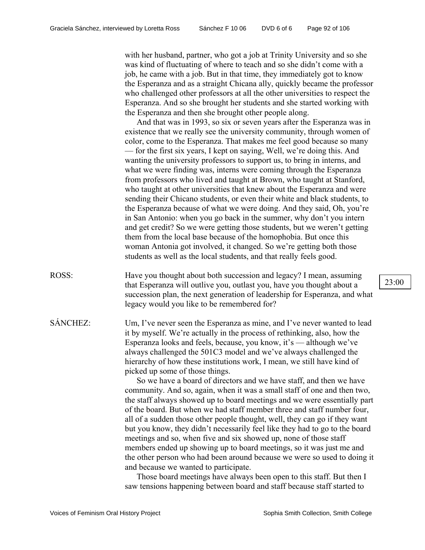with her husband, partner, who got a job at Trinity University and so she was kind of fluctuating of where to teach and so she didn't come with a job, he came with a job. But in that time, they immediately got to know the Esperanza and as a straight Chicana ally, quickly became the professor who challenged other professors at all the other universities to respect the Esperanza. And so she brought her students and she started working with the Esperanza and then she brought other people along.

And that was in 1993, so six or seven years after the Esperanza was in existence that we really see the university community, through women of color, come to the Esperanza. That makes me feel good because so many — for the first six years, I kept on saying, Well, we're doing this. And wanting the university professors to support us, to bring in interns, and what we were finding was, interns were coming through the Esperanza from professors who lived and taught at Brown, who taught at Stanford, who taught at other universities that knew about the Esperanza and were sending their Chicano students, or even their white and black students, to the Esperanza because of what we were doing. And they said, Oh, you're in San Antonio: when you go back in the summer, why don't you intern and get credit? So we were getting those students, but we weren't getting them from the local base because of the homophobia. But once this woman Antonia got involved, it changed. So we're getting both those students as well as the local students, and that really feels good.

ROSS: Have you thought about both succession and legacy? I mean, assuming that Esperanza will outlive you, outlast you, have you thought about a succession plan, the next generation of leadership for Esperanza, and what legacy would you like to be remembered for?

SÁNCHEZ: Um, I've never seen the Esperanza as mine, and I've never wanted to lead it by myself. We're actually in the process of rethinking, also, how the Esperanza looks and feels, because, you know, it's — although we've always challenged the 501C3 model and we've always challenged the hierarchy of how these institutions work, I mean, we still have kind of picked up some of those things.

> So we have a board of directors and we have staff, and then we have community. And so, again, when it was a small staff of one and then two, the staff always showed up to board meetings and we were essentially part of the board. But when we had staff member three and staff number four, all of a sudden those other people thought, well, they can go if they want but you know, they didn't necessarily feel like they had to go to the board meetings and so, when five and six showed up, none of those staff members ended up showing up to board meetings, so it was just me and the other person who had been around because we were so used to doing it and because we wanted to participate.

Those board meetings have always been open to this staff. But then I saw tensions happening between board and staff because staff started to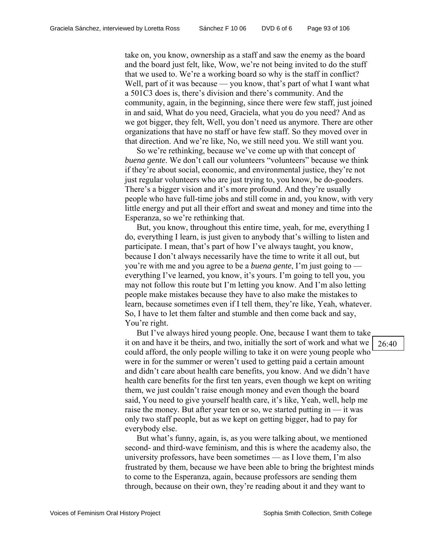take on, you know, ownership as a staff and saw the enemy as the board and the board just felt, like, Wow, we're not being invited to do the stuff that we used to. We're a working board so why is the staff in conflict? Well, part of it was because — you know, that's part of what I want what a 501C3 does is, there's division and there's community. And the community, again, in the beginning, since there were few staff, just joined in and said, What do you need, Graciela, what you do you need? And as we got bigger, they felt, Well, you don't need us anymore. There are other organizations that have no staff or have few staff. So they moved over in that direction. And we're like, No, we still need you. We still want you.

So we're rethinking, because we've come up with that concept of *buena gente*. We don't call our volunteers "volunteers" because we think if they're about social, economic, and environmental justice, they're not just regular volunteers who are just trying to, you know, be do-gooders. There's a bigger vision and it's more profound. And they're usually people who have full-time jobs and still come in and, you know, with very little energy and put all their effort and sweat and money and time into the Esperanza, so we're rethinking that.

But, you know, throughout this entire time, yeah, for me, everything I do, everything I learn, is just given to anybody that's willing to listen and participate. I mean, that's part of how I've always taught, you know, because I don't always necessarily have the time to write it all out, but you're with me and you agree to be a *buena gente*, I'm just going to everything I've learned, you know, it's yours. I'm going to tell you, you may not follow this route but I'm letting you know. And I'm also letting people make mistakes because they have to also make the mistakes to learn, because sometimes even if I tell them, they're like, Yeah, whatever. So, I have to let them falter and stumble and then come back and say, You're right.

But I've always hired young people. One, because I want them to take it on and have it be theirs, and two, initially the sort of work and what we could afford, the only people willing to take it on were young people who were in for the summer or weren't used to getting paid a certain amount and didn't care about health care benefits, you know. And we didn't have health care benefits for the first ten years, even though we kept on writing them, we just couldn't raise enough money and even though the board said, You need to give yourself health care, it's like, Yeah, well, help me raise the money. But after year ten or so, we started putting in — it was only two staff people, but as we kept on getting bigger, had to pay for everybody else.

But what's funny, again, is, as you were talking about, we mentioned second- and third-wave feminism, and this is where the academy also, the university professors, have been sometimes — as I love them, I'm also frustrated by them, because we have been able to bring the brightest minds to come to the Esperanza, again, because professors are sending them through, because on their own, they're reading about it and they want to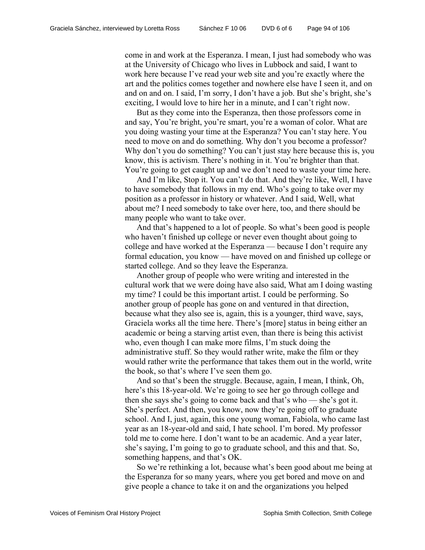come in and work at the Esperanza. I mean, I just had somebody who was at the University of Chicago who lives in Lubbock and said, I want to work here because I've read your web site and you're exactly where the art and the politics comes together and nowhere else have I seen it, and on and on and on. I said, I'm sorry, I don't have a job. But she's bright, she's exciting, I would love to hire her in a minute, and I can't right now.

But as they come into the Esperanza, then those professors come in and say, You're bright, you're smart, you're a woman of color. What are you doing wasting your time at the Esperanza? You can't stay here. You need to move on and do something. Why don't you become a professor? Why don't you do something? You can't just stay here because this is, you know, this is activism. There's nothing in it. You're brighter than that. You're going to get caught up and we don't need to waste your time here.

And I'm like, Stop it. You can't do that. And they're like, Well, I have to have somebody that follows in my end. Who's going to take over my position as a professor in history or whatever. And I said, Well, what about me? I need somebody to take over here, too, and there should be many people who want to take over.

And that's happened to a lot of people. So what's been good is people who haven't finished up college or never even thought about going to college and have worked at the Esperanza — because I don't require any formal education, you know — have moved on and finished up college or started college. And so they leave the Esperanza.

Another group of people who were writing and interested in the cultural work that we were doing have also said, What am I doing wasting my time? I could be this important artist. I could be performing. So another group of people has gone on and ventured in that direction, because what they also see is, again, this is a younger, third wave, says, Graciela works all the time here. There's [more] status in being either an academic or being a starving artist even, than there is being this activist who, even though I can make more films, I'm stuck doing the administrative stuff. So they would rather write, make the film or they would rather write the performance that takes them out in the world, write the book, so that's where I've seen them go.

And so that's been the struggle. Because, again, I mean, I think, Oh, here's this 18-year-old. We're going to see her go through college and then she says she's going to come back and that's who — she's got it. She's perfect. And then, you know, now they're going off to graduate school. And I, just, again, this one young woman, Fabiola, who came last year as an 18-year-old and said, I hate school. I'm bored. My professor told me to come here. I don't want to be an academic. And a year later, she's saying, I'm going to go to graduate school, and this and that. So, something happens, and that's OK.

So we're rethinking a lot, because what's been good about me being at the Esperanza for so many years, where you get bored and move on and give people a chance to take it on and the organizations you helped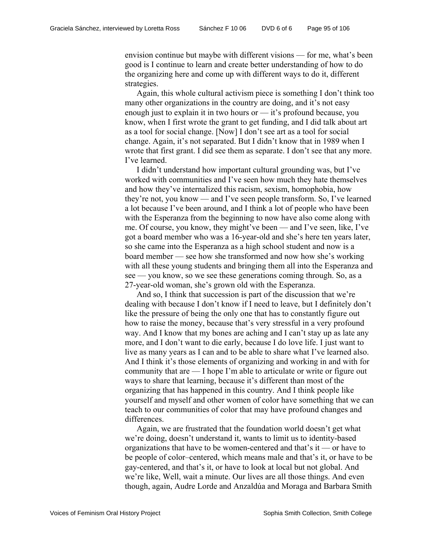envision continue but maybe with different visions — for me, what's been good is I continue to learn and create better understanding of how to do the organizing here and come up with different ways to do it, different strategies.

Again, this whole cultural activism piece is something I don't think too many other organizations in the country are doing, and it's not easy enough just to explain it in two hours or — it's profound because, you know, when I first wrote the grant to get funding, and I did talk about art as a tool for social change. [Now] I don't see art as a tool for social change. Again, it's not separated. But I didn't know that in 1989 when I wrote that first grant. I did see them as separate. I don't see that any more. I've learned.

I didn't understand how important cultural grounding was, but I've worked with communities and I've seen how much they hate themselves and how they've internalized this racism, sexism, homophobia, how they're not, you know — and I've seen people transform. So, I've learned a lot because I've been around, and I think a lot of people who have been with the Esperanza from the beginning to now have also come along with me. Of course, you know, they might've been — and I've seen, like, I've got a board member who was a 16-year-old and she's here ten years later, so she came into the Esperanza as a high school student and now is a board member — see how she transformed and now how she's working with all these young students and bringing them all into the Esperanza and see — you know, so we see these generations coming through. So, as a 27-year-old woman, she's grown old with the Esperanza.

And so, I think that succession is part of the discussion that we're dealing with because I don't know if I need to leave, but I definitely don't like the pressure of being the only one that has to constantly figure out how to raise the money, because that's very stressful in a very profound way. And I know that my bones are aching and I can't stay up as late any more, and I don't want to die early, because I do love life. I just want to live as many years as I can and to be able to share what I've learned also. And I think it's those elements of organizing and working in and with for community that are — I hope I'm able to articulate or write or figure out ways to share that learning, because it's different than most of the organizing that has happened in this country. And I think people like yourself and myself and other women of color have something that we can teach to our communities of color that may have profound changes and differences.

Again, we are frustrated that the foundation world doesn't get what we're doing, doesn't understand it, wants to limit us to identity-based organizations that have to be women-centered and that's it — or have to be people of color–centered, which means male and that's it, or have to be gay-centered, and that's it, or have to look at local but not global. And we're like, Well, wait a minute. Our lives are all those things. And even though, again, Audre Lorde and Anzaldúa and Moraga and Barbara Smith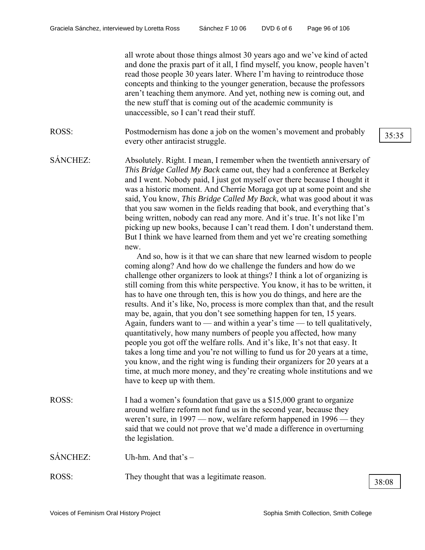all wrote about those things almost 30 years ago and we've kind of acted and done the praxis part of it all, I find myself, you know, people haven't read those people 30 years later. Where I'm having to reintroduce those concepts and thinking to the younger generation, because the professors aren't teaching them anymore. And yet, nothing new is coming out, and the new stuff that is coming out of the academic community is unaccessible, so I can't read their stuff.

ROSS: Postmodernism has done a job on the women's movement and probably  $\frac{35:35}{35:35}$ 

SÁNCHEZ: Absolutely. Right. I mean, I remember when the twentieth anniversary of *This Bridge Called My Back* came out, they had a conference at Berkeley and I went. Nobody paid, I just got myself over there because I thought it was a historic moment. And Cherríe Moraga got up at some point and she said, You know, *This Bridge Called My Back*, what was good about it was that you saw women in the fields reading that book, and everything that's being written, nobody can read any more. And it's true. It's not like I'm picking up new books, because I can't read them. I don't understand them. But I think we have learned from them and yet we're creating something new.

> And so, how is it that we can share that new learned wisdom to people coming along? And how do we challenge the funders and how do we challenge other organizers to look at things? I think a lot of organizing is still coming from this white perspective. You know, it has to be written, it has to have one through ten, this is how you do things, and here are the results. And it's like, No, process is more complex than that, and the result may be, again, that you don't see something happen for ten, 15 years. Again, funders want to — and within a year's time — to tell qualitatively, quantitatively, how many numbers of people you affected, how many people you got off the welfare rolls. And it's like, It's not that easy. It takes a long time and you're not willing to fund us for 20 years at a time, you know, and the right wing is funding their organizers for 20 years at a time, at much more money, and they're creating whole institutions and we have to keep up with them.

ROSS: I had a women's foundation that gave us a \$15,000 grant to organize around welfare reform not fund us in the second year, because they weren't sure, in 1997 — now, welfare reform happened in 1996 — they said that we could not prove that we'd made a difference in overturning the legislation.

SÁNCHEZ: Uh-hm. And that's –

ROSS: They thought that was a legitimate reason.  $\sqrt{\frac{38:08}{38:08}}$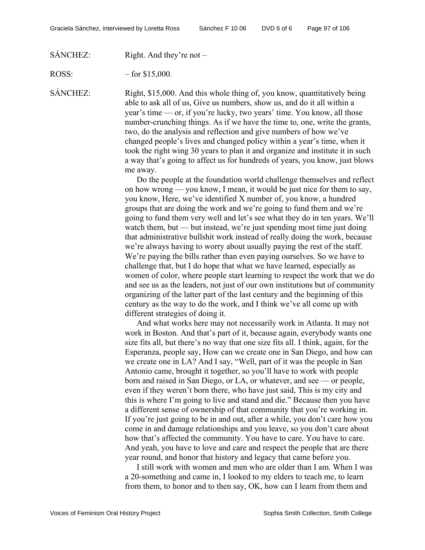SÁNCHEZ: Right. And they're not –

ROSS:  $-$  for \$15,000.

SÁNCHEZ: Right, \$15,000. And this whole thing of, you know, quantitatively being able to ask all of us, Give us numbers, show us, and do it all within a year's time — or, if you're lucky, two years' time. You know, all those number-crunching things. As if we have the time to, one, write the grants, two, do the analysis and reflection and give numbers of how we've changed people's lives and changed policy within a year's time, when it took the right wing 30 years to plan it and organize and institute it in such a way that's going to affect us for hundreds of years, you know, just blows me away.

> Do the people at the foundation world challenge themselves and reflect on how wrong — you know, I mean, it would be just nice for them to say, you know, Here, we've identified X number of, you know, a hundred groups that are doing the work and we're going to fund them and we're going to fund them very well and let's see what they do in ten years. We'll watch them, but — but instead, we're just spending most time just doing that administrative bullshit work instead of really doing the work, because we're always having to worry about usually paying the rest of the staff. We're paying the bills rather than even paying ourselves. So we have to challenge that, but I do hope that what we have learned, especially as women of color, where people start learning to respect the work that we do and see us as the leaders, not just of our own institutions but of community organizing of the latter part of the last century and the beginning of this century as the way to do the work, and I think we've all come up with different strategies of doing it.

> And what works here may not necessarily work in Atlanta. It may not work in Boston. And that's part of it, because again, everybody wants one size fits all, but there's no way that one size fits all. I think, again, for the Esperanza, people say, How can we create one in San Diego, and how can we create one in LA? And I say, "Well, part of it was the people in San Antonio came, brought it together, so you'll have to work with people born and raised in San Diego, or LA, or whatever, and see — or people, even if they weren't born there, who have just said, This is my city and this is where I'm going to live and stand and die." Because then you have a different sense of ownership of that community that you're working in. If you're just going to be in and out, after a while, you don't care how you come in and damage relationships and you leave, so you don't care about how that's affected the community. You have to care. You have to care. And yeah, you have to love and care and respect the people that are there year round, and honor that history and legacy that came before you.

> I still work with women and men who are older than I am. When I was a 20-something and came in, I looked to my elders to teach me, to learn from them, to honor and to then say, OK, how can I learn from them and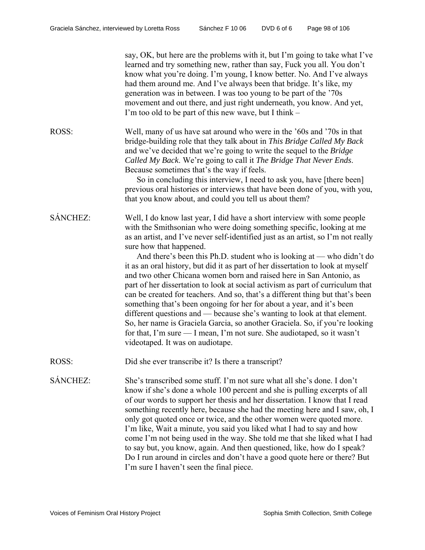|          | say, OK, but here are the problems with it, but I'm going to take what I've<br>learned and try something new, rather than say, Fuck you all. You don't<br>know what you're doing. I'm young, I know better. No. And I've always<br>had them around me. And I've always been that bridge. It's like, my<br>generation was in between. I was too young to be part of the '70s<br>movement and out there, and just right underneath, you know. And yet,<br>I'm too old to be part of this new wave, but I think –                                                                                                                                                                                                                                                                                                                                                                                                                                                                                                             |
|----------|----------------------------------------------------------------------------------------------------------------------------------------------------------------------------------------------------------------------------------------------------------------------------------------------------------------------------------------------------------------------------------------------------------------------------------------------------------------------------------------------------------------------------------------------------------------------------------------------------------------------------------------------------------------------------------------------------------------------------------------------------------------------------------------------------------------------------------------------------------------------------------------------------------------------------------------------------------------------------------------------------------------------------|
| ROSS:    | Well, many of us have sat around who were in the '60s and '70s in that<br>bridge-building role that they talk about in This Bridge Called My Back<br>and we've decided that we're going to write the sequel to the Bridge<br>Called My Back. We're going to call it The Bridge That Never Ends.<br>Because sometimes that's the way if feels.<br>So in concluding this interview, I need to ask you, have [there been]<br>previous oral histories or interviews that have been done of you, with you,<br>that you know about, and could you tell us about them?                                                                                                                                                                                                                                                                                                                                                                                                                                                            |
| SÁNCHEZ: | Well, I do know last year, I did have a short interview with some people<br>with the Smithsonian who were doing something specific, looking at me<br>as an artist, and I've never self-identified just as an artist, so I'm not really<br>sure how that happened.<br>And there's been this Ph.D. student who is looking at — who didn't do<br>it as an oral history, but did it as part of her dissertation to look at myself<br>and two other Chicana women born and raised here in San Antonio, as<br>part of her dissertation to look at social activism as part of curriculum that<br>can be created for teachers. And so, that's a different thing but that's been<br>something that's been ongoing for her for about a year, and it's been<br>different questions and — because she's wanting to look at that element.<br>So, her name is Graciela Garcia, so another Graciela. So, if you're looking<br>for that, I'm sure — I mean, I'm not sure. She audiotaped, so it wasn't<br>videotaped. It was on audiotape. |
| ROSS:    | Did she ever transcribe it? Is there a transcript?                                                                                                                                                                                                                                                                                                                                                                                                                                                                                                                                                                                                                                                                                                                                                                                                                                                                                                                                                                         |
| SÁNCHEZ: | She's transcribed some stuff. I'm not sure what all she's done. I don't<br>know if she's done a whole 100 percent and she is pulling excerpts of all<br>of our words to support her thesis and her dissertation. I know that I read<br>something recently here, because she had the meeting here and I saw, oh, I<br>only got quoted once or twice, and the other women were quoted more.<br>I'm like, Wait a minute, you said you liked what I had to say and how<br>come I'm not being used in the way. She told me that she liked what I had<br>to say but, you know, again. And then questioned, like, how do I speak?<br>Do I run around in circles and don't have a good quote here or there? But<br>I'm sure I haven't seen the final piece.                                                                                                                                                                                                                                                                        |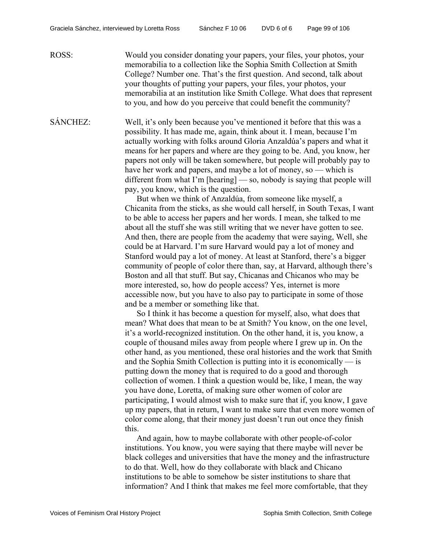ROSS: Would you consider donating your papers, your files, your photos, your memorabilia to a collection like the Sophia Smith Collection at Smith College? Number one. That's the first question. And second, talk about your thoughts of putting your papers, your files, your photos, your memorabilia at an institution like Smith College. What does that represent to you, and how do you perceive that could benefit the community?

SÁNCHEZ: Well, it's only been because you've mentioned it before that this was a possibility. It has made me, again, think about it. I mean, because I'm actually working with folks around Gloria Anzaldúa's papers and what it means for her papers and where are they going to be. And, you know, her papers not only will be taken somewhere, but people will probably pay to have her work and papers, and maybe a lot of money, so — which is different from what I'm [hearing] — so, nobody is saying that people will pay, you know, which is the question.

> But when we think of Anzaldúa, from someone like myself, a Chicanita from the sticks, as she would call herself, in South Texas, I want to be able to access her papers and her words. I mean, she talked to me about all the stuff she was still writing that we never have gotten to see. And then, there are people from the academy that were saying, Well, she could be at Harvard. I'm sure Harvard would pay a lot of money and Stanford would pay a lot of money. At least at Stanford, there's a bigger community of people of color there than, say, at Harvard, although there's Boston and all that stuff. But say, Chicanas and Chicanos who may be more interested, so, how do people access? Yes, internet is more accessible now, but you have to also pay to participate in some of those and be a member or something like that.

> So I think it has become a question for myself, also, what does that mean? What does that mean to be at Smith? You know, on the one level, it's a world-recognized institution. On the other hand, it is, you know, a couple of thousand miles away from people where I grew up in. On the other hand, as you mentioned, these oral histories and the work that Smith and the Sophia Smith Collection is putting into it is economically — is putting down the money that is required to do a good and thorough collection of women. I think a question would be, like, I mean, the way you have done, Loretta, of making sure other women of color are participating, I would almost wish to make sure that if, you know, I gave up my papers, that in return, I want to make sure that even more women of color come along, that their money just doesn't run out once they finish this.

And again, how to maybe collaborate with other people-of-color institutions. You know, you were saying that there maybe will never be black colleges and universities that have the money and the infrastructure to do that. Well, how do they collaborate with black and Chicano institutions to be able to somehow be sister institutions to share that information? And I think that makes me feel more comfortable, that they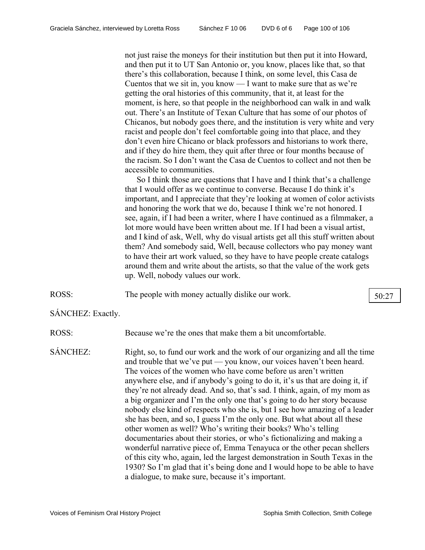not just raise the moneys for their institution but then put it into Howard, and then put it to UT San Antonio or, you know, places like that, so that there's this collaboration, because I think, on some level, this Casa de Cuentos that we sit in, you know — I want to make sure that as we're getting the oral histories of this community, that it, at least for the moment, is here, so that people in the neighborhood can walk in and walk out. There's an Institute of Texan Culture that has some of our photos of Chicanos, but nobody goes there, and the institution is very white and very racist and people don't feel comfortable going into that place, and they don't even hire Chicano or black professors and historians to work there, and if they do hire them, they quit after three or four months because of the racism. So I don't want the Casa de Cuentos to collect and not then be accessible to communities.

So I think those are questions that I have and I think that's a challenge that I would offer as we continue to converse. Because I do think it's important, and I appreciate that they're looking at women of color activists and honoring the work that we do, because I think we're not honored. I see, again, if I had been a writer, where I have continued as a filmmaker, a lot more would have been written about me. If I had been a visual artist, and I kind of ask, Well, why do visual artists get all this stuff written about them? And somebody said, Well, because collectors who pay money want to have their art work valued, so they have to have people create catalogs around them and write about the artists, so that the value of the work gets up. Well, nobody values our work.

ROSS: The people with money actually dislike our work. 50:27

SÁNCHEZ: Exactly.

ROSS: Because we're the ones that make them a bit uncomfortable.

SÁNCHEZ: Right, so, to fund our work and the work of our organizing and all the time and trouble that we've put — you know, our voices haven't been heard. The voices of the women who have come before us aren't written anywhere else, and if anybody's going to do it, it's us that are doing it, if they're not already dead. And so, that's sad. I think, again, of my mom as a big organizer and I'm the only one that's going to do her story because nobody else kind of respects who she is, but I see how amazing of a leader she has been, and so, I guess I'm the only one. But what about all these other women as well? Who's writing their books? Who's telling documentaries about their stories, or who's fictionalizing and making a wonderful narrative piece of, Emma Tenayuca or the other pecan shellers of this city who, again, led the largest demonstration in South Texas in the 1930? So I'm glad that it's being done and I would hope to be able to have a dialogue, to make sure, because it's important.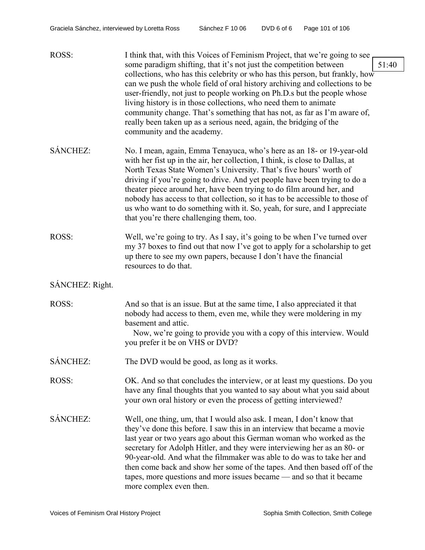| ROSS:           | I think that, with this Voices of Feminism Project, that we're going to see<br>some paradigm shifting, that it's not just the competition between<br>collections, who has this celebrity or who has this person, but frankly, how<br>can we push the whole field of oral history archiving and collections to be<br>user-friendly, not just to people working on Ph.D.s but the people whose<br>living history is in those collections, who need them to animate<br>community change. That's something that has not, as far as I'm aware of,<br>really been taken up as a serious need, again, the bridging of the<br>community and the academy. |
|-----------------|--------------------------------------------------------------------------------------------------------------------------------------------------------------------------------------------------------------------------------------------------------------------------------------------------------------------------------------------------------------------------------------------------------------------------------------------------------------------------------------------------------------------------------------------------------------------------------------------------------------------------------------------------|
| SÁNCHEZ:        | No. I mean, again, Emma Tenayuca, who's here as an 18- or 19-year-old<br>with her fist up in the air, her collection, I think, is close to Dallas, at<br>North Texas State Women's University. That's five hours' worth of<br>driving if you're going to drive. And yet people have been trying to do a<br>theater piece around her, have been trying to do film around her, and<br>nobody has access to that collection, so it has to be accessible to those of<br>us who want to do something with it. So, yeah, for sure, and I appreciate<br>that you're there challenging them, too.                                                        |
| ROSS:           | Well, we're going to try. As I say, it's going to be when I've turned over<br>my 37 boxes to find out that now I've got to apply for a scholarship to get<br>up there to see my own papers, because I don't have the financial<br>resources to do that.                                                                                                                                                                                                                                                                                                                                                                                          |
| SÁNCHEZ: Right. |                                                                                                                                                                                                                                                                                                                                                                                                                                                                                                                                                                                                                                                  |
| ROSS:           | And so that is an issue. But at the same time, I also appreciated it that<br>nobody had access to them, even me, while they were moldering in my<br>basement and attic.<br>Now, we're going to provide you with a copy of this interview. Would<br>you prefer it be on VHS or DVD?                                                                                                                                                                                                                                                                                                                                                               |
| SÁNCHEZ:        | The DVD would be good, as long as it works.                                                                                                                                                                                                                                                                                                                                                                                                                                                                                                                                                                                                      |
| ROSS:           | OK. And so that concludes the interview, or at least my questions. Do you<br>have any final thoughts that you wanted to say about what you said about<br>your own oral history or even the process of getting interviewed?                                                                                                                                                                                                                                                                                                                                                                                                                       |
| SÁNCHEZ:        | Well, one thing, um, that I would also ask. I mean, I don't know that<br>they've done this before. I saw this in an interview that became a movie<br>last year or two years ago about this German woman who worked as the<br>secretary for Adolph Hitler, and they were interviewing her as an 80- or<br>90-year-old. And what the filmmaker was able to do was to take her and<br>then come back and show her some of the tapes. And then based off of the<br>tapes, more questions and more issues became — and so that it became<br>more complex even then.                                                                                   |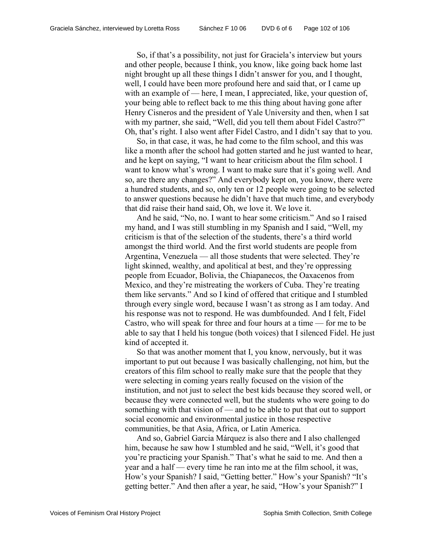So, if that's a possibility, not just for Graciela's interview but yours and other people, because I think, you know, like going back home last night brought up all these things I didn't answer for you, and I thought, well, I could have been more profound here and said that, or I came up with an example of — here, I mean, I appreciated, like, your question of, your being able to reflect back to me this thing about having gone after Henry Cisneros and the president of Yale University and then, when I sat with my partner, she said, "Well, did you tell them about Fidel Castro?" Oh, that's right. I also went after Fidel Castro, and I didn't say that to you.

So, in that case, it was, he had come to the film school, and this was like a month after the school had gotten started and he just wanted to hear, and he kept on saying, "I want to hear criticism about the film school. I want to know what's wrong. I want to make sure that it's going well. And so, are there any changes?" And everybody kept on, you know, there were a hundred students, and so, only ten or 12 people were going to be selected to answer questions because he didn't have that much time, and everybody that did raise their hand said, Oh, we love it. We love it.

And he said, "No, no. I want to hear some criticism." And so I raised my hand, and I was still stumbling in my Spanish and I said, "Well, my criticism is that of the selection of the students, there's a third world amongst the third world. And the first world students are people from Argentina, Venezuela — all those students that were selected. They're light skinned, wealthy, and apolitical at best, and they're oppressing people from Ecuador, Bolivia, the Chiapanecos, the Oaxacenos from Mexico, and they're mistreating the workers of Cuba. They're treating them like servants." And so I kind of offered that critique and I stumbled through every single word, because I wasn't as strong as I am today. And his response was not to respond. He was dumbfounded. And I felt, Fidel Castro, who will speak for three and four hours at a time — for me to be able to say that I held his tongue (both voices) that I silenced Fidel. He just kind of accepted it.

So that was another moment that I, you know, nervously, but it was important to put out because I was basically challenging, not him, but the creators of this film school to really make sure that the people that they were selecting in coming years really focused on the vision of the institution, and not just to select the best kids because they scored well, or because they were connected well, but the students who were going to do something with that vision of — and to be able to put that out to support social economic and environmental justice in those respective communities, be that Asia, Africa, or Latin America.

And so, Gabriel Garcia Márquez is also there and I also challenged him, because he saw how I stumbled and he said, "Well, it's good that you're practicing your Spanish." That's what he said to me. And then a year and a half — every time he ran into me at the film school, it was, How's your Spanish? I said, "Getting better." How's your Spanish? "It's getting better." And then after a year, he said, "How's your Spanish?" I